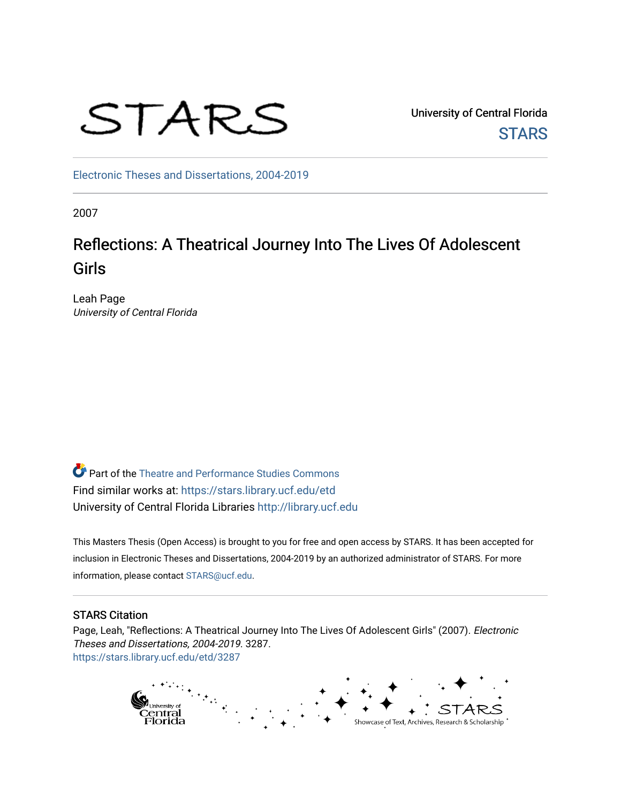# STARS

University of Central Florida **STARS** 

[Electronic Theses and Dissertations, 2004-2019](https://stars.library.ucf.edu/etd) 

2007

# Reflections: A Theatrical Journey Into The Lives Of Adolescent Girls

Leah Page University of Central Florida

Part of the [Theatre and Performance Studies Commons](http://network.bepress.com/hgg/discipline/552?utm_source=stars.library.ucf.edu%2Fetd%2F3287&utm_medium=PDF&utm_campaign=PDFCoverPages)  Find similar works at: <https://stars.library.ucf.edu/etd> University of Central Florida Libraries [http://library.ucf.edu](http://library.ucf.edu/) 

This Masters Thesis (Open Access) is brought to you for free and open access by STARS. It has been accepted for inclusion in Electronic Theses and Dissertations, 2004-2019 by an authorized administrator of STARS. For more information, please contact [STARS@ucf.edu.](mailto:STARS@ucf.edu)

#### STARS Citation

Page, Leah, "Reflections: A Theatrical Journey Into The Lives Of Adolescent Girls" (2007). Electronic Theses and Dissertations, 2004-2019. 3287. [https://stars.library.ucf.edu/etd/3287](https://stars.library.ucf.edu/etd/3287?utm_source=stars.library.ucf.edu%2Fetd%2F3287&utm_medium=PDF&utm_campaign=PDFCoverPages) 

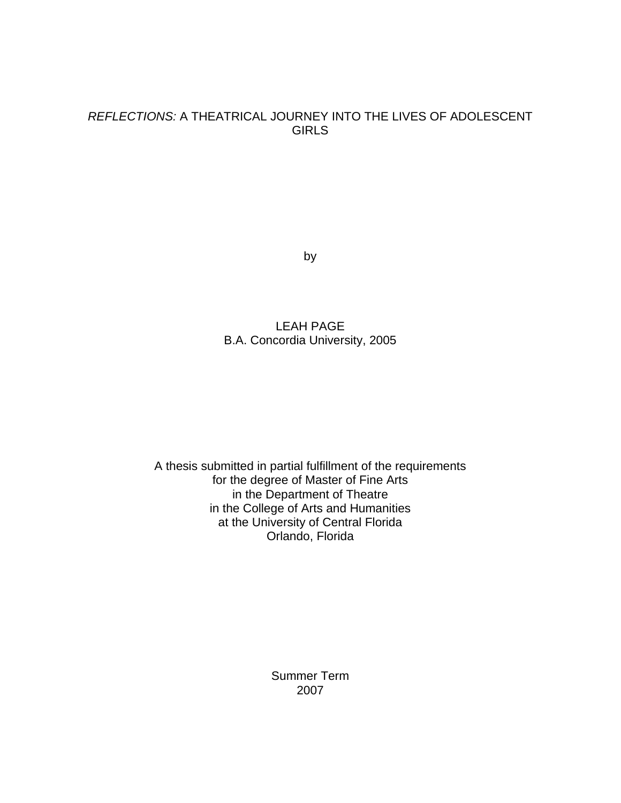# *REFLECTIONS:* A THEATRICAL JOURNEY INTO THE LIVES OF ADOLESCENT GIRLS

by

## LEAH PAGE B.A. Concordia University, 2005

A thesis submitted in partial fulfillment of the requirements for the degree of Master of Fine Arts in the Department of Theatre in the College of Arts and Humanities at the University of Central Florida Orlando, Florida

> Summer Term 2007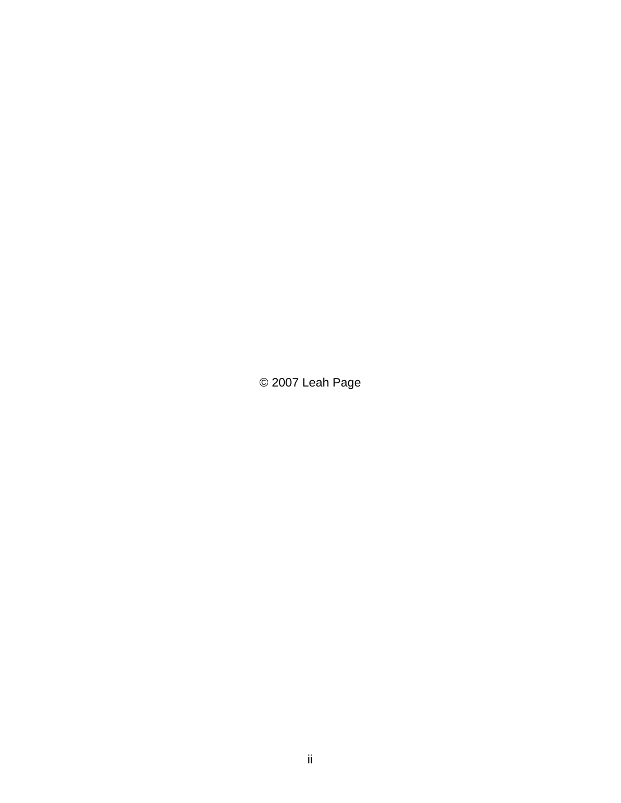© 2007 Leah Page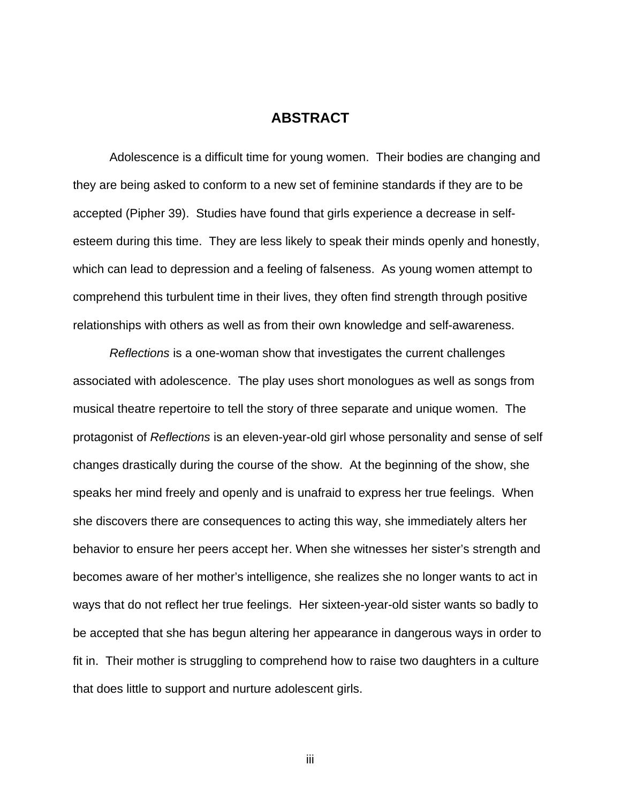## **ABSTRACT**

 Adolescence is a difficult time for young women. Their bodies are changing and they are being asked to conform to a new set of feminine standards if they are to be accepted (Pipher 39). Studies have found that girls experience a decrease in selfesteem during this time. They are less likely to speak their minds openly and honestly, which can lead to depression and a feeling of falseness. As young women attempt to comprehend this turbulent time in their lives, they often find strength through positive relationships with others as well as from their own knowledge and self-awareness.

 *Reflections* is a one-woman show that investigates the current challenges associated with adolescence. The play uses short monologues as well as songs from musical theatre repertoire to tell the story of three separate and unique women. The protagonist of *Reflections* is an eleven-year-old girl whose personality and sense of self changes drastically during the course of the show. At the beginning of the show, she speaks her mind freely and openly and is unafraid to express her true feelings. When she discovers there are consequences to acting this way, she immediately alters her behavior to ensure her peers accept her. When she witnesses her sister's strength and becomes aware of her mother's intelligence, she realizes she no longer wants to act in ways that do not reflect her true feelings. Her sixteen-year-old sister wants so badly to be accepted that she has begun altering her appearance in dangerous ways in order to fit in. Their mother is struggling to comprehend how to raise two daughters in a culture that does little to support and nurture adolescent girls.

iii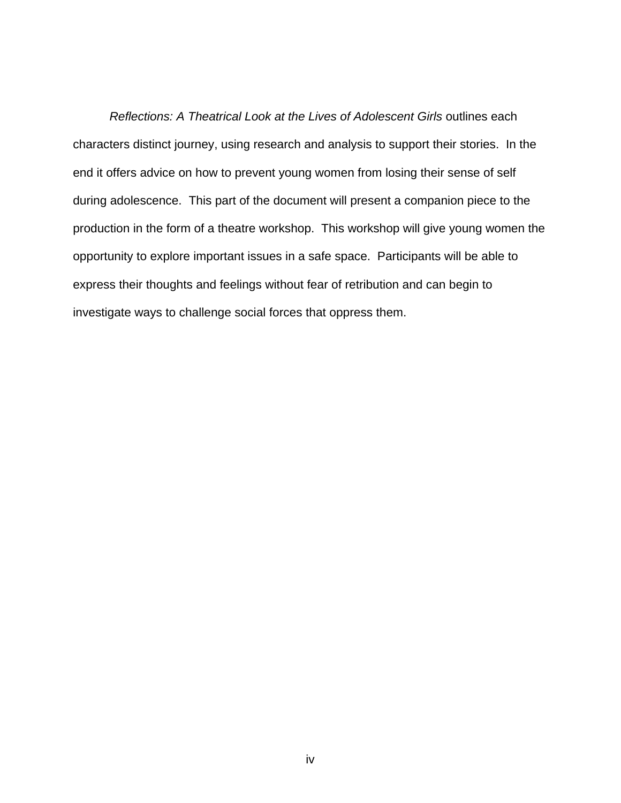*Reflections: A Theatrical Look at the Lives of Adolescent Girls* outlines each characters distinct journey, using research and analysis to support their stories. In the end it offers advice on how to prevent young women from losing their sense of self during adolescence. This part of the document will present a companion piece to the production in the form of a theatre workshop. This workshop will give young women the opportunity to explore important issues in a safe space. Participants will be able to express their thoughts and feelings without fear of retribution and can begin to investigate ways to challenge social forces that oppress them.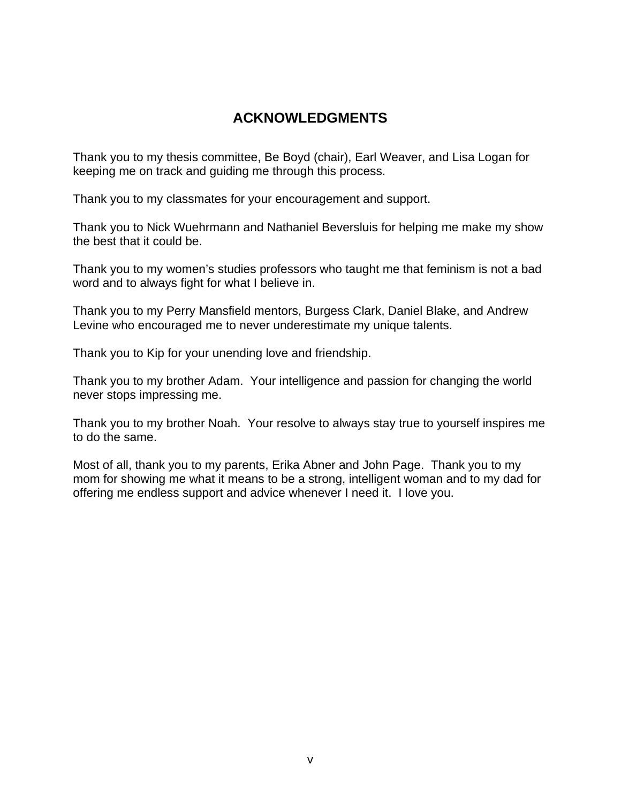# **ACKNOWLEDGMENTS**

Thank you to my thesis committee, Be Boyd (chair), Earl Weaver, and Lisa Logan for keeping me on track and guiding me through this process.

Thank you to my classmates for your encouragement and support.

Thank you to Nick Wuehrmann and Nathaniel Beversluis for helping me make my show the best that it could be.

Thank you to my women's studies professors who taught me that feminism is not a bad word and to always fight for what I believe in.

Thank you to my Perry Mansfield mentors, Burgess Clark, Daniel Blake, and Andrew Levine who encouraged me to never underestimate my unique talents.

Thank you to Kip for your unending love and friendship.

Thank you to my brother Adam. Your intelligence and passion for changing the world never stops impressing me.

Thank you to my brother Noah. Your resolve to always stay true to yourself inspires me to do the same.

Most of all, thank you to my parents, Erika Abner and John Page. Thank you to my mom for showing me what it means to be a strong, intelligent woman and to my dad for offering me endless support and advice whenever I need it. I love you.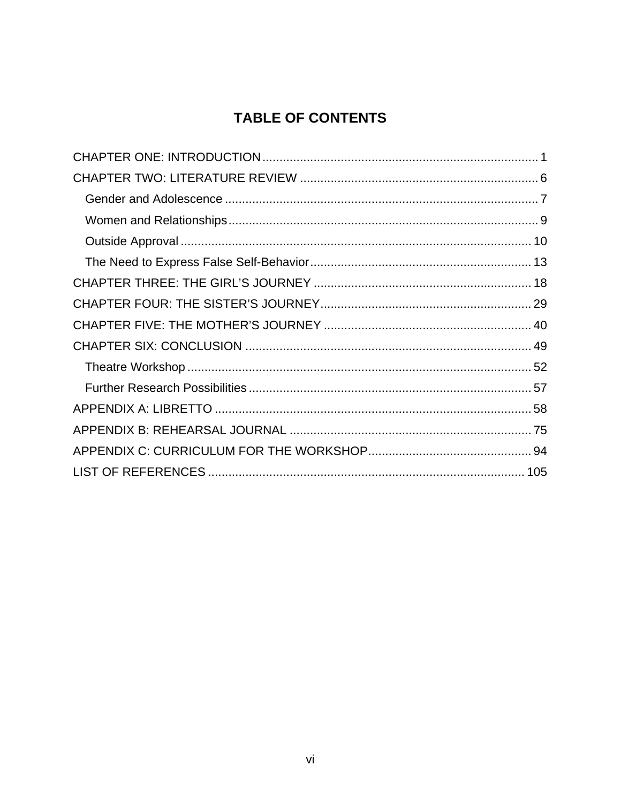# **TABLE OF CONTENTS**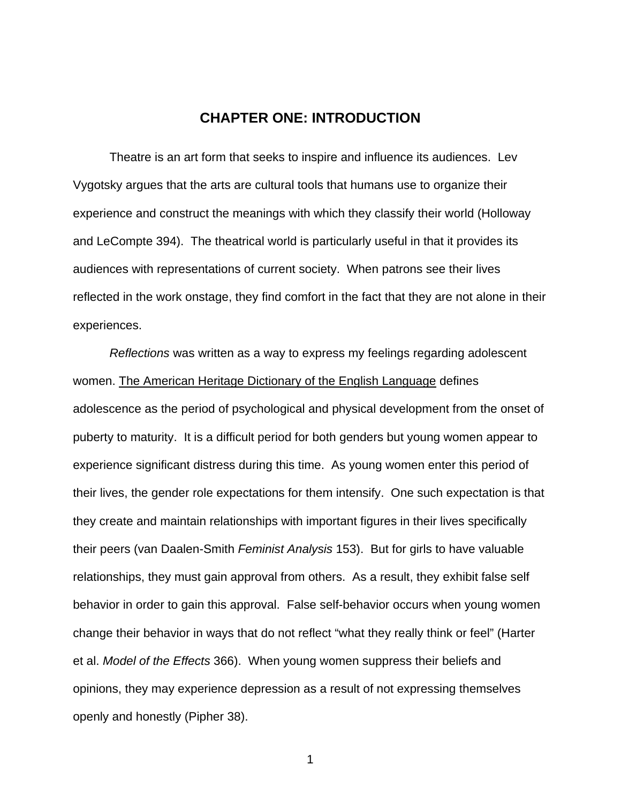## <span id="page-7-0"></span>**CHAPTER ONE: INTRODUCTION**

Theatre is an art form that seeks to inspire and influence its audiences. Lev Vygotsky argues that the arts are cultural tools that humans use to organize their experience and construct the meanings with which they classify their world (Holloway and LeCompte 394). The theatrical world is particularly useful in that it provides its audiences with representations of current society. When patrons see their lives reflected in the work onstage, they find comfort in the fact that they are not alone in their experiences.

*Reflections* was written as a way to express my feelings regarding adolescent women. The American Heritage Dictionary of the English Language defines adolescence as the period of psychological and physical development from the onset of puberty to maturity. It is a difficult period for both genders but young women appear to experience significant distress during this time. As young women enter this period of their lives, the gender role expectations for them intensify. One such expectation is that they create and maintain relationships with important figures in their lives specifically their peers (van Daalen-Smith *Feminist Analysis* 153). But for girls to have valuable relationships, they must gain approval from others. As a result, they exhibit false self behavior in order to gain this approval. False self-behavior occurs when young women change their behavior in ways that do not reflect "what they really think or feel" (Harter et al. *Model of the Effects* 366). When young women suppress their beliefs and opinions, they may experience depression as a result of not expressing themselves openly and honestly (Pipher 38).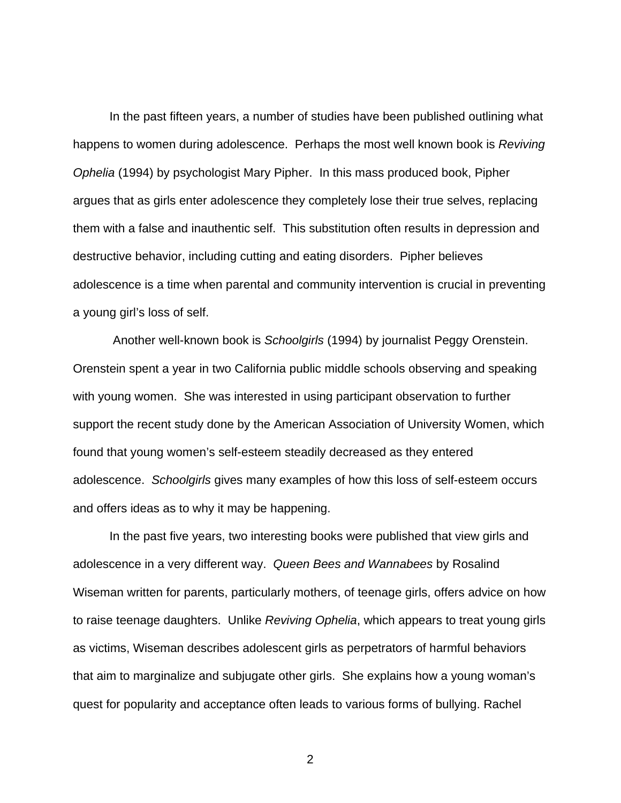In the past fifteen years, a number of studies have been published outlining what happens to women during adolescence. Perhaps the most well known book is *Reviving Ophelia* (1994) by psychologist Mary Pipher. In this mass produced book, Pipher argues that as girls enter adolescence they completely lose their true selves, replacing them with a false and inauthentic self. This substitution often results in depression and destructive behavior, including cutting and eating disorders. Pipher believes adolescence is a time when parental and community intervention is crucial in preventing a young girl's loss of self.

 Another well-known book is *Schoolgirls* (1994) by journalist Peggy Orenstein. Orenstein spent a year in two California public middle schools observing and speaking with young women. She was interested in using participant observation to further support the recent study done by the American Association of University Women, which found that young women's self-esteem steadily decreased as they entered adolescence. *Schoolgirls* gives many examples of how this loss of self-esteem occurs and offers ideas as to why it may be happening.

 In the past five years, two interesting books were published that view girls and adolescence in a very different way. *Queen Bees and Wannabees* by Rosalind Wiseman written for parents, particularly mothers, of teenage girls, offers advice on how to raise teenage daughters. Unlike *Reviving Ophelia*, which appears to treat young girls as victims, Wiseman describes adolescent girls as perpetrators of harmful behaviors that aim to marginalize and subjugate other girls. She explains how a young woman's quest for popularity and acceptance often leads to various forms of bullying. Rachel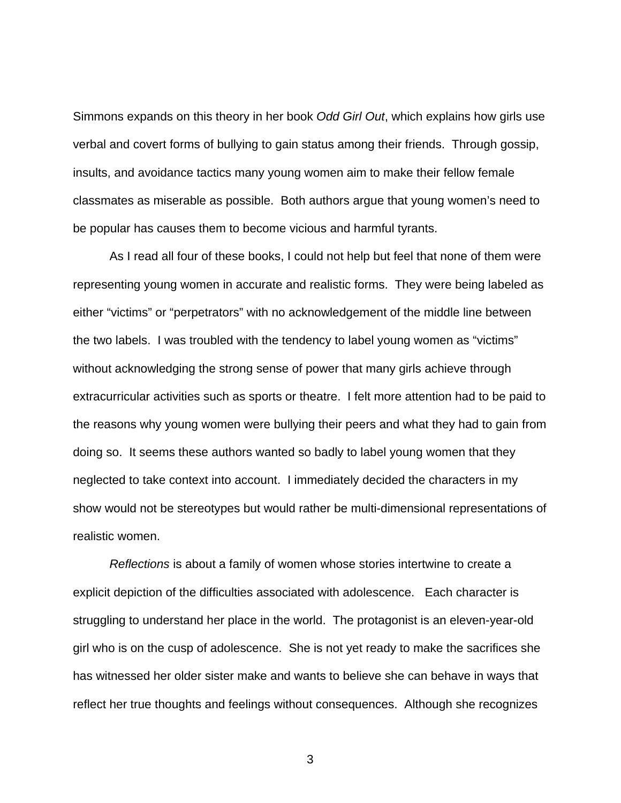Simmons expands on this theory in her book *Odd Girl Out*, which explains how girls use verbal and covert forms of bullying to gain status among their friends. Through gossip, insults, and avoidance tactics many young women aim to make their fellow female classmates as miserable as possible. Both authors argue that young women's need to be popular has causes them to become vicious and harmful tyrants.

As I read all four of these books, I could not help but feel that none of them were representing young women in accurate and realistic forms. They were being labeled as either "victims" or "perpetrators" with no acknowledgement of the middle line between the two labels. I was troubled with the tendency to label young women as "victims" without acknowledging the strong sense of power that many girls achieve through extracurricular activities such as sports or theatre. I felt more attention had to be paid to the reasons why young women were bullying their peers and what they had to gain from doing so. It seems these authors wanted so badly to label young women that they neglected to take context into account. I immediately decided the characters in my show would not be stereotypes but would rather be multi-dimensional representations of realistic women.

*Reflections* is about a family of women whose stories intertwine to create a explicit depiction of the difficulties associated with adolescence. Each character is struggling to understand her place in the world. The protagonist is an eleven-year-old girl who is on the cusp of adolescence. She is not yet ready to make the sacrifices she has witnessed her older sister make and wants to believe she can behave in ways that reflect her true thoughts and feelings without consequences. Although she recognizes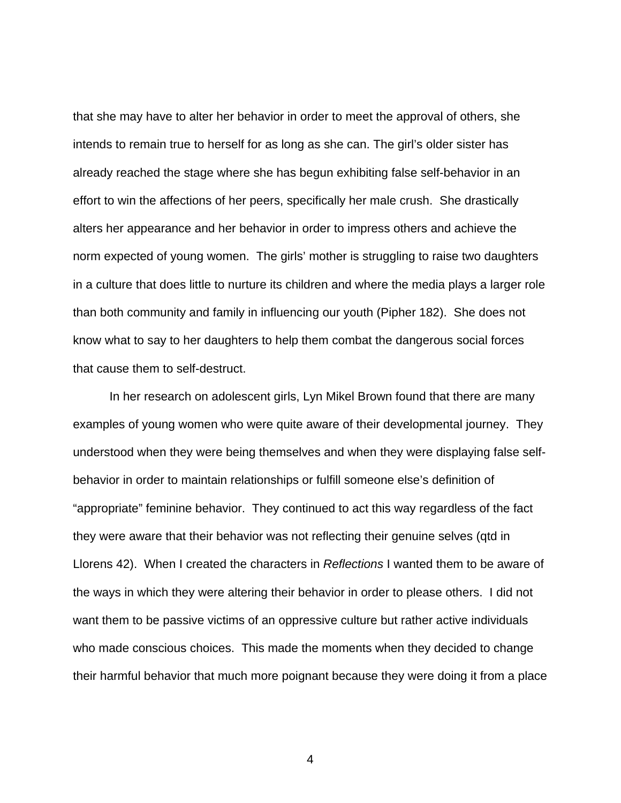that she may have to alter her behavior in order to meet the approval of others, she intends to remain true to herself for as long as she can. The girl's older sister has already reached the stage where she has begun exhibiting false self-behavior in an effort to win the affections of her peers, specifically her male crush. She drastically alters her appearance and her behavior in order to impress others and achieve the norm expected of young women. The girls' mother is struggling to raise two daughters in a culture that does little to nurture its children and where the media plays a larger role than both community and family in influencing our youth (Pipher 182). She does not know what to say to her daughters to help them combat the dangerous social forces that cause them to self-destruct.

In her research on adolescent girls, Lyn Mikel Brown found that there are many examples of young women who were quite aware of their developmental journey. They understood when they were being themselves and when they were displaying false selfbehavior in order to maintain relationships or fulfill someone else's definition of "appropriate" feminine behavior. They continued to act this way regardless of the fact they were aware that their behavior was not reflecting their genuine selves (qtd in Llorens 42). When I created the characters in *Reflections* I wanted them to be aware of the ways in which they were altering their behavior in order to please others. I did not want them to be passive victims of an oppressive culture but rather active individuals who made conscious choices. This made the moments when they decided to change their harmful behavior that much more poignant because they were doing it from a place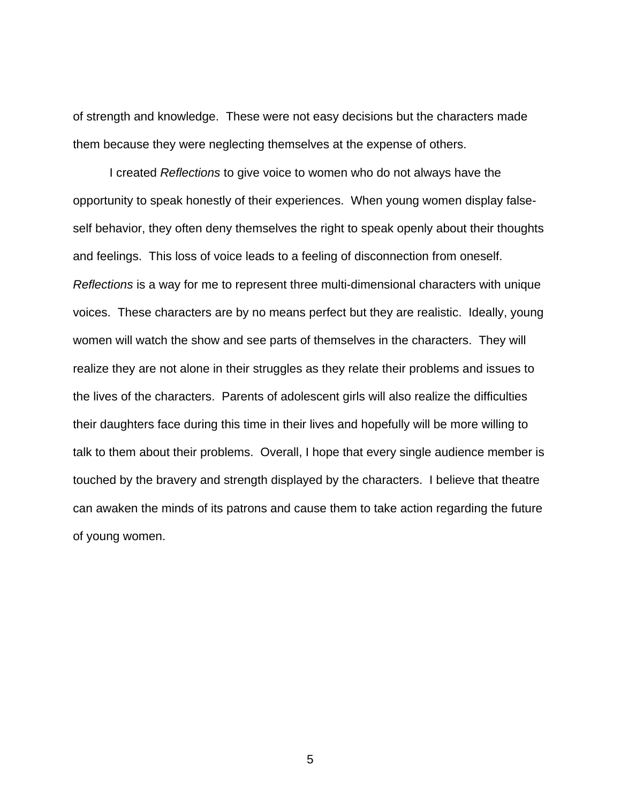of strength and knowledge. These were not easy decisions but the characters made them because they were neglecting themselves at the expense of others.

I created *Reflections* to give voice to women who do not always have the opportunity to speak honestly of their experiences. When young women display falseself behavior, they often deny themselves the right to speak openly about their thoughts and feelings. This loss of voice leads to a feeling of disconnection from oneself. *Reflections* is a way for me to represent three multi-dimensional characters with unique voices. These characters are by no means perfect but they are realistic. Ideally, young women will watch the show and see parts of themselves in the characters. They will realize they are not alone in their struggles as they relate their problems and issues to the lives of the characters. Parents of adolescent girls will also realize the difficulties their daughters face during this time in their lives and hopefully will be more willing to talk to them about their problems. Overall, I hope that every single audience member is touched by the bravery and strength displayed by the characters. I believe that theatre can awaken the minds of its patrons and cause them to take action regarding the future of young women.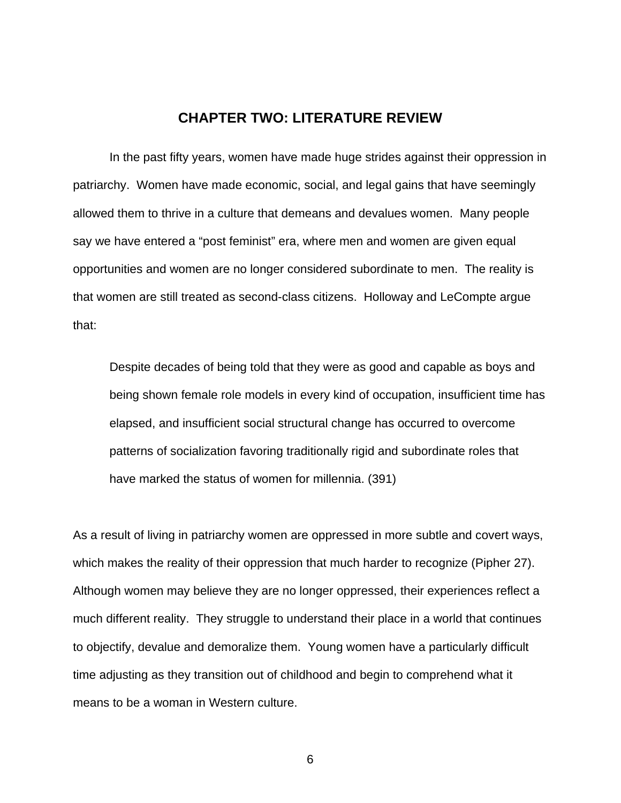## <span id="page-12-0"></span>**CHAPTER TWO: LITERATURE REVIEW**

In the past fifty years, women have made huge strides against their oppression in patriarchy. Women have made economic, social, and legal gains that have seemingly allowed them to thrive in a culture that demeans and devalues women. Many people say we have entered a "post feminist" era, where men and women are given equal opportunities and women are no longer considered subordinate to men. The reality is that women are still treated as second-class citizens. Holloway and LeCompte argue that:

Despite decades of being told that they were as good and capable as boys and being shown female role models in every kind of occupation, insufficient time has elapsed, and insufficient social structural change has occurred to overcome patterns of socialization favoring traditionally rigid and subordinate roles that have marked the status of women for millennia. (391)

As a result of living in patriarchy women are oppressed in more subtle and covert ways, which makes the reality of their oppression that much harder to recognize (Pipher 27). Although women may believe they are no longer oppressed, their experiences reflect a much different reality. They struggle to understand their place in a world that continues to objectify, devalue and demoralize them. Young women have a particularly difficult time adjusting as they transition out of childhood and begin to comprehend what it means to be a woman in Western culture.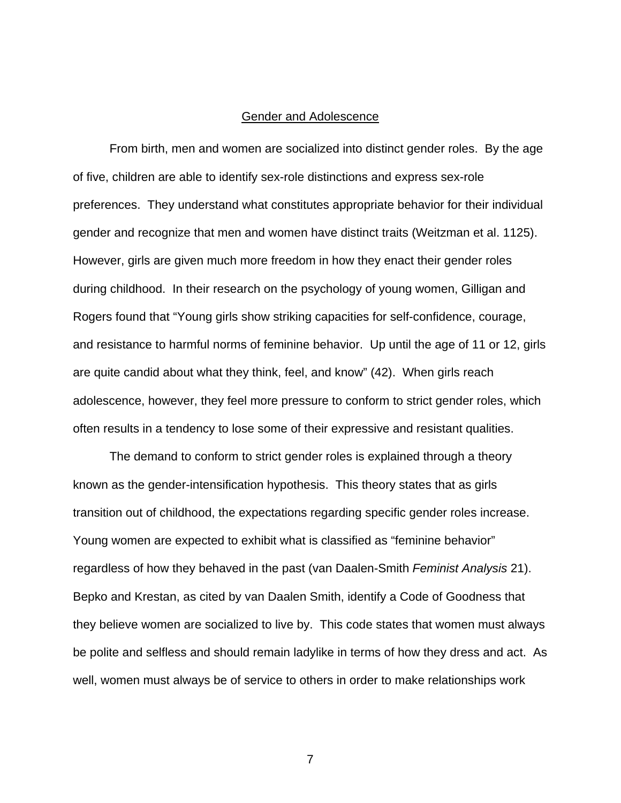#### <span id="page-13-0"></span>Gender and Adolescence

From birth, men and women are socialized into distinct gender roles. By the age of five, children are able to identify sex-role distinctions and express sex-role preferences. They understand what constitutes appropriate behavior for their individual gender and recognize that men and women have distinct traits (Weitzman et al. 1125). However, girls are given much more freedom in how they enact their gender roles during childhood. In their research on the psychology of young women, Gilligan and Rogers found that "Young girls show striking capacities for self-confidence, courage, and resistance to harmful norms of feminine behavior. Up until the age of 11 or 12, girls are quite candid about what they think, feel, and know" (42). When girls reach adolescence, however, they feel more pressure to conform to strict gender roles, which often results in a tendency to lose some of their expressive and resistant qualities.

The demand to conform to strict gender roles is explained through a theory known as the gender-intensification hypothesis. This theory states that as girls transition out of childhood, the expectations regarding specific gender roles increase. Young women are expected to exhibit what is classified as "feminine behavior" regardless of how they behaved in the past (van Daalen-Smith *Feminist Analysis* 21). Bepko and Krestan, as cited by van Daalen Smith, identify a Code of Goodness that they believe women are socialized to live by. This code states that women must always be polite and selfless and should remain ladylike in terms of how they dress and act. As well, women must always be of service to others in order to make relationships work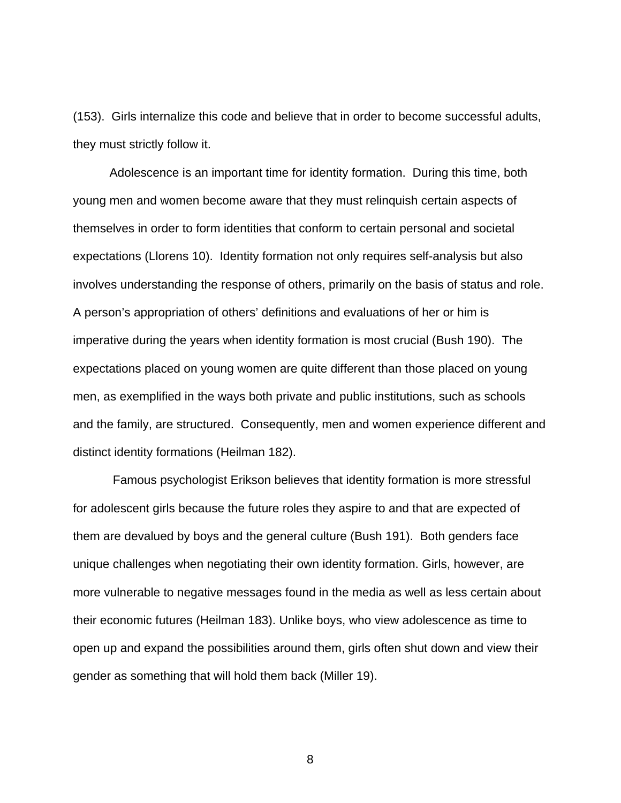(153). Girls internalize this code and believe that in order to become successful adults, they must strictly follow it.

Adolescence is an important time for identity formation. During this time, both young men and women become aware that they must relinquish certain aspects of themselves in order to form identities that conform to certain personal and societal expectations (Llorens 10). Identity formation not only requires self-analysis but also involves understanding the response of others, primarily on the basis of status and role. A person's appropriation of others' definitions and evaluations of her or him is imperative during the years when identity formation is most crucial (Bush 190). The expectations placed on young women are quite different than those placed on young men, as exemplified in the ways both private and public institutions, such as schools and the family, are structured. Consequently, men and women experience different and distinct identity formations (Heilman 182).

 Famous psychologist Erikson believes that identity formation is more stressful for adolescent girls because the future roles they aspire to and that are expected of them are devalued by boys and the general culture (Bush 191). Both genders face unique challenges when negotiating their own identity formation. Girls, however, are more vulnerable to negative messages found in the media as well as less certain about their economic futures (Heilman 183). Unlike boys, who view adolescence as time to open up and expand the possibilities around them, girls often shut down and view their gender as something that will hold them back (Miller 19).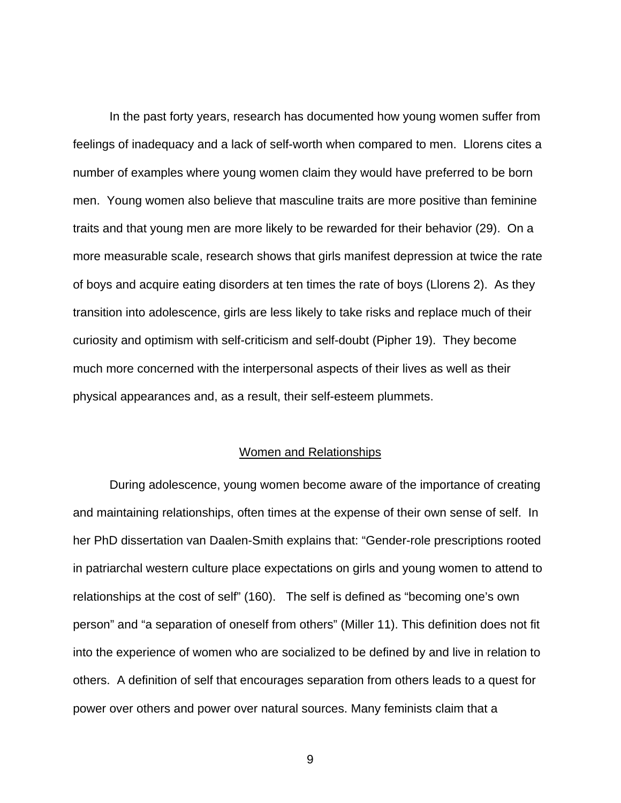In the past forty years, research has documented how young women suffer from feelings of inadequacy and a lack of self-worth when compared to men. Llorens cites a number of examples where young women claim they would have preferred to be born men. Young women also believe that masculine traits are more positive than feminine traits and that young men are more likely to be rewarded for their behavior (29). On a more measurable scale, research shows that girls manifest depression at twice the rate of boys and acquire eating disorders at ten times the rate of boys (Llorens 2). As they transition into adolescence, girls are less likely to take risks and replace much of their curiosity and optimism with self-criticism and self-doubt (Pipher 19). They become much more concerned with the interpersonal aspects of their lives as well as their physical appearances and, as a result, their self-esteem plummets.

#### <span id="page-15-0"></span>Women and Relationships

During adolescence, young women become aware of the importance of creating and maintaining relationships, often times at the expense of their own sense of self. In her PhD dissertation van Daalen-Smith explains that: "Gender-role prescriptions rooted in patriarchal western culture place expectations on girls and young women to attend to relationships at the cost of self" (160). The self is defined as "becoming one's own person" and "a separation of oneself from others" (Miller 11). This definition does not fit into the experience of women who are socialized to be defined by and live in relation to others. A definition of self that encourages separation from others leads to a quest for power over others and power over natural sources. Many feminists claim that a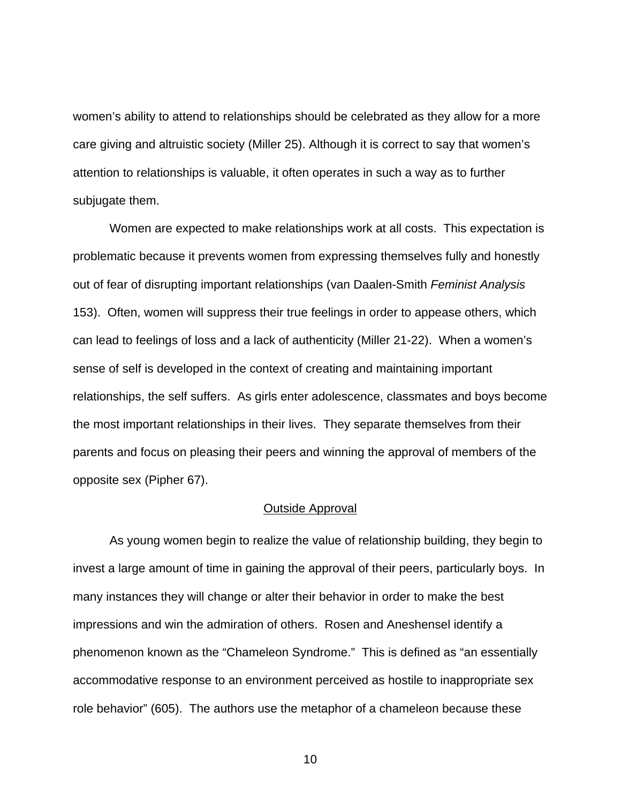women's ability to attend to relationships should be celebrated as they allow for a more care giving and altruistic society (Miller 25). Although it is correct to say that women's attention to relationships is valuable, it often operates in such a way as to further subjugate them.

 Women are expected to make relationships work at all costs. This expectation is problematic because it prevents women from expressing themselves fully and honestly out of fear of disrupting important relationships (van Daalen-Smith *Feminist Analysis* 153). Often, women will suppress their true feelings in order to appease others, which can lead to feelings of loss and a lack of authenticity (Miller 21-22). When a women's sense of self is developed in the context of creating and maintaining important relationships, the self suffers. As girls enter adolescence, classmates and boys become the most important relationships in their lives. They separate themselves from their parents and focus on pleasing their peers and winning the approval of members of the opposite sex (Pipher 67).

#### <span id="page-16-0"></span>Outside Approval

 As young women begin to realize the value of relationship building, they begin to invest a large amount of time in gaining the approval of their peers, particularly boys. In many instances they will change or alter their behavior in order to make the best impressions and win the admiration of others. Rosen and Aneshensel identify a phenomenon known as the "Chameleon Syndrome." This is defined as "an essentially accommodative response to an environment perceived as hostile to inappropriate sex role behavior" (605). The authors use the metaphor of a chameleon because these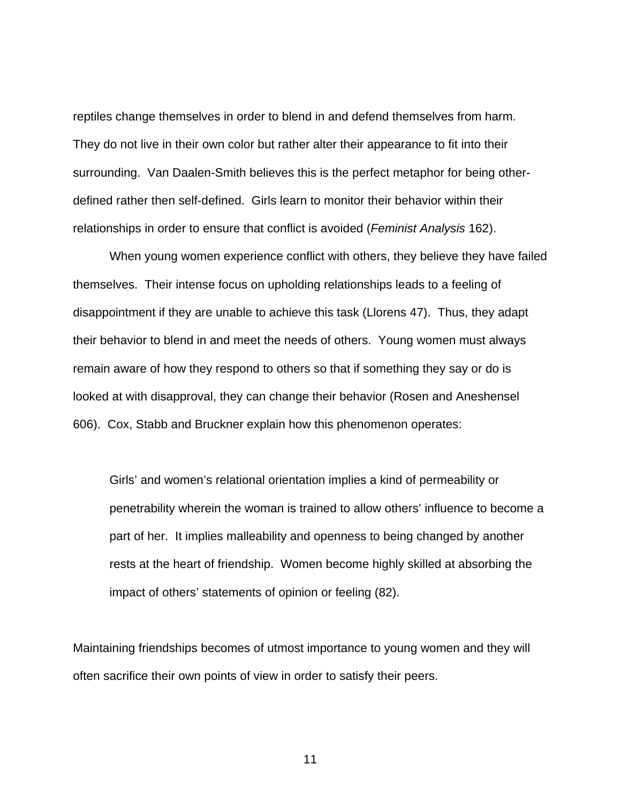reptiles change themselves in order to blend in and defend themselves from harm. They do not live in their own color but rather alter their appearance to fit into their surrounding. Van Daalen-Smith believes this is the perfect metaphor for being otherdefined rather then self-defined. Girls learn to monitor their behavior within their relationships in order to ensure that conflict is avoided (*Feminist Analysis* 162).

 When young women experience conflict with others, they believe they have failed themselves. Their intense focus on upholding relationships leads to a feeling of disappointment if they are unable to achieve this task (Llorens 47). Thus, they adapt their behavior to blend in and meet the needs of others. Young women must always remain aware of how they respond to others so that if something they say or do is looked at with disapproval, they can change their behavior (Rosen and Aneshensel 606). Cox, Stabb and Bruckner explain how this phenomenon operates:

Girls' and women's relational orientation implies a kind of permeability or penetrability wherein the woman is trained to allow others' influence to become a part of her. It implies malleability and openness to being changed by another rests at the heart of friendship. Women become highly skilled at absorbing the impact of others' statements of opinion or feeling (82).

Maintaining friendships becomes of utmost importance to young women and they will often sacrifice their own points of view in order to satisfy their peers.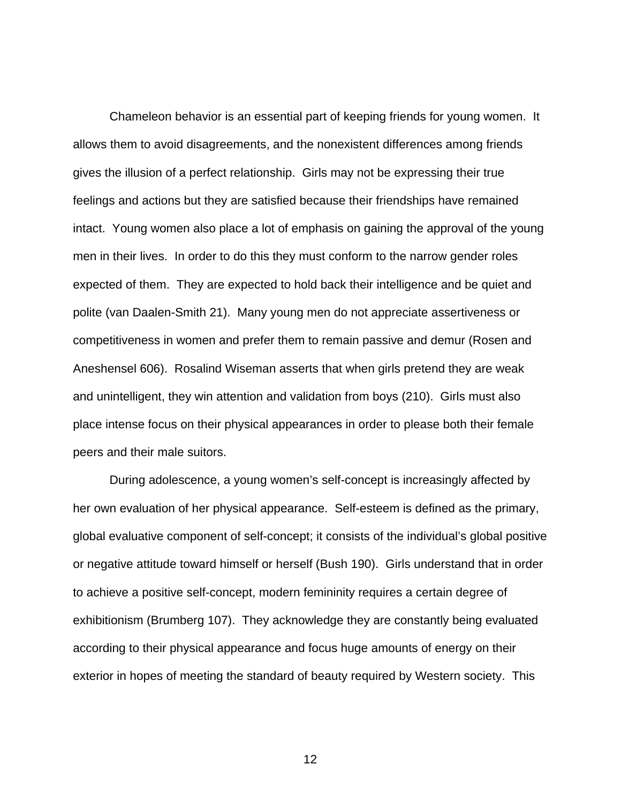Chameleon behavior is an essential part of keeping friends for young women. It allows them to avoid disagreements, and the nonexistent differences among friends gives the illusion of a perfect relationship. Girls may not be expressing their true feelings and actions but they are satisfied because their friendships have remained intact. Young women also place a lot of emphasis on gaining the approval of the young men in their lives. In order to do this they must conform to the narrow gender roles expected of them. They are expected to hold back their intelligence and be quiet and polite (van Daalen-Smith 21). Many young men do not appreciate assertiveness or competitiveness in women and prefer them to remain passive and demur (Rosen and Aneshensel 606). Rosalind Wiseman asserts that when girls pretend they are weak and unintelligent, they win attention and validation from boys (210). Girls must also place intense focus on their physical appearances in order to please both their female peers and their male suitors.

During adolescence, a young women's self-concept is increasingly affected by her own evaluation of her physical appearance. Self-esteem is defined as the primary, global evaluative component of self-concept; it consists of the individual's global positive or negative attitude toward himself or herself (Bush 190). Girls understand that in order to achieve a positive self-concept, modern femininity requires a certain degree of exhibitionism (Brumberg 107). They acknowledge they are constantly being evaluated according to their physical appearance and focus huge amounts of energy on their exterior in hopes of meeting the standard of beauty required by Western society. This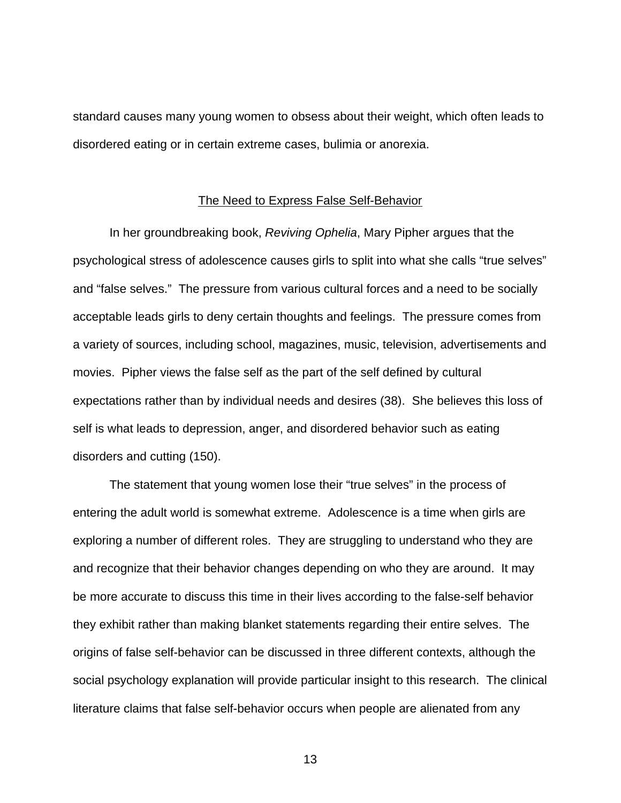standard causes many young women to obsess about their weight, which often leads to disordered eating or in certain extreme cases, bulimia or anorexia.

#### <span id="page-19-0"></span>The Need to Express False Self-Behavior

In her groundbreaking book, *Reviving Ophelia*, Mary Pipher argues that the psychological stress of adolescence causes girls to split into what she calls "true selves" and "false selves." The pressure from various cultural forces and a need to be socially acceptable leads girls to deny certain thoughts and feelings. The pressure comes from a variety of sources, including school, magazines, music, television, advertisements and movies. Pipher views the false self as the part of the self defined by cultural expectations rather than by individual needs and desires (38). She believes this loss of self is what leads to depression, anger, and disordered behavior such as eating disorders and cutting (150).

The statement that young women lose their "true selves" in the process of entering the adult world is somewhat extreme. Adolescence is a time when girls are exploring a number of different roles. They are struggling to understand who they are and recognize that their behavior changes depending on who they are around. It may be more accurate to discuss this time in their lives according to the false-self behavior they exhibit rather than making blanket statements regarding their entire selves. The origins of false self-behavior can be discussed in three different contexts, although the social psychology explanation will provide particular insight to this research. The clinical literature claims that false self-behavior occurs when people are alienated from any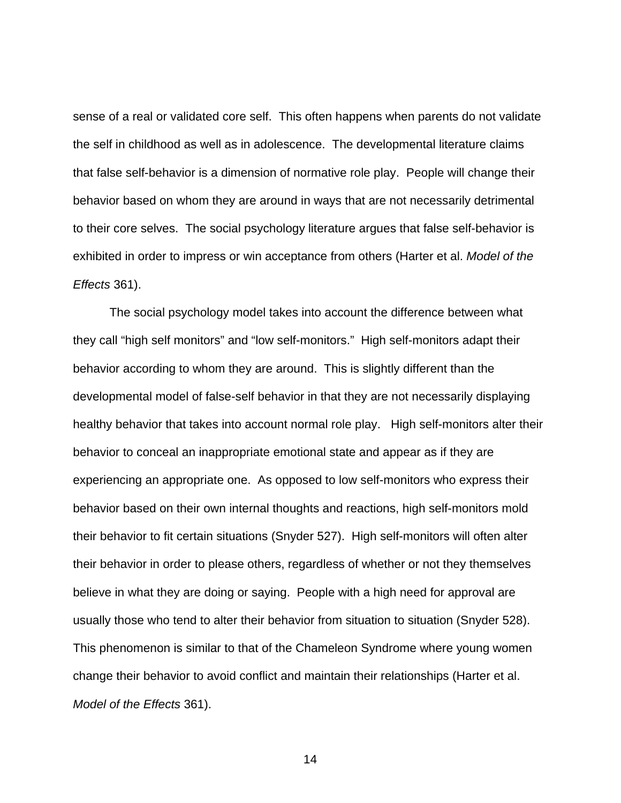sense of a real or validated core self. This often happens when parents do not validate the self in childhood as well as in adolescence. The developmental literature claims that false self-behavior is a dimension of normative role play. People will change their behavior based on whom they are around in ways that are not necessarily detrimental to their core selves. The social psychology literature argues that false self-behavior is exhibited in order to impress or win acceptance from others (Harter et al. *Model of the Effects* 361).

The social psychology model takes into account the difference between what they call "high self monitors" and "low self-monitors." High self-monitors adapt their behavior according to whom they are around. This is slightly different than the developmental model of false-self behavior in that they are not necessarily displaying healthy behavior that takes into account normal role play. High self-monitors alter their behavior to conceal an inappropriate emotional state and appear as if they are experiencing an appropriate one. As opposed to low self-monitors who express their behavior based on their own internal thoughts and reactions, high self-monitors mold their behavior to fit certain situations (Snyder 527). High self-monitors will often alter their behavior in order to please others, regardless of whether or not they themselves believe in what they are doing or saying. People with a high need for approval are usually those who tend to alter their behavior from situation to situation (Snyder 528). This phenomenon is similar to that of the Chameleon Syndrome where young women change their behavior to avoid conflict and maintain their relationships (Harter et al. *Model of the Effects* 361).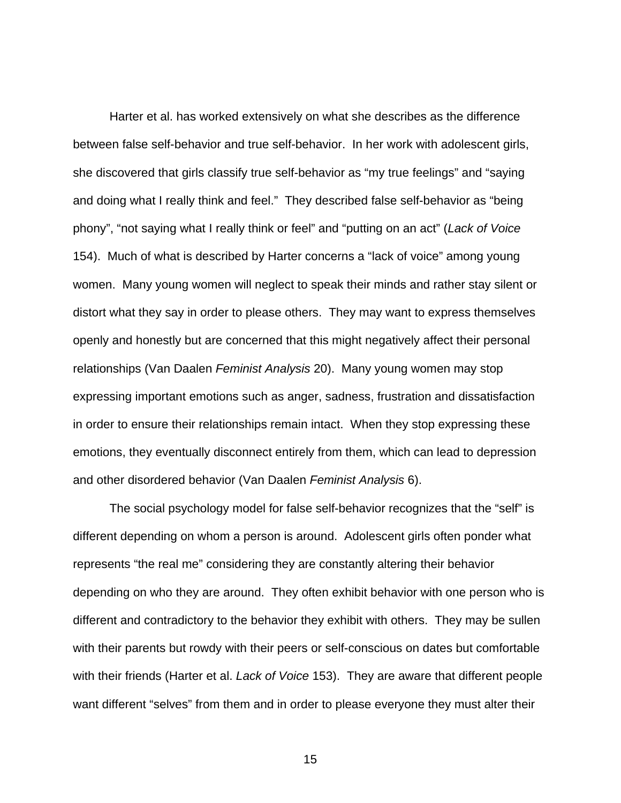Harter et al. has worked extensively on what she describes as the difference between false self-behavior and true self-behavior. In her work with adolescent girls, she discovered that girls classify true self-behavior as "my true feelings" and "saying and doing what I really think and feel." They described false self-behavior as "being phony", "not saying what I really think or feel" and "putting on an act" (*Lack of Voice*  154). Much of what is described by Harter concerns a "lack of voice" among young women. Many young women will neglect to speak their minds and rather stay silent or distort what they say in order to please others. They may want to express themselves openly and honestly but are concerned that this might negatively affect their personal relationships (Van Daalen *Feminist Analysis* 20). Many young women may stop expressing important emotions such as anger, sadness, frustration and dissatisfaction in order to ensure their relationships remain intact. When they stop expressing these emotions, they eventually disconnect entirely from them, which can lead to depression and other disordered behavior (Van Daalen *Feminist Analysis* 6).

The social psychology model for false self-behavior recognizes that the "self" is different depending on whom a person is around. Adolescent girls often ponder what represents "the real me" considering they are constantly altering their behavior depending on who they are around. They often exhibit behavior with one person who is different and contradictory to the behavior they exhibit with others. They may be sullen with their parents but rowdy with their peers or self-conscious on dates but comfortable with their friends (Harter et al. *Lack of Voice* 153). They are aware that different people want different "selves" from them and in order to please everyone they must alter their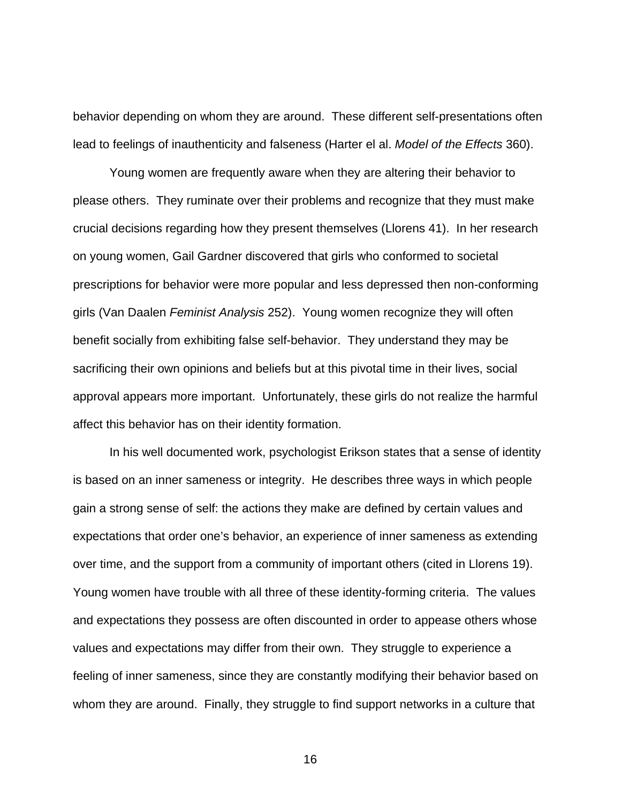behavior depending on whom they are around. These different self-presentations often lead to feelings of inauthenticity and falseness (Harter el al. *Model of the Effects* 360).

 Young women are frequently aware when they are altering their behavior to please others. They ruminate over their problems and recognize that they must make crucial decisions regarding how they present themselves (Llorens 41). In her research on young women, Gail Gardner discovered that girls who conformed to societal prescriptions for behavior were more popular and less depressed then non-conforming girls (Van Daalen *Feminist Analysis* 252). Young women recognize they will often benefit socially from exhibiting false self-behavior. They understand they may be sacrificing their own opinions and beliefs but at this pivotal time in their lives, social approval appears more important. Unfortunately, these girls do not realize the harmful affect this behavior has on their identity formation.

 In his well documented work, psychologist Erikson states that a sense of identity is based on an inner sameness or integrity. He describes three ways in which people gain a strong sense of self: the actions they make are defined by certain values and expectations that order one's behavior, an experience of inner sameness as extending over time, and the support from a community of important others (cited in Llorens 19). Young women have trouble with all three of these identity-forming criteria. The values and expectations they possess are often discounted in order to appease others whose values and expectations may differ from their own. They struggle to experience a feeling of inner sameness, since they are constantly modifying their behavior based on whom they are around. Finally, they struggle to find support networks in a culture that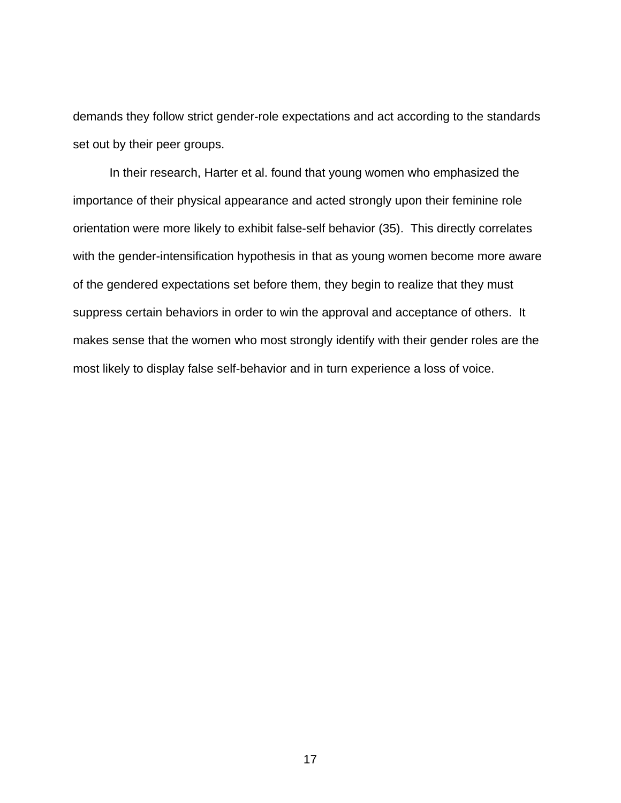demands they follow strict gender-role expectations and act according to the standards set out by their peer groups.

 In their research, Harter et al. found that young women who emphasized the importance of their physical appearance and acted strongly upon their feminine role orientation were more likely to exhibit false-self behavior (35). This directly correlates with the gender-intensification hypothesis in that as young women become more aware of the gendered expectations set before them, they begin to realize that they must suppress certain behaviors in order to win the approval and acceptance of others. It makes sense that the women who most strongly identify with their gender roles are the most likely to display false self-behavior and in turn experience a loss of voice.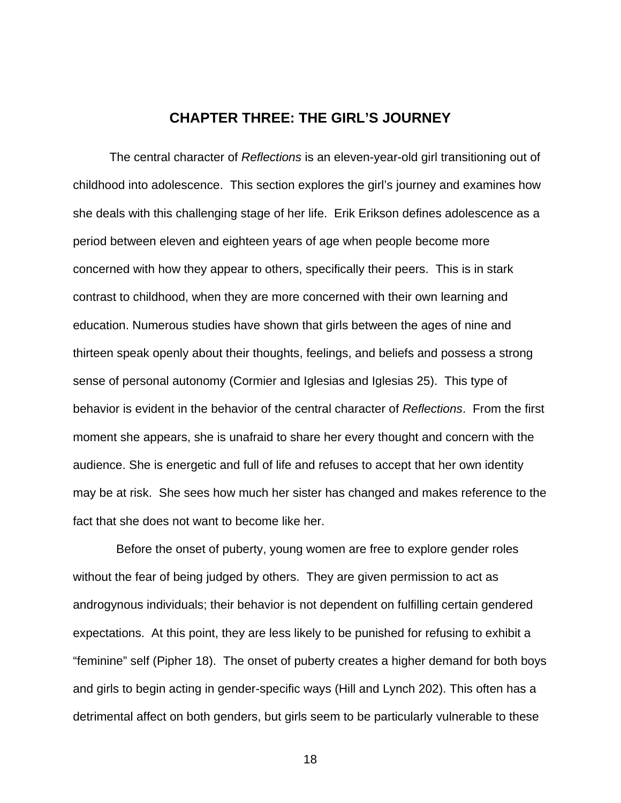## <span id="page-24-0"></span>**CHAPTER THREE: THE GIRL'S JOURNEY**

The central character of *Reflections* is an eleven-year-old girl transitioning out of childhood into adolescence. This section explores the girl's journey and examines how she deals with this challenging stage of her life. Erik Erikson defines adolescence as a period between eleven and eighteen years of age when people become more concerned with how they appear to others, specifically their peers. This is in stark contrast to childhood, when they are more concerned with their own learning and education. Numerous studies have shown that girls between the ages of nine and thirteen speak openly about their thoughts, feelings, and beliefs and possess a strong sense of personal autonomy (Cormier and Iglesias and Iglesias 25). This type of behavior is evident in the behavior of the central character of *Reflections*. From the first moment she appears, she is unafraid to share her every thought and concern with the audience. She is energetic and full of life and refuses to accept that her own identity may be at risk. She sees how much her sister has changed and makes reference to the fact that she does not want to become like her.

 Before the onset of puberty, young women are free to explore gender roles without the fear of being judged by others. They are given permission to act as androgynous individuals; their behavior is not dependent on fulfilling certain gendered expectations. At this point, they are less likely to be punished for refusing to exhibit a "feminine" self (Pipher 18). The onset of puberty creates a higher demand for both boys and girls to begin acting in gender-specific ways (Hill and Lynch 202). This often has a detrimental affect on both genders, but girls seem to be particularly vulnerable to these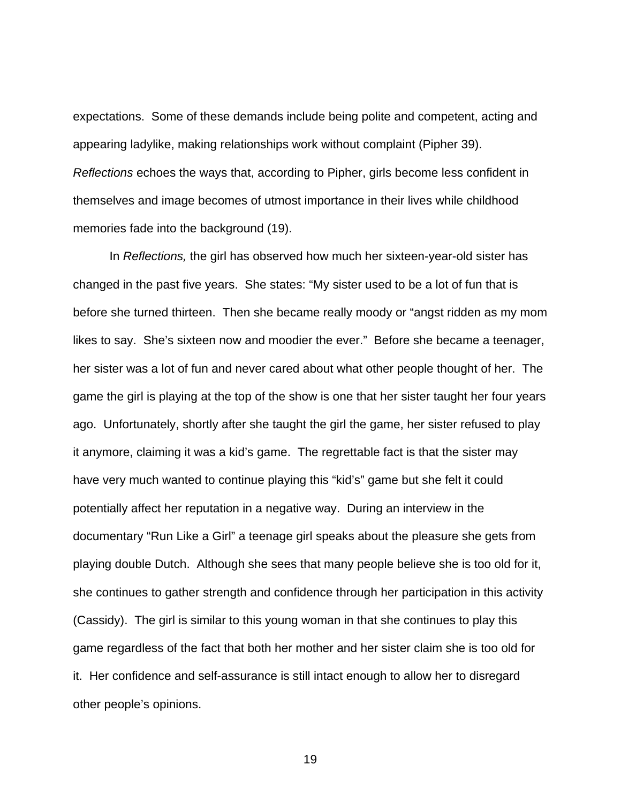expectations. Some of these demands include being polite and competent, acting and appearing ladylike, making relationships work without complaint (Pipher 39). *Reflections* echoes the ways that, according to Pipher, girls become less confident in themselves and image becomes of utmost importance in their lives while childhood memories fade into the background (19).

In *Reflections,* the girl has observed how much her sixteen-year-old sister has changed in the past five years. She states: "My sister used to be a lot of fun that is before she turned thirteen. Then she became really moody or "angst ridden as my mom likes to say. She's sixteen now and moodier the ever." Before she became a teenager, her sister was a lot of fun and never cared about what other people thought of her. The game the girl is playing at the top of the show is one that her sister taught her four years ago. Unfortunately, shortly after she taught the girl the game, her sister refused to play it anymore, claiming it was a kid's game. The regrettable fact is that the sister may have very much wanted to continue playing this "kid's" game but she felt it could potentially affect her reputation in a negative way. During an interview in the documentary "Run Like a Girl" a teenage girl speaks about the pleasure she gets from playing double Dutch. Although she sees that many people believe she is too old for it, she continues to gather strength and confidence through her participation in this activity (Cassidy). The girl is similar to this young woman in that she continues to play this game regardless of the fact that both her mother and her sister claim she is too old for it. Her confidence and self-assurance is still intact enough to allow her to disregard other people's opinions.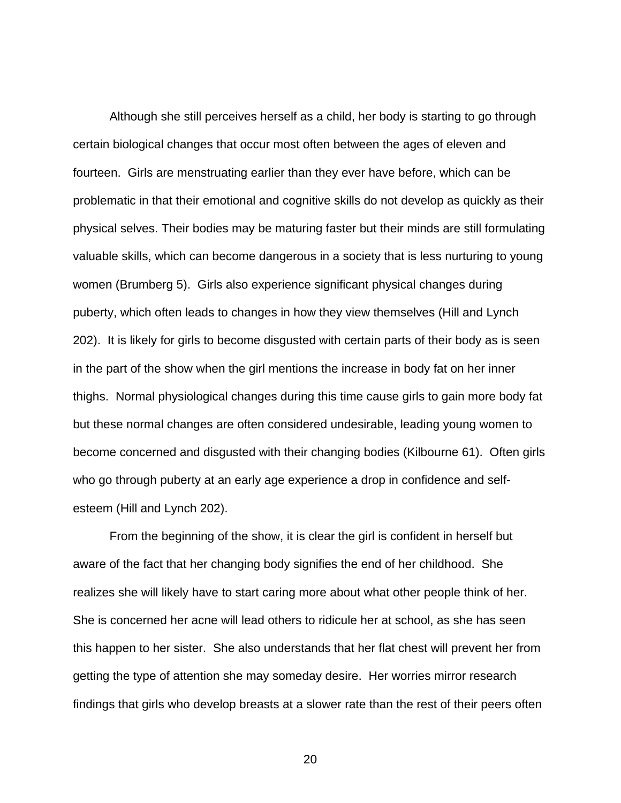Although she still perceives herself as a child, her body is starting to go through certain biological changes that occur most often between the ages of eleven and fourteen. Girls are menstruating earlier than they ever have before, which can be problematic in that their emotional and cognitive skills do not develop as quickly as their physical selves. Their bodies may be maturing faster but their minds are still formulating valuable skills, which can become dangerous in a society that is less nurturing to young women (Brumberg 5). Girls also experience significant physical changes during puberty, which often leads to changes in how they view themselves (Hill and Lynch 202). It is likely for girls to become disgusted with certain parts of their body as is seen in the part of the show when the girl mentions the increase in body fat on her inner thighs. Normal physiological changes during this time cause girls to gain more body fat but these normal changes are often considered undesirable, leading young women to become concerned and disgusted with their changing bodies (Kilbourne 61). Often girls who go through puberty at an early age experience a drop in confidence and selfesteem (Hill and Lynch 202).

From the beginning of the show, it is clear the girl is confident in herself but aware of the fact that her changing body signifies the end of her childhood. She realizes she will likely have to start caring more about what other people think of her. She is concerned her acne will lead others to ridicule her at school, as she has seen this happen to her sister. She also understands that her flat chest will prevent her from getting the type of attention she may someday desire. Her worries mirror research findings that girls who develop breasts at a slower rate than the rest of their peers often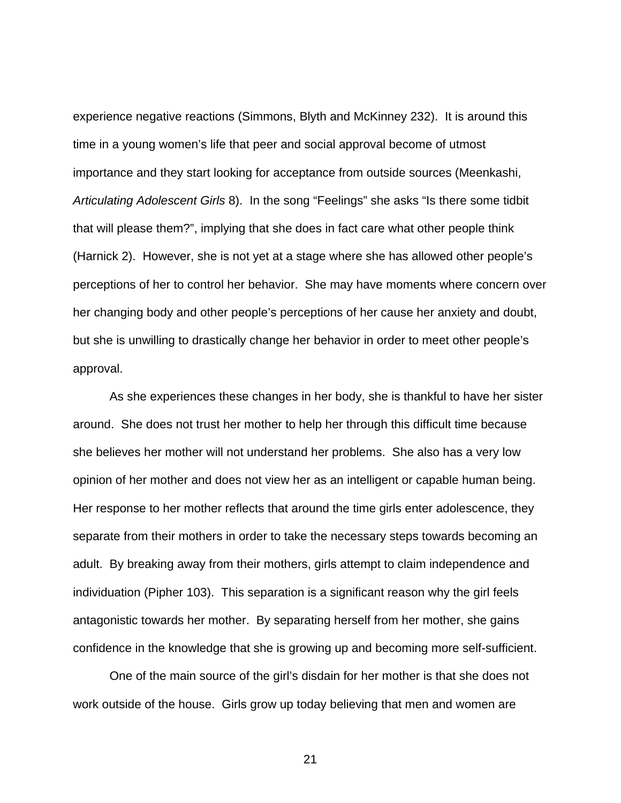experience negative reactions (Simmons, Blyth and McKinney 232). It is around this time in a young women's life that peer and social approval become of utmost importance and they start looking for acceptance from outside sources (Meenkashi, *Articulating Adolescent Girls* 8). In the song "Feelings" she asks "Is there some tidbit that will please them?", implying that she does in fact care what other people think (Harnick 2). However, she is not yet at a stage where she has allowed other people's perceptions of her to control her behavior. She may have moments where concern over her changing body and other people's perceptions of her cause her anxiety and doubt, but she is unwilling to drastically change her behavior in order to meet other people's approval.

As she experiences these changes in her body, she is thankful to have her sister around. She does not trust her mother to help her through this difficult time because she believes her mother will not understand her problems. She also has a very low opinion of her mother and does not view her as an intelligent or capable human being. Her response to her mother reflects that around the time girls enter adolescence, they separate from their mothers in order to take the necessary steps towards becoming an adult. By breaking away from their mothers, girls attempt to claim independence and individuation (Pipher 103). This separation is a significant reason why the girl feels antagonistic towards her mother. By separating herself from her mother, she gains confidence in the knowledge that she is growing up and becoming more self-sufficient.

One of the main source of the girl's disdain for her mother is that she does not work outside of the house. Girls grow up today believing that men and women are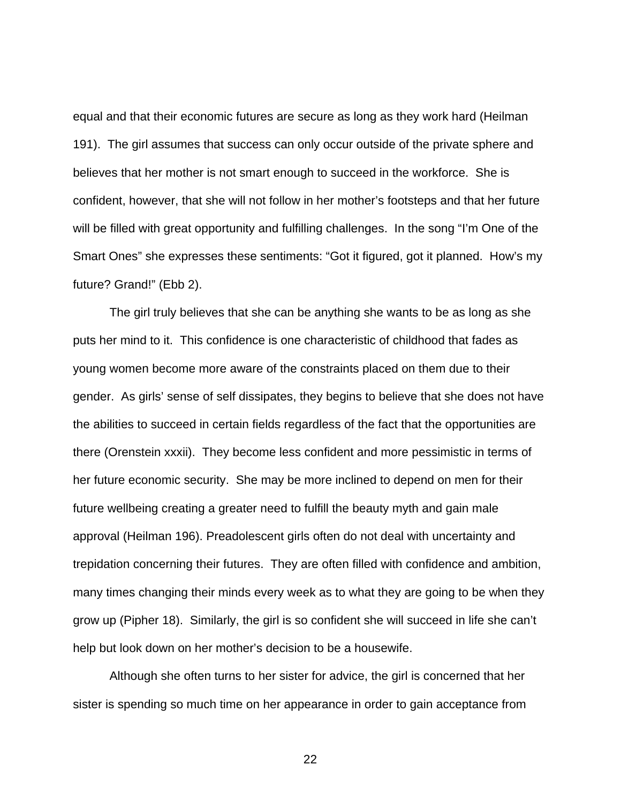equal and that their economic futures are secure as long as they work hard (Heilman 191). The girl assumes that success can only occur outside of the private sphere and believes that her mother is not smart enough to succeed in the workforce. She is confident, however, that she will not follow in her mother's footsteps and that her future will be filled with great opportunity and fulfilling challenges. In the song "I'm One of the Smart Ones" she expresses these sentiments: "Got it figured, got it planned. How's my future? Grand!" (Ebb 2).

The girl truly believes that she can be anything she wants to be as long as she puts her mind to it. This confidence is one characteristic of childhood that fades as young women become more aware of the constraints placed on them due to their gender. As girls' sense of self dissipates, they begins to believe that she does not have the abilities to succeed in certain fields regardless of the fact that the opportunities are there (Orenstein xxxii). They become less confident and more pessimistic in terms of her future economic security. She may be more inclined to depend on men for their future wellbeing creating a greater need to fulfill the beauty myth and gain male approval (Heilman 196). Preadolescent girls often do not deal with uncertainty and trepidation concerning their futures. They are often filled with confidence and ambition, many times changing their minds every week as to what they are going to be when they grow up (Pipher 18). Similarly, the girl is so confident she will succeed in life she can't help but look down on her mother's decision to be a housewife.

Although she often turns to her sister for advice, the girl is concerned that her sister is spending so much time on her appearance in order to gain acceptance from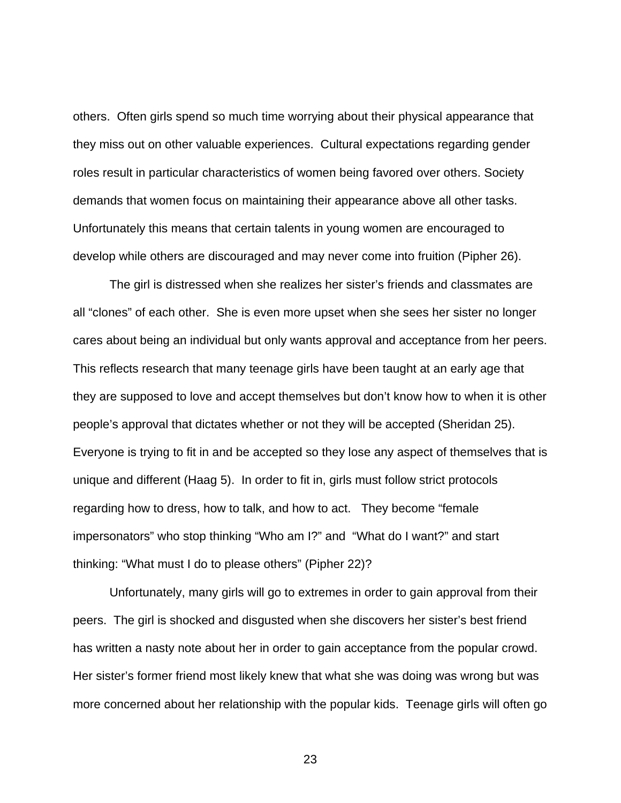others. Often girls spend so much time worrying about their physical appearance that they miss out on other valuable experiences. Cultural expectations regarding gender roles result in particular characteristics of women being favored over others. Society demands that women focus on maintaining their appearance above all other tasks. Unfortunately this means that certain talents in young women are encouraged to develop while others are discouraged and may never come into fruition (Pipher 26).

The girl is distressed when she realizes her sister's friends and classmates are all "clones" of each other. She is even more upset when she sees her sister no longer cares about being an individual but only wants approval and acceptance from her peers. This reflects research that many teenage girls have been taught at an early age that they are supposed to love and accept themselves but don't know how to when it is other people's approval that dictates whether or not they will be accepted (Sheridan 25). Everyone is trying to fit in and be accepted so they lose any aspect of themselves that is unique and different (Haag 5). In order to fit in, girls must follow strict protocols regarding how to dress, how to talk, and how to act. They become "female impersonators" who stop thinking "Who am I?" and "What do I want?" and start thinking: "What must I do to please others" (Pipher 22)?

Unfortunately, many girls will go to extremes in order to gain approval from their peers. The girl is shocked and disgusted when she discovers her sister's best friend has written a nasty note about her in order to gain acceptance from the popular crowd. Her sister's former friend most likely knew that what she was doing was wrong but was more concerned about her relationship with the popular kids. Teenage girls will often go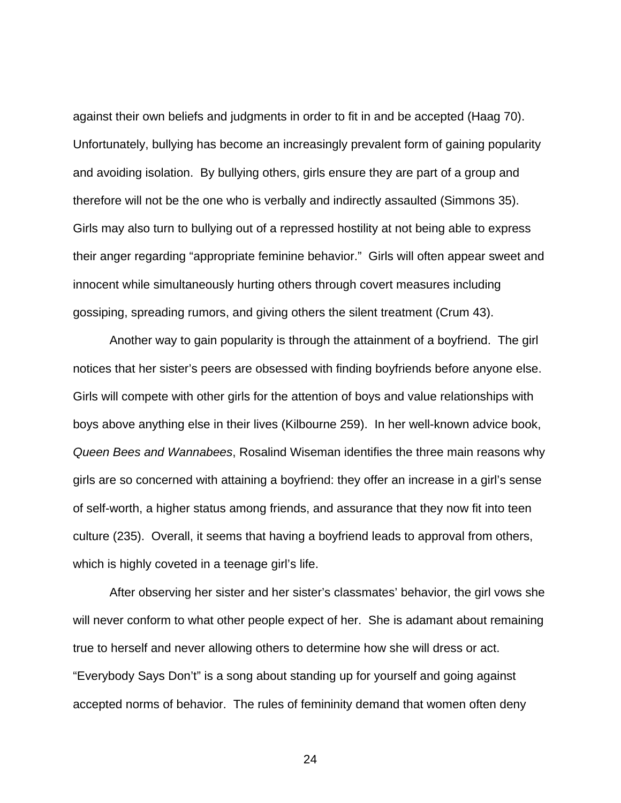against their own beliefs and judgments in order to fit in and be accepted (Haag 70). Unfortunately, bullying has become an increasingly prevalent form of gaining popularity and avoiding isolation. By bullying others, girls ensure they are part of a group and therefore will not be the one who is verbally and indirectly assaulted (Simmons 35). Girls may also turn to bullying out of a repressed hostility at not being able to express their anger regarding "appropriate feminine behavior." Girls will often appear sweet and innocent while simultaneously hurting others through covert measures including gossiping, spreading rumors, and giving others the silent treatment (Crum 43).

Another way to gain popularity is through the attainment of a boyfriend. The girl notices that her sister's peers are obsessed with finding boyfriends before anyone else. Girls will compete with other girls for the attention of boys and value relationships with boys above anything else in their lives (Kilbourne 259). In her well-known advice book, *Queen Bees and Wannabees*, Rosalind Wiseman identifies the three main reasons why girls are so concerned with attaining a boyfriend: they offer an increase in a girl's sense of self-worth, a higher status among friends, and assurance that they now fit into teen culture (235). Overall, it seems that having a boyfriend leads to approval from others, which is highly coveted in a teenage girl's life.

After observing her sister and her sister's classmates' behavior, the girl vows she will never conform to what other people expect of her. She is adamant about remaining true to herself and never allowing others to determine how she will dress or act. "Everybody Says Don't" is a song about standing up for yourself and going against accepted norms of behavior. The rules of femininity demand that women often deny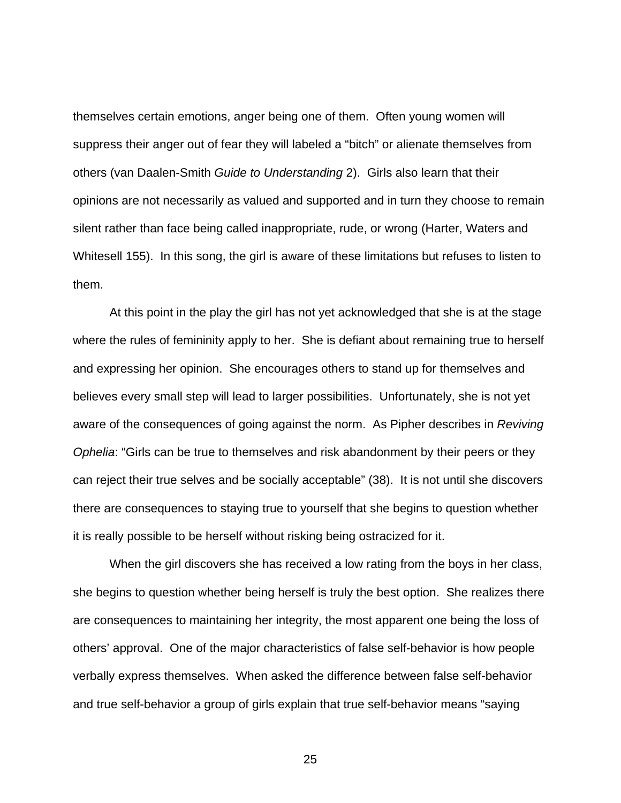themselves certain emotions, anger being one of them. Often young women will suppress their anger out of fear they will labeled a "bitch" or alienate themselves from others (van Daalen-Smith *Guide to Understanding* 2). Girls also learn that their opinions are not necessarily as valued and supported and in turn they choose to remain silent rather than face being called inappropriate, rude, or wrong (Harter, Waters and Whitesell 155). In this song, the girl is aware of these limitations but refuses to listen to them.

At this point in the play the girl has not yet acknowledged that she is at the stage where the rules of femininity apply to her. She is defiant about remaining true to herself and expressing her opinion. She encourages others to stand up for themselves and believes every small step will lead to larger possibilities. Unfortunately, she is not yet aware of the consequences of going against the norm. As Pipher describes in *Reviving Ophelia*: "Girls can be true to themselves and risk abandonment by their peers or they can reject their true selves and be socially acceptable" (38). It is not until she discovers there are consequences to staying true to yourself that she begins to question whether it is really possible to be herself without risking being ostracized for it.

 When the girl discovers she has received a low rating from the boys in her class, she begins to question whether being herself is truly the best option. She realizes there are consequences to maintaining her integrity, the most apparent one being the loss of others' approval. One of the major characteristics of false self-behavior is how people verbally express themselves. When asked the difference between false self-behavior and true self-behavior a group of girls explain that true self-behavior means "saying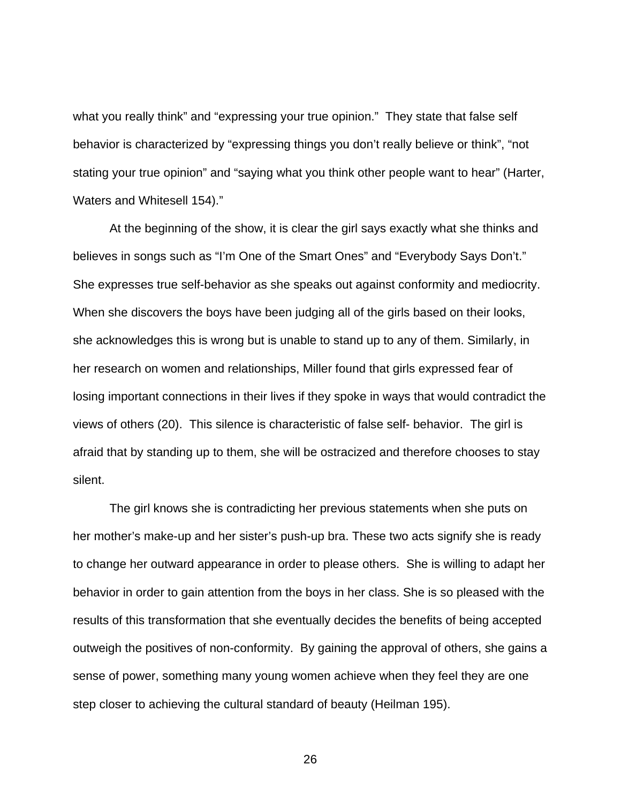what you really think" and "expressing your true opinion." They state that false self behavior is characterized by "expressing things you don't really believe or think", "not stating your true opinion" and "saying what you think other people want to hear" (Harter, Waters and Whitesell 154)."

At the beginning of the show, it is clear the girl says exactly what she thinks and believes in songs such as "I'm One of the Smart Ones" and "Everybody Says Don't." She expresses true self-behavior as she speaks out against conformity and mediocrity. When she discovers the boys have been judging all of the girls based on their looks, she acknowledges this is wrong but is unable to stand up to any of them. Similarly, in her research on women and relationships, Miller found that girls expressed fear of losing important connections in their lives if they spoke in ways that would contradict the views of others (20). This silence is characteristic of false self- behavior. The girl is afraid that by standing up to them, she will be ostracized and therefore chooses to stay silent.

The girl knows she is contradicting her previous statements when she puts on her mother's make-up and her sister's push-up bra. These two acts signify she is ready to change her outward appearance in order to please others. She is willing to adapt her behavior in order to gain attention from the boys in her class. She is so pleased with the results of this transformation that she eventually decides the benefits of being accepted outweigh the positives of non-conformity. By gaining the approval of others, she gains a sense of power, something many young women achieve when they feel they are one step closer to achieving the cultural standard of beauty (Heilman 195).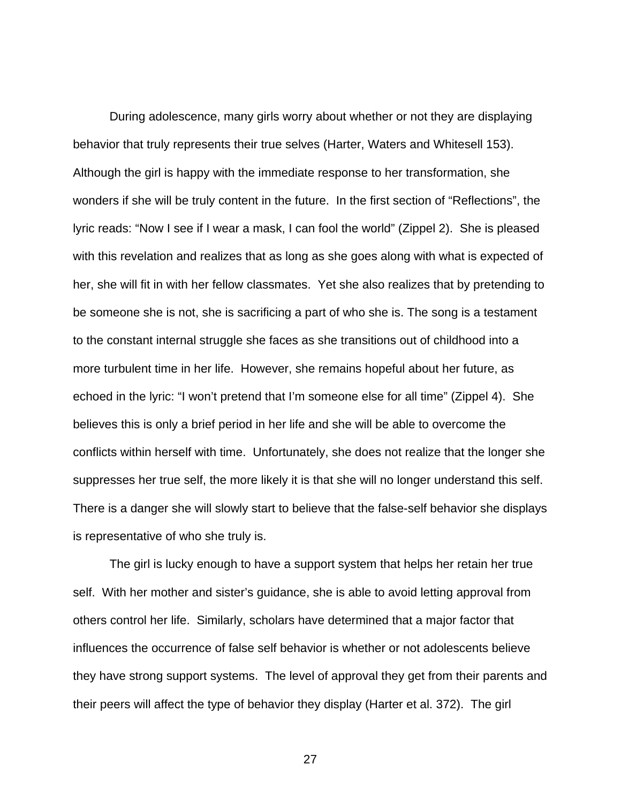During adolescence, many girls worry about whether or not they are displaying behavior that truly represents their true selves (Harter, Waters and Whitesell 153). Although the girl is happy with the immediate response to her transformation, she wonders if she will be truly content in the future. In the first section of "Reflections", the lyric reads: "Now I see if I wear a mask, I can fool the world" (Zippel 2). She is pleased with this revelation and realizes that as long as she goes along with what is expected of her, she will fit in with her fellow classmates. Yet she also realizes that by pretending to be someone she is not, she is sacrificing a part of who she is. The song is a testament to the constant internal struggle she faces as she transitions out of childhood into a more turbulent time in her life. However, she remains hopeful about her future, as echoed in the lyric: "I won't pretend that I'm someone else for all time" (Zippel 4). She believes this is only a brief period in her life and she will be able to overcome the conflicts within herself with time. Unfortunately, she does not realize that the longer she suppresses her true self, the more likely it is that she will no longer understand this self. There is a danger she will slowly start to believe that the false-self behavior she displays is representative of who she truly is.

 The girl is lucky enough to have a support system that helps her retain her true self. With her mother and sister's guidance, she is able to avoid letting approval from others control her life. Similarly, scholars have determined that a major factor that influences the occurrence of false self behavior is whether or not adolescents believe they have strong support systems. The level of approval they get from their parents and their peers will affect the type of behavior they display (Harter et al. 372). The girl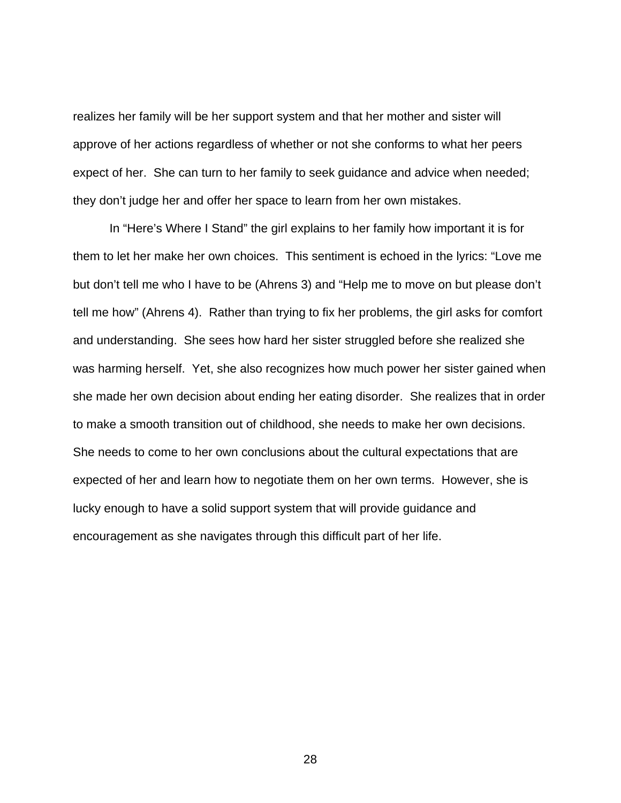realizes her family will be her support system and that her mother and sister will approve of her actions regardless of whether or not she conforms to what her peers expect of her. She can turn to her family to seek guidance and advice when needed; they don't judge her and offer her space to learn from her own mistakes.

 In "Here's Where I Stand" the girl explains to her family how important it is for them to let her make her own choices. This sentiment is echoed in the lyrics: "Love me but don't tell me who I have to be (Ahrens 3) and "Help me to move on but please don't tell me how" (Ahrens 4). Rather than trying to fix her problems, the girl asks for comfort and understanding. She sees how hard her sister struggled before she realized she was harming herself. Yet, she also recognizes how much power her sister gained when she made her own decision about ending her eating disorder. She realizes that in order to make a smooth transition out of childhood, she needs to make her own decisions. She needs to come to her own conclusions about the cultural expectations that are expected of her and learn how to negotiate them on her own terms. However, she is lucky enough to have a solid support system that will provide guidance and encouragement as she navigates through this difficult part of her life.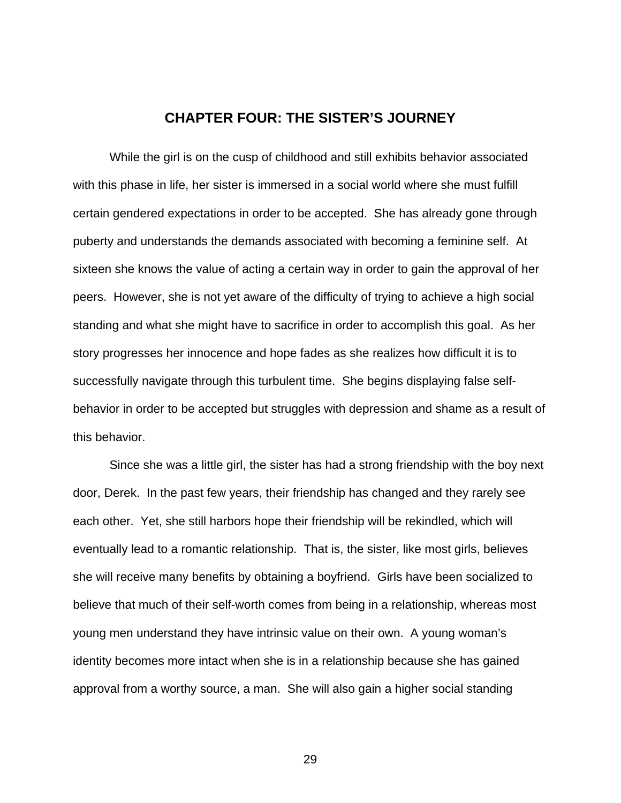### <span id="page-35-0"></span>**CHAPTER FOUR: THE SISTER'S JOURNEY**

While the girl is on the cusp of childhood and still exhibits behavior associated with this phase in life, her sister is immersed in a social world where she must fulfill certain gendered expectations in order to be accepted. She has already gone through puberty and understands the demands associated with becoming a feminine self. At sixteen she knows the value of acting a certain way in order to gain the approval of her peers. However, she is not yet aware of the difficulty of trying to achieve a high social standing and what she might have to sacrifice in order to accomplish this goal. As her story progresses her innocence and hope fades as she realizes how difficult it is to successfully navigate through this turbulent time. She begins displaying false selfbehavior in order to be accepted but struggles with depression and shame as a result of this behavior.

 Since she was a little girl, the sister has had a strong friendship with the boy next door, Derek. In the past few years, their friendship has changed and they rarely see each other. Yet, she still harbors hope their friendship will be rekindled, which will eventually lead to a romantic relationship. That is, the sister, like most girls, believes she will receive many benefits by obtaining a boyfriend. Girls have been socialized to believe that much of their self-worth comes from being in a relationship, whereas most young men understand they have intrinsic value on their own. A young woman's identity becomes more intact when she is in a relationship because she has gained approval from a worthy source, a man. She will also gain a higher social standing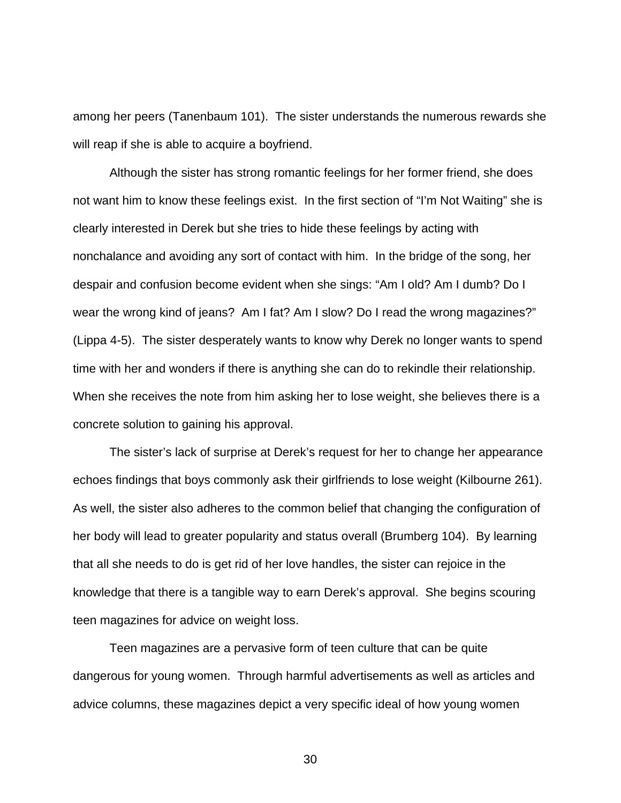among her peers (Tanenbaum 101). The sister understands the numerous rewards she will reap if she is able to acquire a boyfriend.

 Although the sister has strong romantic feelings for her former friend, she does not want him to know these feelings exist. In the first section of "I'm Not Waiting" she is clearly interested in Derek but she tries to hide these feelings by acting with nonchalance and avoiding any sort of contact with him. In the bridge of the song, her despair and confusion become evident when she sings: "Am I old? Am I dumb? Do I wear the wrong kind of jeans? Am I fat? Am I slow? Do I read the wrong magazines?" (Lippa 4-5). The sister desperately wants to know why Derek no longer wants to spend time with her and wonders if there is anything she can do to rekindle their relationship. When she receives the note from him asking her to lose weight, she believes there is a concrete solution to gaining his approval.

 The sister's lack of surprise at Derek's request for her to change her appearance echoes findings that boys commonly ask their girlfriends to lose weight (Kilbourne 261). As well, the sister also adheres to the common belief that changing the configuration of her body will lead to greater popularity and status overall (Brumberg 104). By learning that all she needs to do is get rid of her love handles, the sister can rejoice in the knowledge that there is a tangible way to earn Derek's approval. She begins scouring teen magazines for advice on weight loss.

 Teen magazines are a pervasive form of teen culture that can be quite dangerous for young women. Through harmful advertisements as well as articles and advice columns, these magazines depict a very specific ideal of how young women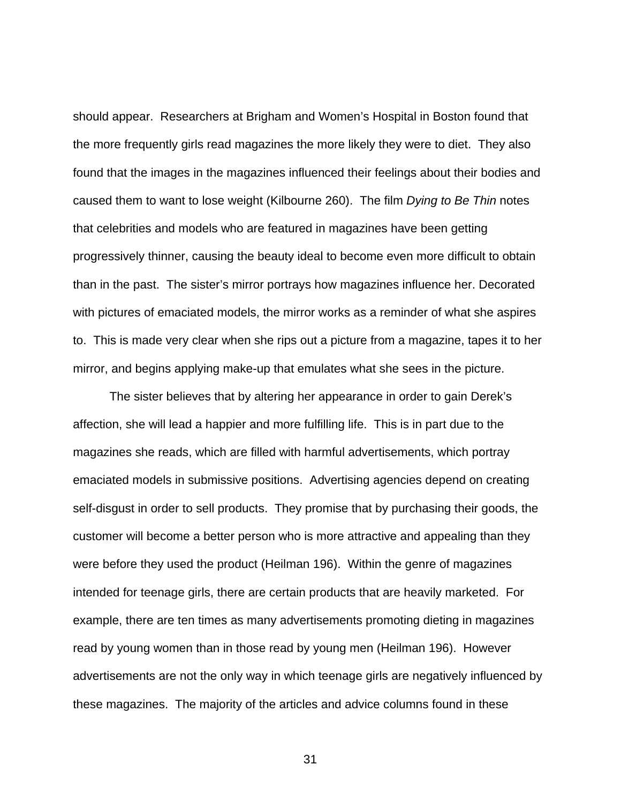should appear. Researchers at Brigham and Women's Hospital in Boston found that the more frequently girls read magazines the more likely they were to diet. They also found that the images in the magazines influenced their feelings about their bodies and caused them to want to lose weight (Kilbourne 260). The film *Dying to Be Thin* notes that celebrities and models who are featured in magazines have been getting progressively thinner, causing the beauty ideal to become even more difficult to obtain than in the past. The sister's mirror portrays how magazines influence her. Decorated with pictures of emaciated models, the mirror works as a reminder of what she aspires to. This is made very clear when she rips out a picture from a magazine, tapes it to her mirror, and begins applying make-up that emulates what she sees in the picture.

The sister believes that by altering her appearance in order to gain Derek's affection, she will lead a happier and more fulfilling life. This is in part due to the magazines she reads, which are filled with harmful advertisements, which portray emaciated models in submissive positions. Advertising agencies depend on creating self-disgust in order to sell products. They promise that by purchasing their goods, the customer will become a better person who is more attractive and appealing than they were before they used the product (Heilman 196). Within the genre of magazines intended for teenage girls, there are certain products that are heavily marketed. For example, there are ten times as many advertisements promoting dieting in magazines read by young women than in those read by young men (Heilman 196). However advertisements are not the only way in which teenage girls are negatively influenced by these magazines. The majority of the articles and advice columns found in these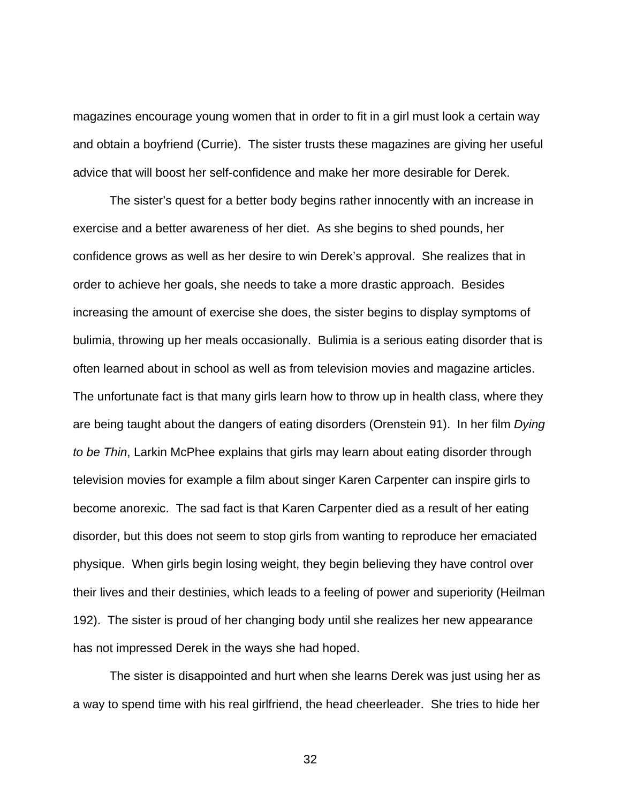magazines encourage young women that in order to fit in a girl must look a certain way and obtain a boyfriend (Currie). The sister trusts these magazines are giving her useful advice that will boost her self-confidence and make her more desirable for Derek.

The sister's quest for a better body begins rather innocently with an increase in exercise and a better awareness of her diet. As she begins to shed pounds, her confidence grows as well as her desire to win Derek's approval. She realizes that in order to achieve her goals, she needs to take a more drastic approach. Besides increasing the amount of exercise she does, the sister begins to display symptoms of bulimia, throwing up her meals occasionally. Bulimia is a serious eating disorder that is often learned about in school as well as from television movies and magazine articles. The unfortunate fact is that many girls learn how to throw up in health class, where they are being taught about the dangers of eating disorders (Orenstein 91). In her film *Dying to be Thin*, Larkin McPhee explains that girls may learn about eating disorder through television movies for example a film about singer Karen Carpenter can inspire girls to become anorexic. The sad fact is that Karen Carpenter died as a result of her eating disorder, but this does not seem to stop girls from wanting to reproduce her emaciated physique. When girls begin losing weight, they begin believing they have control over their lives and their destinies, which leads to a feeling of power and superiority (Heilman 192). The sister is proud of her changing body until she realizes her new appearance has not impressed Derek in the ways she had hoped.

 The sister is disappointed and hurt when she learns Derek was just using her as a way to spend time with his real girlfriend, the head cheerleader. She tries to hide her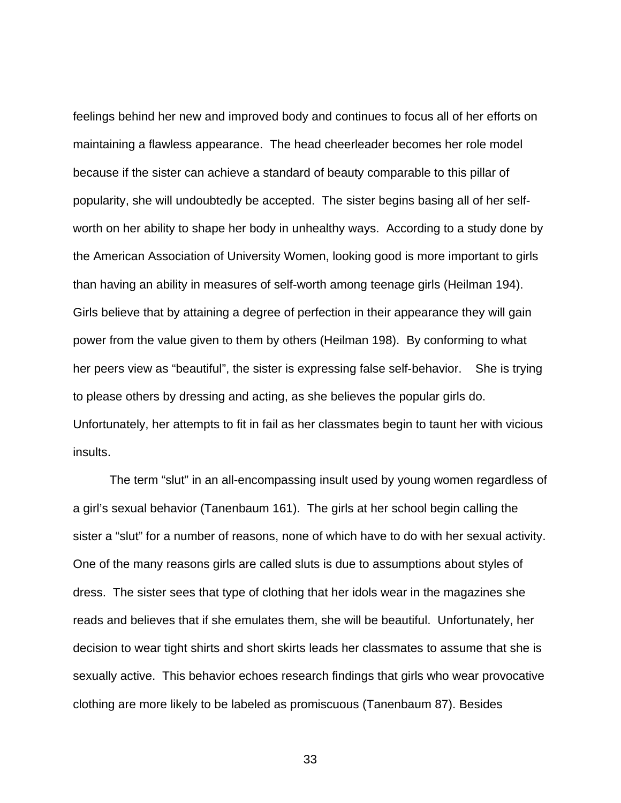feelings behind her new and improved body and continues to focus all of her efforts on maintaining a flawless appearance. The head cheerleader becomes her role model because if the sister can achieve a standard of beauty comparable to this pillar of popularity, she will undoubtedly be accepted. The sister begins basing all of her selfworth on her ability to shape her body in unhealthy ways. According to a study done by the American Association of University Women, looking good is more important to girls than having an ability in measures of self-worth among teenage girls (Heilman 194). Girls believe that by attaining a degree of perfection in their appearance they will gain power from the value given to them by others (Heilman 198). By conforming to what her peers view as "beautiful", the sister is expressing false self-behavior. She is trying to please others by dressing and acting, as she believes the popular girls do. Unfortunately, her attempts to fit in fail as her classmates begin to taunt her with vicious insults.

 The term "slut" in an all-encompassing insult used by young women regardless of a girl's sexual behavior (Tanenbaum 161). The girls at her school begin calling the sister a "slut" for a number of reasons, none of which have to do with her sexual activity. One of the many reasons girls are called sluts is due to assumptions about styles of dress. The sister sees that type of clothing that her idols wear in the magazines she reads and believes that if she emulates them, she will be beautiful. Unfortunately, her decision to wear tight shirts and short skirts leads her classmates to assume that she is sexually active. This behavior echoes research findings that girls who wear provocative clothing are more likely to be labeled as promiscuous (Tanenbaum 87). Besides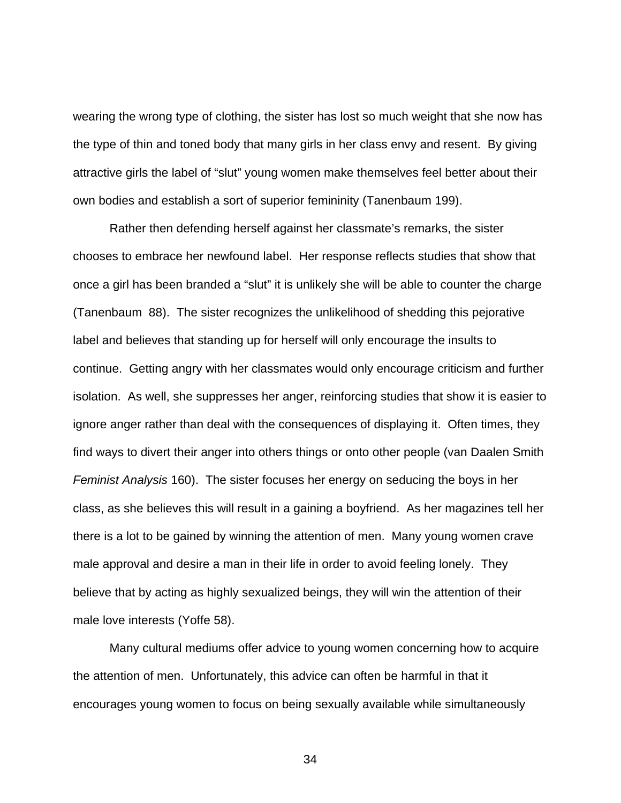wearing the wrong type of clothing, the sister has lost so much weight that she now has the type of thin and toned body that many girls in her class envy and resent. By giving attractive girls the label of "slut" young women make themselves feel better about their own bodies and establish a sort of superior femininity (Tanenbaum 199).

Rather then defending herself against her classmate's remarks, the sister chooses to embrace her newfound label. Her response reflects studies that show that once a girl has been branded a "slut" it is unlikely she will be able to counter the charge (Tanenbaum 88). The sister recognizes the unlikelihood of shedding this pejorative label and believes that standing up for herself will only encourage the insults to continue. Getting angry with her classmates would only encourage criticism and further isolation. As well, she suppresses her anger, reinforcing studies that show it is easier to ignore anger rather than deal with the consequences of displaying it. Often times, they find ways to divert their anger into others things or onto other people (van Daalen Smith *Feminist Analysis* 160). The sister focuses her energy on seducing the boys in her class, as she believes this will result in a gaining a boyfriend. As her magazines tell her there is a lot to be gained by winning the attention of men. Many young women crave male approval and desire a man in their life in order to avoid feeling lonely. They believe that by acting as highly sexualized beings, they will win the attention of their male love interests (Yoffe 58).

 Many cultural mediums offer advice to young women concerning how to acquire the attention of men. Unfortunately, this advice can often be harmful in that it encourages young women to focus on being sexually available while simultaneously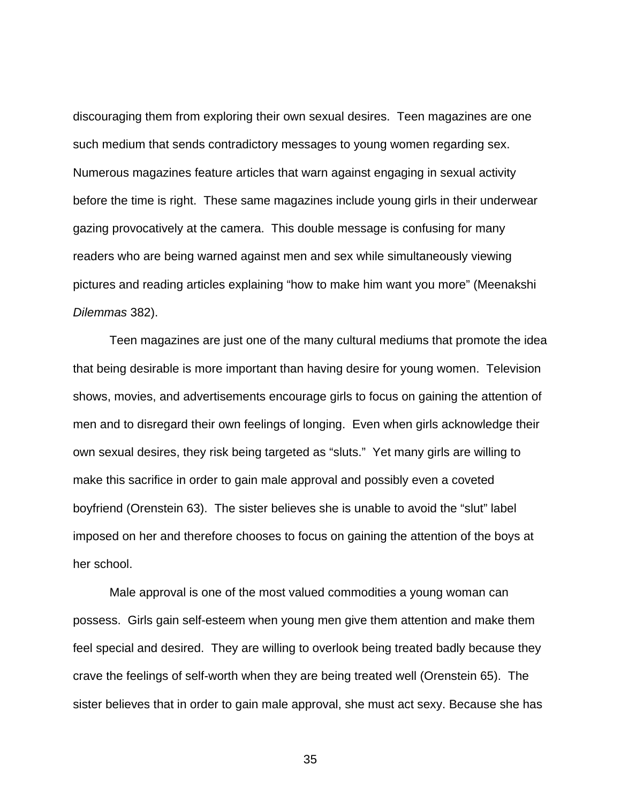discouraging them from exploring their own sexual desires. Teen magazines are one such medium that sends contradictory messages to young women regarding sex. Numerous magazines feature articles that warn against engaging in sexual activity before the time is right. These same magazines include young girls in their underwear gazing provocatively at the camera. This double message is confusing for many readers who are being warned against men and sex while simultaneously viewing pictures and reading articles explaining "how to make him want you more" (Meenakshi *Dilemmas* 382).

 Teen magazines are just one of the many cultural mediums that promote the idea that being desirable is more important than having desire for young women. Television shows, movies, and advertisements encourage girls to focus on gaining the attention of men and to disregard their own feelings of longing. Even when girls acknowledge their own sexual desires, they risk being targeted as "sluts." Yet many girls are willing to make this sacrifice in order to gain male approval and possibly even a coveted boyfriend (Orenstein 63). The sister believes she is unable to avoid the "slut" label imposed on her and therefore chooses to focus on gaining the attention of the boys at her school.

 Male approval is one of the most valued commodities a young woman can possess. Girls gain self-esteem when young men give them attention and make them feel special and desired. They are willing to overlook being treated badly because they crave the feelings of self-worth when they are being treated well (Orenstein 65). The sister believes that in order to gain male approval, she must act sexy. Because she has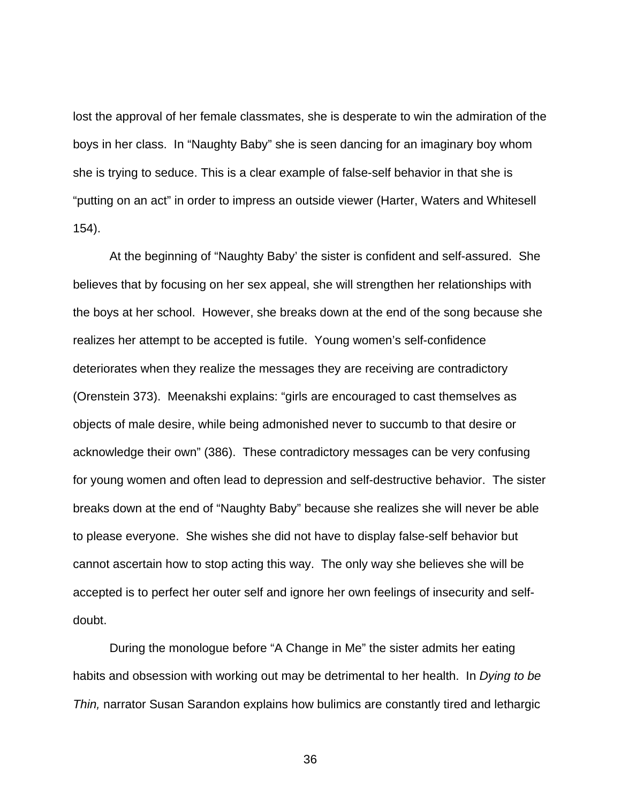lost the approval of her female classmates, she is desperate to win the admiration of the boys in her class. In "Naughty Baby" she is seen dancing for an imaginary boy whom she is trying to seduce. This is a clear example of false-self behavior in that she is "putting on an act" in order to impress an outside viewer (Harter, Waters and Whitesell 154).

 At the beginning of "Naughty Baby' the sister is confident and self-assured. She believes that by focusing on her sex appeal, she will strengthen her relationships with the boys at her school. However, she breaks down at the end of the song because she realizes her attempt to be accepted is futile. Young women's self-confidence deteriorates when they realize the messages they are receiving are contradictory (Orenstein 373). Meenakshi explains: "girls are encouraged to cast themselves as objects of male desire, while being admonished never to succumb to that desire or acknowledge their own" (386). These contradictory messages can be very confusing for young women and often lead to depression and self-destructive behavior. The sister breaks down at the end of "Naughty Baby" because she realizes she will never be able to please everyone. She wishes she did not have to display false-self behavior but cannot ascertain how to stop acting this way. The only way she believes she will be accepted is to perfect her outer self and ignore her own feelings of insecurity and selfdoubt.

 During the monologue before "A Change in Me" the sister admits her eating habits and obsession with working out may be detrimental to her health. In *Dying to be Thin,* narrator Susan Sarandon explains how bulimics are constantly tired and lethargic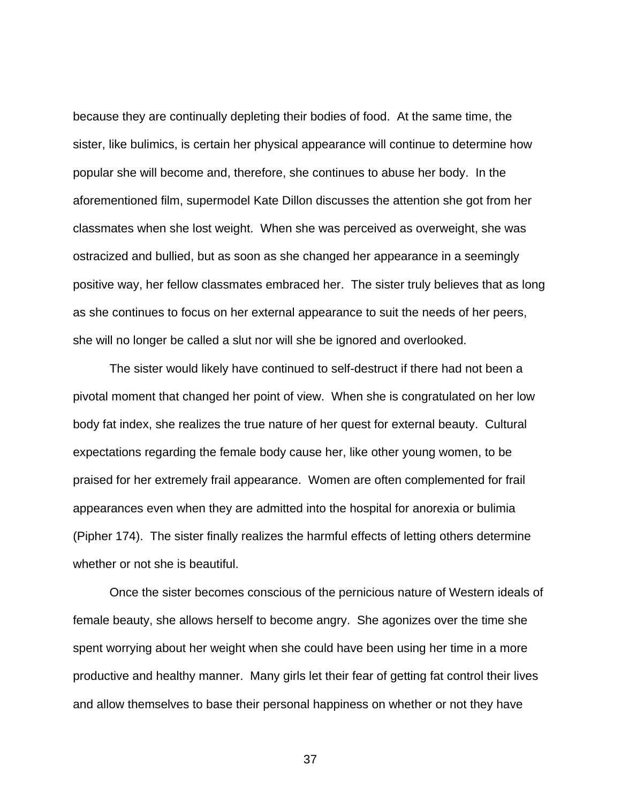because they are continually depleting their bodies of food. At the same time, the sister, like bulimics, is certain her physical appearance will continue to determine how popular she will become and, therefore, she continues to abuse her body. In the aforementioned film, supermodel Kate Dillon discusses the attention she got from her classmates when she lost weight. When she was perceived as overweight, she was ostracized and bullied, but as soon as she changed her appearance in a seemingly positive way, her fellow classmates embraced her. The sister truly believes that as long as she continues to focus on her external appearance to suit the needs of her peers, she will no longer be called a slut nor will she be ignored and overlooked.

 The sister would likely have continued to self-destruct if there had not been a pivotal moment that changed her point of view. When she is congratulated on her low body fat index, she realizes the true nature of her quest for external beauty. Cultural expectations regarding the female body cause her, like other young women, to be praised for her extremely frail appearance. Women are often complemented for frail appearances even when they are admitted into the hospital for anorexia or bulimia (Pipher 174). The sister finally realizes the harmful effects of letting others determine whether or not she is beautiful.

 Once the sister becomes conscious of the pernicious nature of Western ideals of female beauty, she allows herself to become angry. She agonizes over the time she spent worrying about her weight when she could have been using her time in a more productive and healthy manner. Many girls let their fear of getting fat control their lives and allow themselves to base their personal happiness on whether or not they have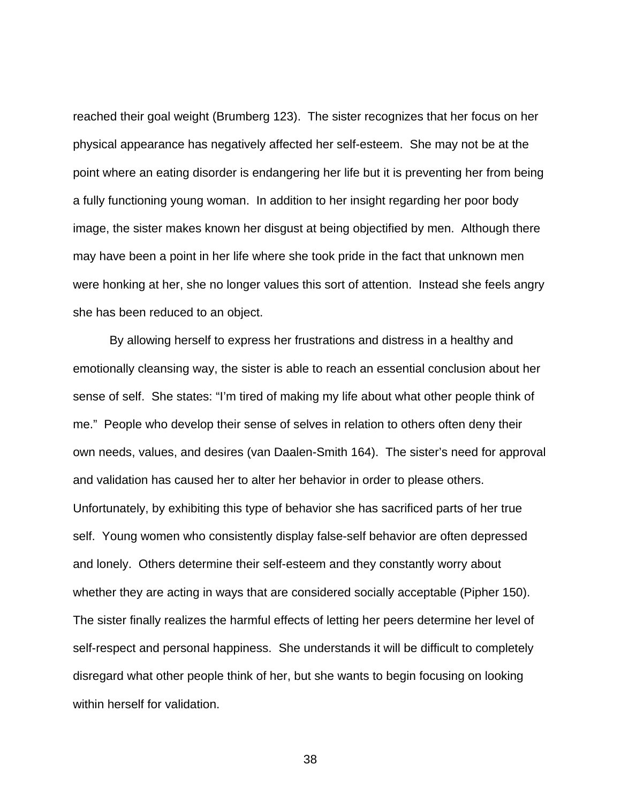reached their goal weight (Brumberg 123). The sister recognizes that her focus on her physical appearance has negatively affected her self-esteem. She may not be at the point where an eating disorder is endangering her life but it is preventing her from being a fully functioning young woman. In addition to her insight regarding her poor body image, the sister makes known her disgust at being objectified by men. Although there may have been a point in her life where she took pride in the fact that unknown men were honking at her, she no longer values this sort of attention. Instead she feels angry she has been reduced to an object.

By allowing herself to express her frustrations and distress in a healthy and emotionally cleansing way, the sister is able to reach an essential conclusion about her sense of self. She states: "I'm tired of making my life about what other people think of me." People who develop their sense of selves in relation to others often deny their own needs, values, and desires (van Daalen-Smith 164). The sister's need for approval and validation has caused her to alter her behavior in order to please others. Unfortunately, by exhibiting this type of behavior she has sacrificed parts of her true self. Young women who consistently display false-self behavior are often depressed and lonely. Others determine their self-esteem and they constantly worry about whether they are acting in ways that are considered socially acceptable (Pipher 150). The sister finally realizes the harmful effects of letting her peers determine her level of self-respect and personal happiness. She understands it will be difficult to completely disregard what other people think of her, but she wants to begin focusing on looking within herself for validation.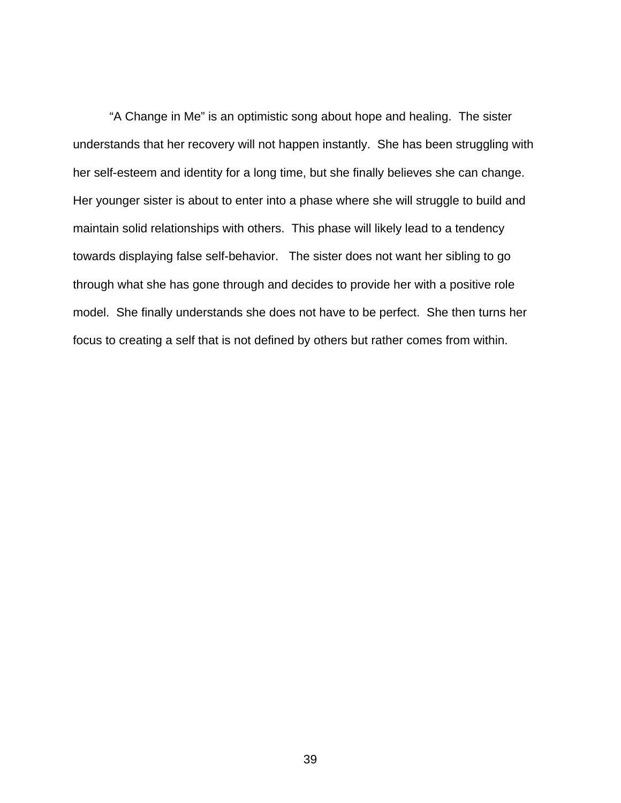"A Change in Me" is an optimistic song about hope and healing. The sister understands that her recovery will not happen instantly. She has been struggling with her self-esteem and identity for a long time, but she finally believes she can change. Her younger sister is about to enter into a phase where she will struggle to build and maintain solid relationships with others. This phase will likely lead to a tendency towards displaying false self-behavior. The sister does not want her sibling to go through what she has gone through and decides to provide her with a positive role model. She finally understands she does not have to be perfect. She then turns her focus to creating a self that is not defined by others but rather comes from within.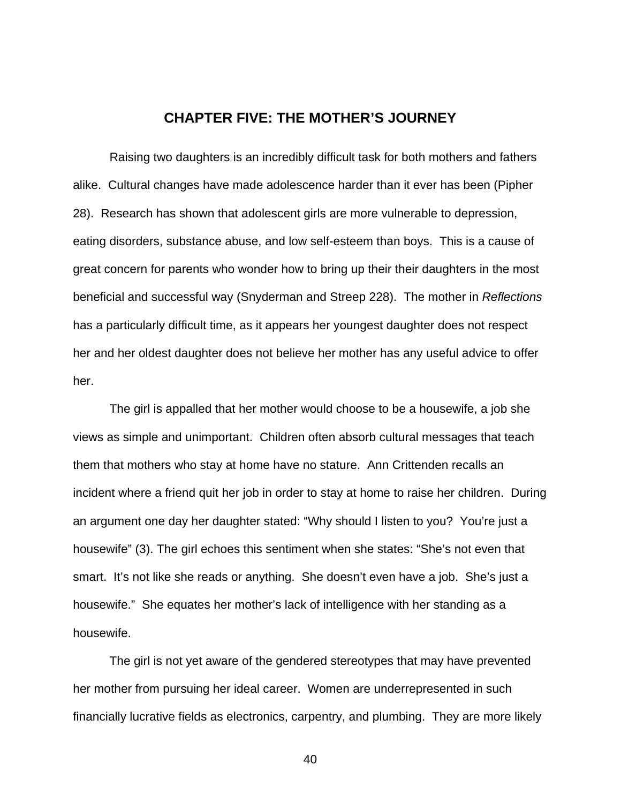## **CHAPTER FIVE: THE MOTHER'S JOURNEY**

Raising two daughters is an incredibly difficult task for both mothers and fathers alike. Cultural changes have made adolescence harder than it ever has been (Pipher 28). Research has shown that adolescent girls are more vulnerable to depression, eating disorders, substance abuse, and low self-esteem than boys. This is a cause of great concern for parents who wonder how to bring up their their daughters in the most beneficial and successful way (Snyderman and Streep 228). The mother in *Reflections* has a particularly difficult time, as it appears her youngest daughter does not respect her and her oldest daughter does not believe her mother has any useful advice to offer her.

The girl is appalled that her mother would choose to be a housewife, a job she views as simple and unimportant. Children often absorb cultural messages that teach them that mothers who stay at home have no stature. Ann Crittenden recalls an incident where a friend quit her job in order to stay at home to raise her children. During an argument one day her daughter stated: "Why should I listen to you? You're just a housewife" (3). The girl echoes this sentiment when she states: "She's not even that smart. It's not like she reads or anything. She doesn't even have a job. She's just a housewife." She equates her mother's lack of intelligence with her standing as a housewife.

 The girl is not yet aware of the gendered stereotypes that may have prevented her mother from pursuing her ideal career. Women are underrepresented in such financially lucrative fields as electronics, carpentry, and plumbing. They are more likely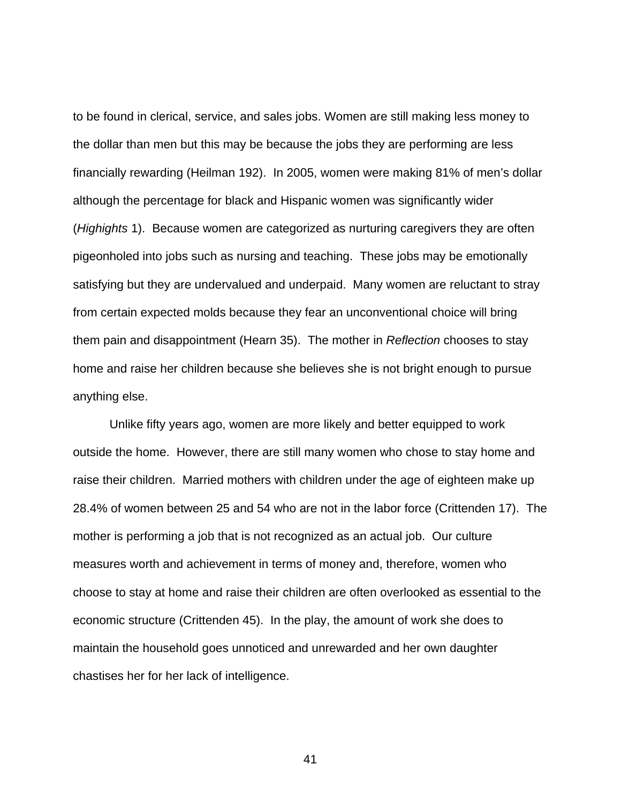to be found in clerical, service, and sales jobs. Women are still making less money to the dollar than men but this may be because the jobs they are performing are less financially rewarding (Heilman 192). In 2005, women were making 81% of men's dollar although the percentage for black and Hispanic women was significantly wider (*Highights* 1). Because women are categorized as nurturing caregivers they are often pigeonholed into jobs such as nursing and teaching. These jobs may be emotionally satisfying but they are undervalued and underpaid. Many women are reluctant to stray from certain expected molds because they fear an unconventional choice will bring them pain and disappointment (Hearn 35). The mother in *Reflection* chooses to stay home and raise her children because she believes she is not bright enough to pursue anything else.

Unlike fifty years ago, women are more likely and better equipped to work outside the home. However, there are still many women who chose to stay home and raise their children. Married mothers with children under the age of eighteen make up 28.4% of women between 25 and 54 who are not in the labor force (Crittenden 17). The mother is performing a job that is not recognized as an actual job. Our culture measures worth and achievement in terms of money and, therefore, women who choose to stay at home and raise their children are often overlooked as essential to the economic structure (Crittenden 45). In the play, the amount of work she does to maintain the household goes unnoticed and unrewarded and her own daughter chastises her for her lack of intelligence.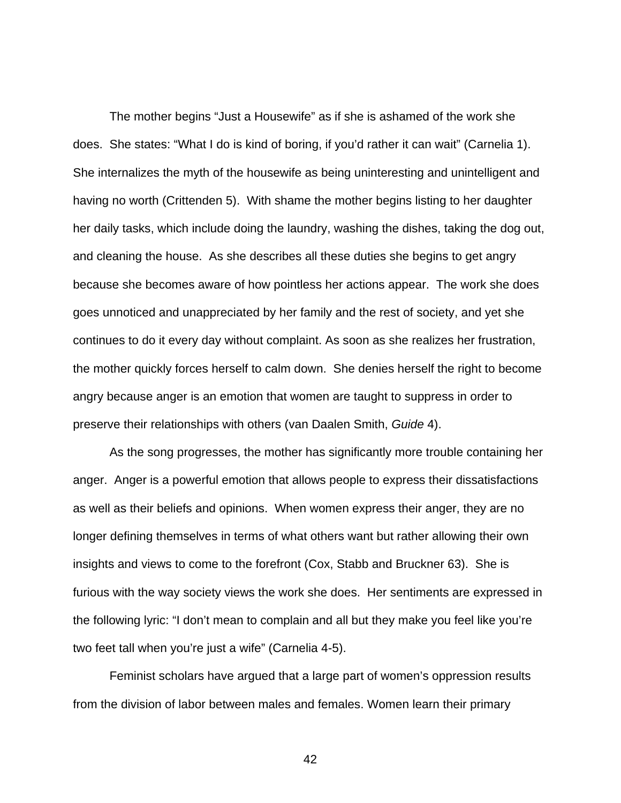The mother begins "Just a Housewife" as if she is ashamed of the work she does. She states: "What I do is kind of boring, if you'd rather it can wait" (Carnelia 1). She internalizes the myth of the housewife as being uninteresting and unintelligent and having no worth (Crittenden 5). With shame the mother begins listing to her daughter her daily tasks, which include doing the laundry, washing the dishes, taking the dog out, and cleaning the house. As she describes all these duties she begins to get angry because she becomes aware of how pointless her actions appear. The work she does goes unnoticed and unappreciated by her family and the rest of society, and yet she continues to do it every day without complaint. As soon as she realizes her frustration, the mother quickly forces herself to calm down. She denies herself the right to become angry because anger is an emotion that women are taught to suppress in order to preserve their relationships with others (van Daalen Smith, *Guide* 4).

 As the song progresses, the mother has significantly more trouble containing her anger. Anger is a powerful emotion that allows people to express their dissatisfactions as well as their beliefs and opinions. When women express their anger, they are no longer defining themselves in terms of what others want but rather allowing their own insights and views to come to the forefront (Cox, Stabb and Bruckner 63). She is furious with the way society views the work she does. Her sentiments are expressed in the following lyric: "I don't mean to complain and all but they make you feel like you're two feet tall when you're just a wife" (Carnelia 4-5).

Feminist scholars have argued that a large part of women's oppression results from the division of labor between males and females. Women learn their primary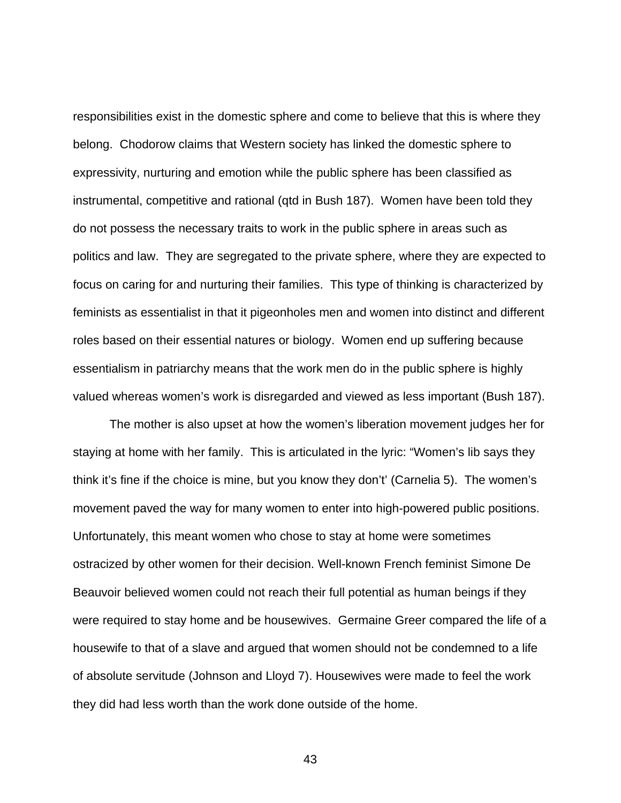responsibilities exist in the domestic sphere and come to believe that this is where they belong. Chodorow claims that Western society has linked the domestic sphere to expressivity, nurturing and emotion while the public sphere has been classified as instrumental, competitive and rational (qtd in Bush 187). Women have been told they do not possess the necessary traits to work in the public sphere in areas such as politics and law. They are segregated to the private sphere, where they are expected to focus on caring for and nurturing their families. This type of thinking is characterized by feminists as essentialist in that it pigeonholes men and women into distinct and different roles based on their essential natures or biology. Women end up suffering because essentialism in patriarchy means that the work men do in the public sphere is highly valued whereas women's work is disregarded and viewed as less important (Bush 187).

 The mother is also upset at how the women's liberation movement judges her for staying at home with her family. This is articulated in the lyric: "Women's lib says they think it's fine if the choice is mine, but you know they don't' (Carnelia 5). The women's movement paved the way for many women to enter into high-powered public positions. Unfortunately, this meant women who chose to stay at home were sometimes ostracized by other women for their decision. Well-known French feminist Simone De Beauvoir believed women could not reach their full potential as human beings if they were required to stay home and be housewives. Germaine Greer compared the life of a housewife to that of a slave and argued that women should not be condemned to a life of absolute servitude (Johnson and Lloyd 7). Housewives were made to feel the work they did had less worth than the work done outside of the home.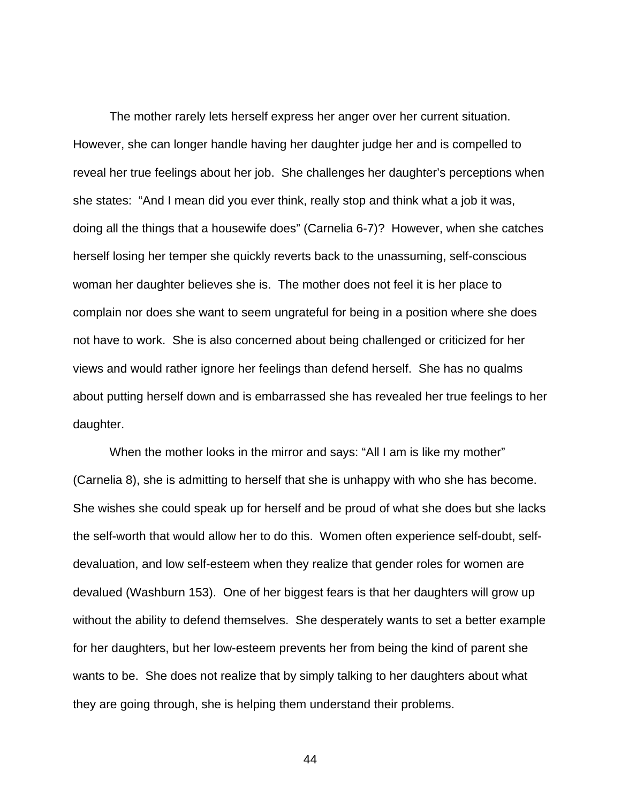The mother rarely lets herself express her anger over her current situation. However, she can longer handle having her daughter judge her and is compelled to reveal her true feelings about her job. She challenges her daughter's perceptions when she states: "And I mean did you ever think, really stop and think what a job it was, doing all the things that a housewife does" (Carnelia 6-7)? However, when she catches herself losing her temper she quickly reverts back to the unassuming, self-conscious woman her daughter believes she is. The mother does not feel it is her place to complain nor does she want to seem ungrateful for being in a position where she does not have to work. She is also concerned about being challenged or criticized for her views and would rather ignore her feelings than defend herself. She has no qualms about putting herself down and is embarrassed she has revealed her true feelings to her daughter.

 When the mother looks in the mirror and says: "All I am is like my mother" (Carnelia 8), she is admitting to herself that she is unhappy with who she has become. She wishes she could speak up for herself and be proud of what she does but she lacks the self-worth that would allow her to do this. Women often experience self-doubt, selfdevaluation, and low self-esteem when they realize that gender roles for women are devalued (Washburn 153). One of her biggest fears is that her daughters will grow up without the ability to defend themselves. She desperately wants to set a better example for her daughters, but her low-esteem prevents her from being the kind of parent she wants to be. She does not realize that by simply talking to her daughters about what they are going through, she is helping them understand their problems.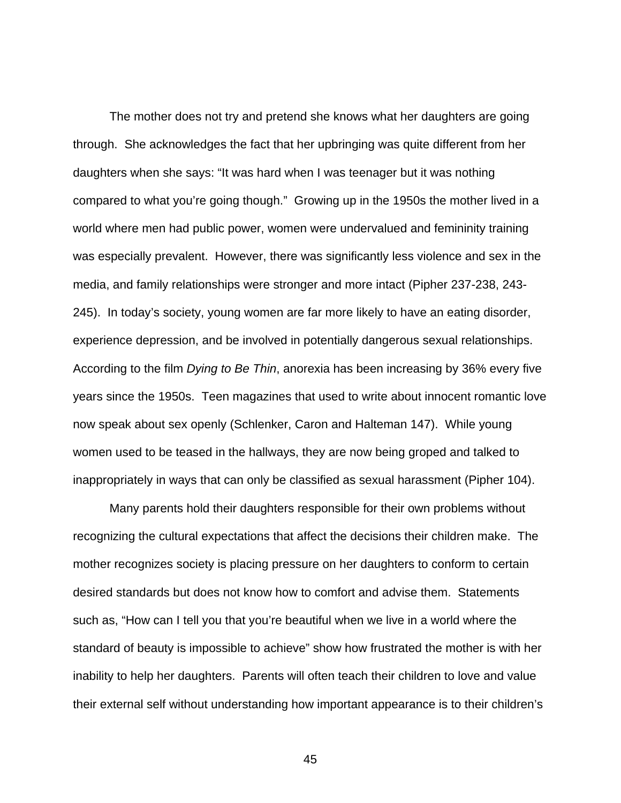The mother does not try and pretend she knows what her daughters are going through. She acknowledges the fact that her upbringing was quite different from her daughters when she says: "It was hard when I was teenager but it was nothing compared to what you're going though." Growing up in the 1950s the mother lived in a world where men had public power, women were undervalued and femininity training was especially prevalent. However, there was significantly less violence and sex in the media, and family relationships were stronger and more intact (Pipher 237-238, 243- 245). In today's society, young women are far more likely to have an eating disorder, experience depression, and be involved in potentially dangerous sexual relationships. According to the film *Dying to Be Thin*, anorexia has been increasing by 36% every five years since the 1950s. Teen magazines that used to write about innocent romantic love now speak about sex openly (Schlenker, Caron and Halteman 147). While young women used to be teased in the hallways, they are now being groped and talked to inappropriately in ways that can only be classified as sexual harassment (Pipher 104).

 Many parents hold their daughters responsible for their own problems without recognizing the cultural expectations that affect the decisions their children make. The mother recognizes society is placing pressure on her daughters to conform to certain desired standards but does not know how to comfort and advise them. Statements such as, "How can I tell you that you're beautiful when we live in a world where the standard of beauty is impossible to achieve" show how frustrated the mother is with her inability to help her daughters. Parents will often teach their children to love and value their external self without understanding how important appearance is to their children's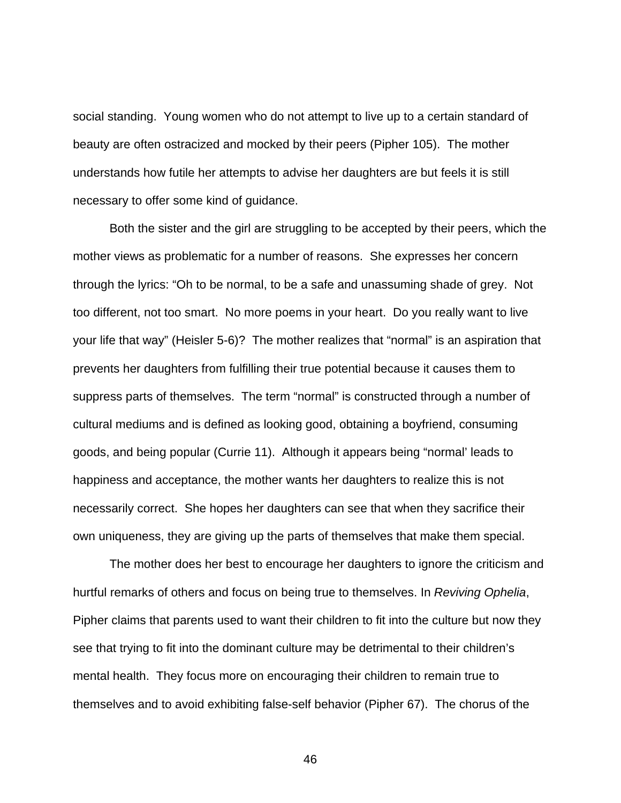social standing. Young women who do not attempt to live up to a certain standard of beauty are often ostracized and mocked by their peers (Pipher 105). The mother understands how futile her attempts to advise her daughters are but feels it is still necessary to offer some kind of guidance.

 Both the sister and the girl are struggling to be accepted by their peers, which the mother views as problematic for a number of reasons. She expresses her concern through the lyrics: "Oh to be normal, to be a safe and unassuming shade of grey. Not too different, not too smart. No more poems in your heart. Do you really want to live your life that way" (Heisler 5-6)? The mother realizes that "normal" is an aspiration that prevents her daughters from fulfilling their true potential because it causes them to suppress parts of themselves. The term "normal" is constructed through a number of cultural mediums and is defined as looking good, obtaining a boyfriend, consuming goods, and being popular (Currie 11). Although it appears being "normal' leads to happiness and acceptance, the mother wants her daughters to realize this is not necessarily correct. She hopes her daughters can see that when they sacrifice their own uniqueness, they are giving up the parts of themselves that make them special.

 The mother does her best to encourage her daughters to ignore the criticism and hurtful remarks of others and focus on being true to themselves. In *Reviving Ophelia*, Pipher claims that parents used to want their children to fit into the culture but now they see that trying to fit into the dominant culture may be detrimental to their children's mental health. They focus more on encouraging their children to remain true to themselves and to avoid exhibiting false-self behavior (Pipher 67). The chorus of the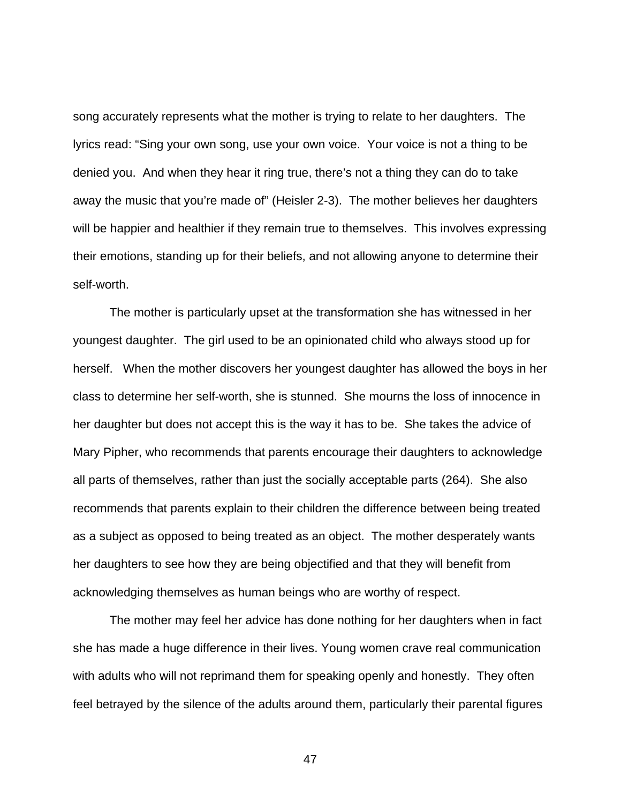song accurately represents what the mother is trying to relate to her daughters. The lyrics read: "Sing your own song, use your own voice. Your voice is not a thing to be denied you. And when they hear it ring true, there's not a thing they can do to take away the music that you're made of" (Heisler 2-3). The mother believes her daughters will be happier and healthier if they remain true to themselves. This involves expressing their emotions, standing up for their beliefs, and not allowing anyone to determine their self-worth.

The mother is particularly upset at the transformation she has witnessed in her youngest daughter. The girl used to be an opinionated child who always stood up for herself. When the mother discovers her youngest daughter has allowed the boys in her class to determine her self-worth, she is stunned. She mourns the loss of innocence in her daughter but does not accept this is the way it has to be. She takes the advice of Mary Pipher, who recommends that parents encourage their daughters to acknowledge all parts of themselves, rather than just the socially acceptable parts (264). She also recommends that parents explain to their children the difference between being treated as a subject as opposed to being treated as an object. The mother desperately wants her daughters to see how they are being objectified and that they will benefit from acknowledging themselves as human beings who are worthy of respect.

 The mother may feel her advice has done nothing for her daughters when in fact she has made a huge difference in their lives. Young women crave real communication with adults who will not reprimand them for speaking openly and honestly. They often feel betrayed by the silence of the adults around them, particularly their parental figures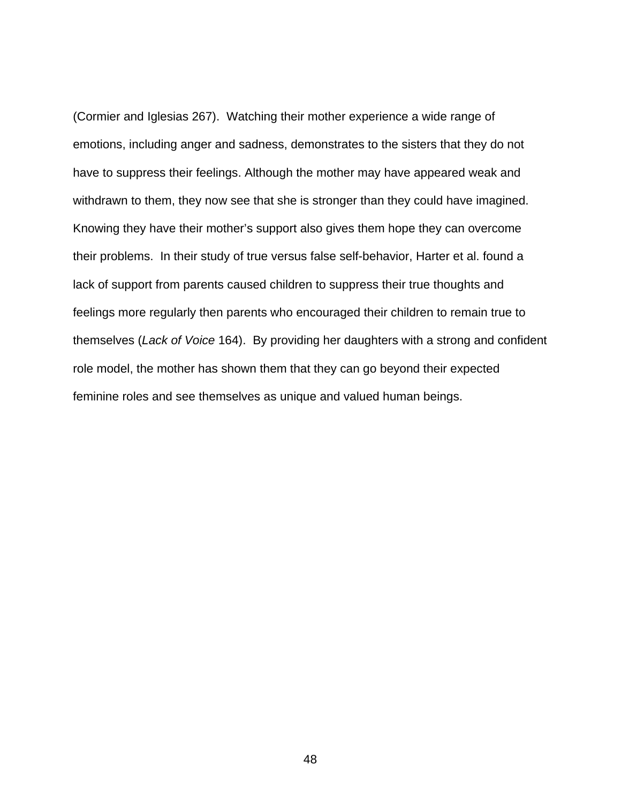(Cormier and Iglesias 267). Watching their mother experience a wide range of emotions, including anger and sadness, demonstrates to the sisters that they do not have to suppress their feelings. Although the mother may have appeared weak and withdrawn to them, they now see that she is stronger than they could have imagined. Knowing they have their mother's support also gives them hope they can overcome their problems. In their study of true versus false self-behavior, Harter et al. found a lack of support from parents caused children to suppress their true thoughts and feelings more regularly then parents who encouraged their children to remain true to themselves (*Lack of Voice* 164). By providing her daughters with a strong and confident role model, the mother has shown them that they can go beyond their expected feminine roles and see themselves as unique and valued human beings.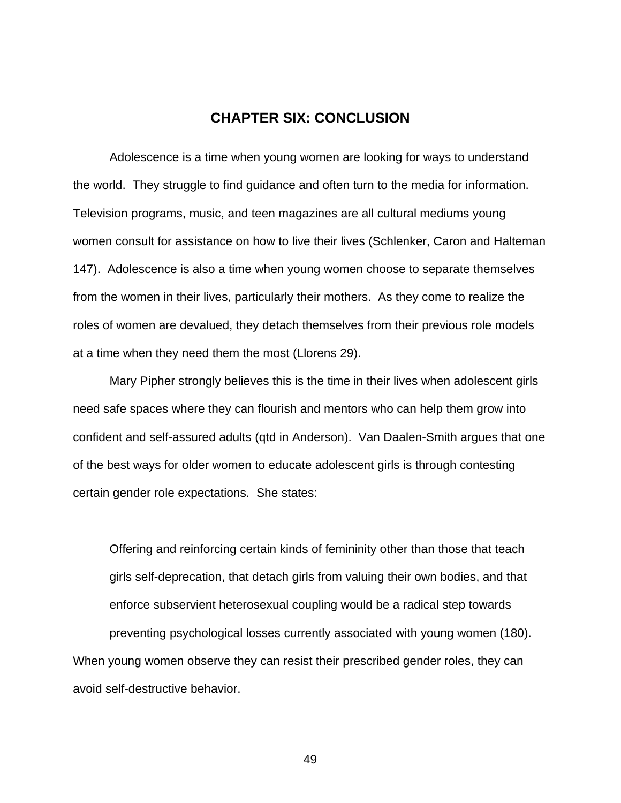# **CHAPTER SIX: CONCLUSION**

 Adolescence is a time when young women are looking for ways to understand the world. They struggle to find guidance and often turn to the media for information. Television programs, music, and teen magazines are all cultural mediums young women consult for assistance on how to live their lives (Schlenker, Caron and Halteman 147). Adolescence is also a time when young women choose to separate themselves from the women in their lives, particularly their mothers. As they come to realize the roles of women are devalued, they detach themselves from their previous role models at a time when they need them the most (Llorens 29).

Mary Pipher strongly believes this is the time in their lives when adolescent girls need safe spaces where they can flourish and mentors who can help them grow into confident and self-assured adults (qtd in Anderson). Van Daalen-Smith argues that one of the best ways for older women to educate adolescent girls is through contesting certain gender role expectations. She states:

Offering and reinforcing certain kinds of femininity other than those that teach girls self-deprecation, that detach girls from valuing their own bodies, and that enforce subservient heterosexual coupling would be a radical step towards preventing psychological losses currently associated with young women (180). When young women observe they can resist their prescribed gender roles, they can avoid self-destructive behavior.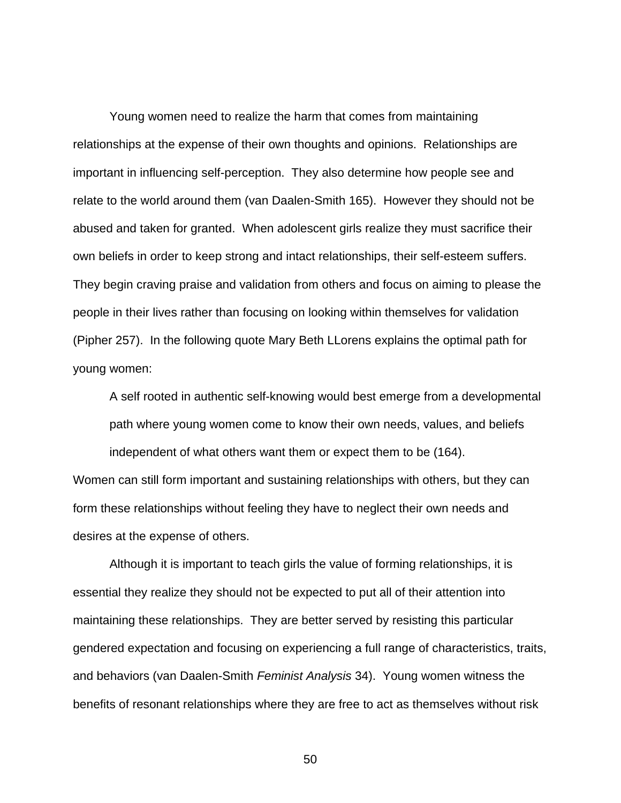Young women need to realize the harm that comes from maintaining relationships at the expense of their own thoughts and opinions. Relationships are important in influencing self-perception. They also determine how people see and relate to the world around them (van Daalen-Smith 165). However they should not be abused and taken for granted. When adolescent girls realize they must sacrifice their own beliefs in order to keep strong and intact relationships, their self-esteem suffers. They begin craving praise and validation from others and focus on aiming to please the people in their lives rather than focusing on looking within themselves for validation (Pipher 257). In the following quote Mary Beth LLorens explains the optimal path for young women:

A self rooted in authentic self-knowing would best emerge from a developmental path where young women come to know their own needs, values, and beliefs independent of what others want them or expect them to be (164).

Women can still form important and sustaining relationships with others, but they can form these relationships without feeling they have to neglect their own needs and desires at the expense of others.

Although it is important to teach girls the value of forming relationships, it is essential they realize they should not be expected to put all of their attention into maintaining these relationships. They are better served by resisting this particular gendered expectation and focusing on experiencing a full range of characteristics, traits, and behaviors (van Daalen-Smith *Feminist Analysis* 34). Young women witness the benefits of resonant relationships where they are free to act as themselves without risk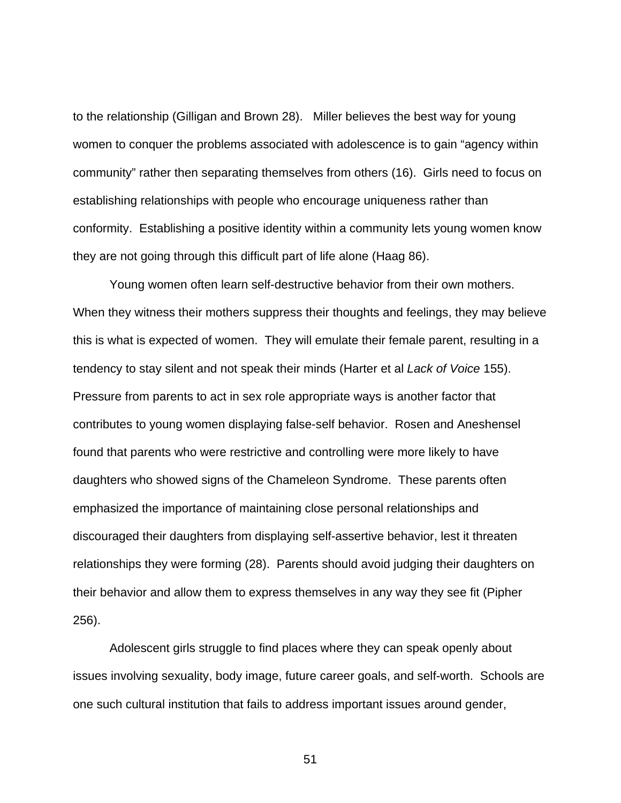to the relationship (Gilligan and Brown 28). Miller believes the best way for young women to conquer the problems associated with adolescence is to gain "agency within community" rather then separating themselves from others (16). Girls need to focus on establishing relationships with people who encourage uniqueness rather than conformity. Establishing a positive identity within a community lets young women know they are not going through this difficult part of life alone (Haag 86).

 Young women often learn self-destructive behavior from their own mothers. When they witness their mothers suppress their thoughts and feelings, they may believe this is what is expected of women. They will emulate their female parent, resulting in a tendency to stay silent and not speak their minds (Harter et al *Lack of Voice* 155). Pressure from parents to act in sex role appropriate ways is another factor that contributes to young women displaying false-self behavior. Rosen and Aneshensel found that parents who were restrictive and controlling were more likely to have daughters who showed signs of the Chameleon Syndrome. These parents often emphasized the importance of maintaining close personal relationships and discouraged their daughters from displaying self-assertive behavior, lest it threaten relationships they were forming (28). Parents should avoid judging their daughters on their behavior and allow them to express themselves in any way they see fit (Pipher 256).

 Adolescent girls struggle to find places where they can speak openly about issues involving sexuality, body image, future career goals, and self-worth. Schools are one such cultural institution that fails to address important issues around gender,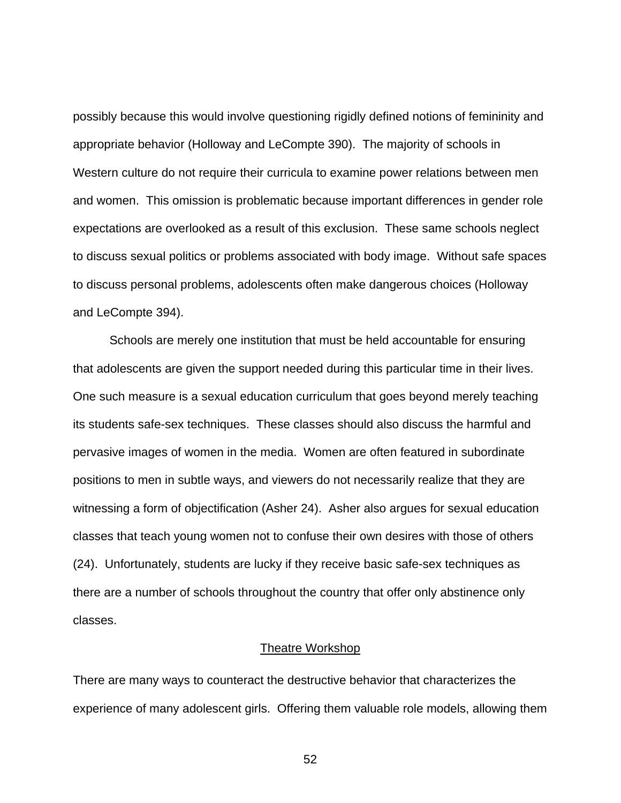possibly because this would involve questioning rigidly defined notions of femininity and appropriate behavior (Holloway and LeCompte 390). The majority of schools in Western culture do not require their curricula to examine power relations between men and women. This omission is problematic because important differences in gender role expectations are overlooked as a result of this exclusion. These same schools neglect to discuss sexual politics or problems associated with body image. Without safe spaces to discuss personal problems, adolescents often make dangerous choices (Holloway and LeCompte 394).

 Schools are merely one institution that must be held accountable for ensuring that adolescents are given the support needed during this particular time in their lives. One such measure is a sexual education curriculum that goes beyond merely teaching its students safe-sex techniques. These classes should also discuss the harmful and pervasive images of women in the media. Women are often featured in subordinate positions to men in subtle ways, and viewers do not necessarily realize that they are witnessing a form of objectification (Asher 24). Asher also argues for sexual education classes that teach young women not to confuse their own desires with those of others (24). Unfortunately, students are lucky if they receive basic safe-sex techniques as there are a number of schools throughout the country that offer only abstinence only classes.

#### Theatre Workshop

There are many ways to counteract the destructive behavior that characterizes the experience of many adolescent girls. Offering them valuable role models, allowing them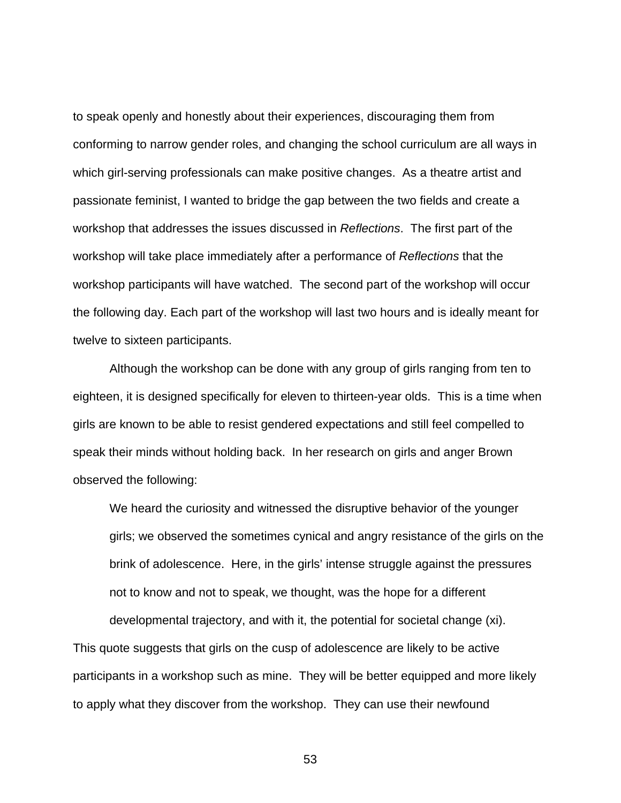to speak openly and honestly about their experiences, discouraging them from conforming to narrow gender roles, and changing the school curriculum are all ways in which girl-serving professionals can make positive changes. As a theatre artist and passionate feminist, I wanted to bridge the gap between the two fields and create a workshop that addresses the issues discussed in *Reflections*. The first part of the workshop will take place immediately after a performance of *Reflections* that the workshop participants will have watched. The second part of the workshop will occur the following day. Each part of the workshop will last two hours and is ideally meant for twelve to sixteen participants.

 Although the workshop can be done with any group of girls ranging from ten to eighteen, it is designed specifically for eleven to thirteen-year olds. This is a time when girls are known to be able to resist gendered expectations and still feel compelled to speak their minds without holding back. In her research on girls and anger Brown observed the following:

We heard the curiosity and witnessed the disruptive behavior of the younger girls; we observed the sometimes cynical and angry resistance of the girls on the brink of adolescence. Here, in the girls' intense struggle against the pressures not to know and not to speak, we thought, was the hope for a different developmental trajectory, and with it, the potential for societal change (xi).

This quote suggests that girls on the cusp of adolescence are likely to be active participants in a workshop such as mine. They will be better equipped and more likely to apply what they discover from the workshop. They can use their newfound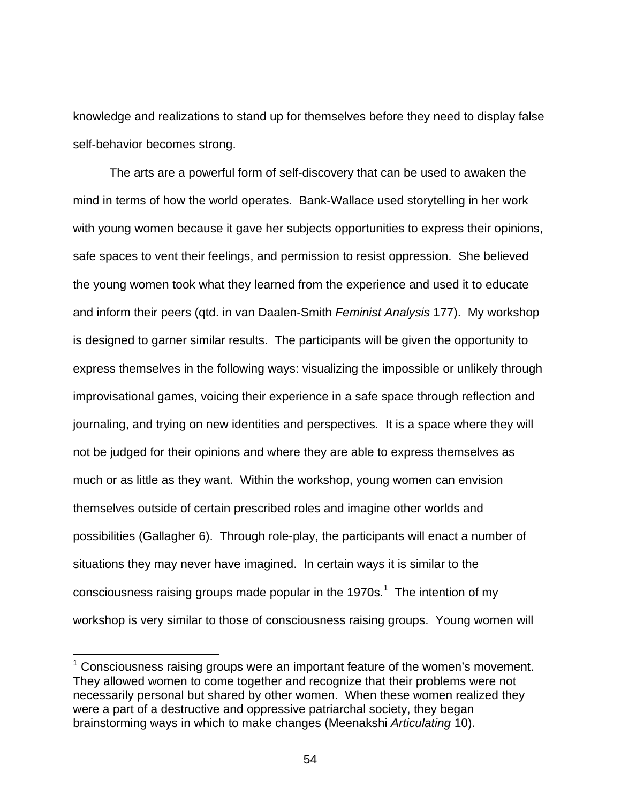knowledge and realizations to stand up for themselves before they need to display false self-behavior becomes strong.

 The arts are a powerful form of self-discovery that can be used to awaken the mind in terms of how the world operates. Bank-Wallace used storytelling in her work with young women because it gave her subjects opportunities to express their opinions, safe spaces to vent their feelings, and permission to resist oppression. She believed the young women took what they learned from the experience and used it to educate and inform their peers (qtd. in van Daalen-Smith *Feminist Analysis* 177). My workshop is designed to garner similar results. The participants will be given the opportunity to express themselves in the following ways: visualizing the impossible or unlikely through improvisational games, voicing their experience in a safe space through reflection and journaling, and trying on new identities and perspectives. It is a space where they will not be judged for their opinions and where they are able to express themselves as much or as little as they want. Within the workshop, young women can envision themselves outside of certain prescribed roles and imagine other worlds and possibilities (Gallagher 6). Through role-play, the participants will enact a number of situations they may never have imagined. In certain ways it is similar to the consciousness raising groups made popular in the [1](#page-60-0)970s. $1$  The intention of my workshop is very similar to those of consciousness raising groups. Young women will

 $\overline{a}$ 

<span id="page-60-0"></span> $1$  Consciousness raising groups were an important feature of the women's movement. They allowed women to come together and recognize that their problems were not necessarily personal but shared by other women. When these women realized they were a part of a destructive and oppressive patriarchal society, they began brainstorming ways in which to make changes (Meenakshi *Articulating* 10).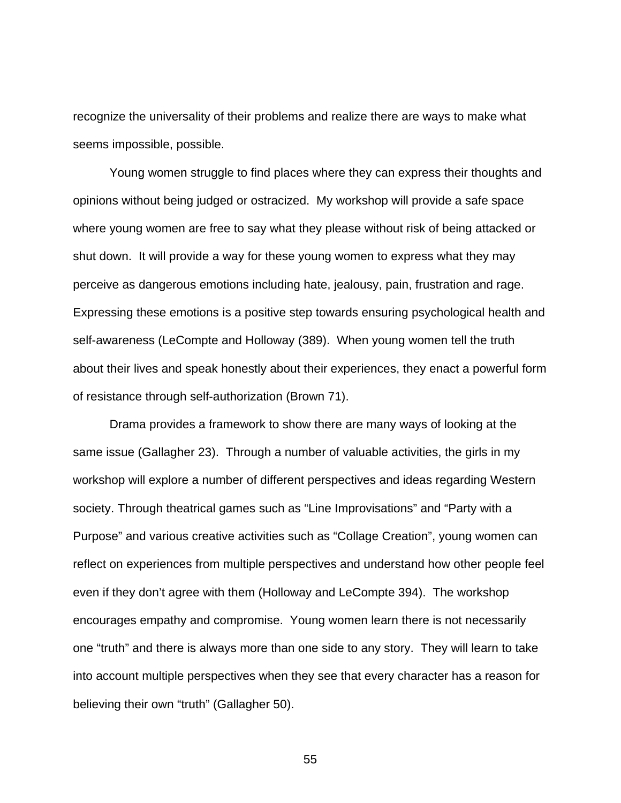recognize the universality of their problems and realize there are ways to make what seems impossible, possible.

 Young women struggle to find places where they can express their thoughts and opinions without being judged or ostracized. My workshop will provide a safe space where young women are free to say what they please without risk of being attacked or shut down. It will provide a way for these young women to express what they may perceive as dangerous emotions including hate, jealousy, pain, frustration and rage. Expressing these emotions is a positive step towards ensuring psychological health and self-awareness (LeCompte and Holloway (389). When young women tell the truth about their lives and speak honestly about their experiences, they enact a powerful form of resistance through self-authorization (Brown 71).

 Drama provides a framework to show there are many ways of looking at the same issue (Gallagher 23). Through a number of valuable activities, the girls in my workshop will explore a number of different perspectives and ideas regarding Western society. Through theatrical games such as "Line Improvisations" and "Party with a Purpose" and various creative activities such as "Collage Creation", young women can reflect on experiences from multiple perspectives and understand how other people feel even if they don't agree with them (Holloway and LeCompte 394). The workshop encourages empathy and compromise. Young women learn there is not necessarily one "truth" and there is always more than one side to any story. They will learn to take into account multiple perspectives when they see that every character has a reason for believing their own "truth" (Gallagher 50).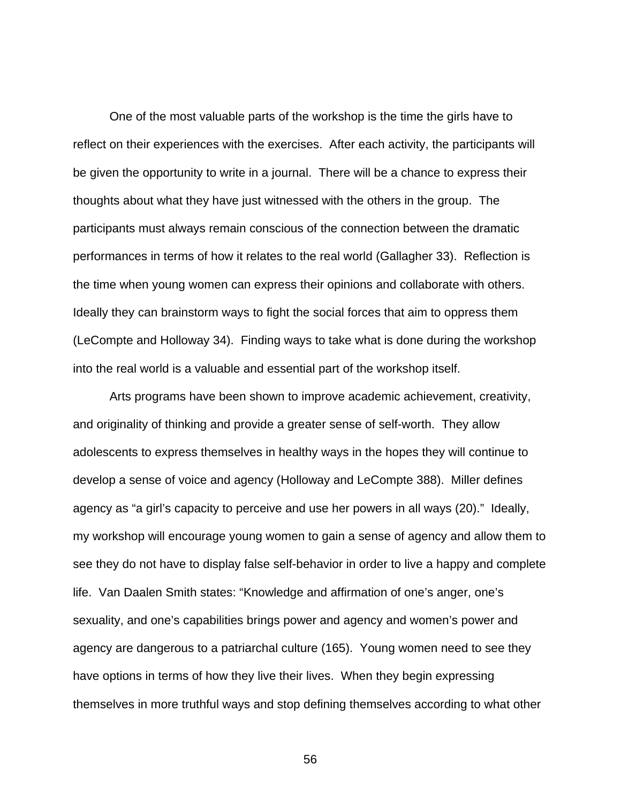One of the most valuable parts of the workshop is the time the girls have to reflect on their experiences with the exercises. After each activity, the participants will be given the opportunity to write in a journal. There will be a chance to express their thoughts about what they have just witnessed with the others in the group. The participants must always remain conscious of the connection between the dramatic performances in terms of how it relates to the real world (Gallagher 33). Reflection is the time when young women can express their opinions and collaborate with others. Ideally they can brainstorm ways to fight the social forces that aim to oppress them (LeCompte and Holloway 34). Finding ways to take what is done during the workshop into the real world is a valuable and essential part of the workshop itself.

 Arts programs have been shown to improve academic achievement, creativity, and originality of thinking and provide a greater sense of self-worth. They allow adolescents to express themselves in healthy ways in the hopes they will continue to develop a sense of voice and agency (Holloway and LeCompte 388). Miller defines agency as "a girl's capacity to perceive and use her powers in all ways (20)." Ideally, my workshop will encourage young women to gain a sense of agency and allow them to see they do not have to display false self-behavior in order to live a happy and complete life. Van Daalen Smith states: "Knowledge and affirmation of one's anger, one's sexuality, and one's capabilities brings power and agency and women's power and agency are dangerous to a patriarchal culture (165). Young women need to see they have options in terms of how they live their lives. When they begin expressing themselves in more truthful ways and stop defining themselves according to what other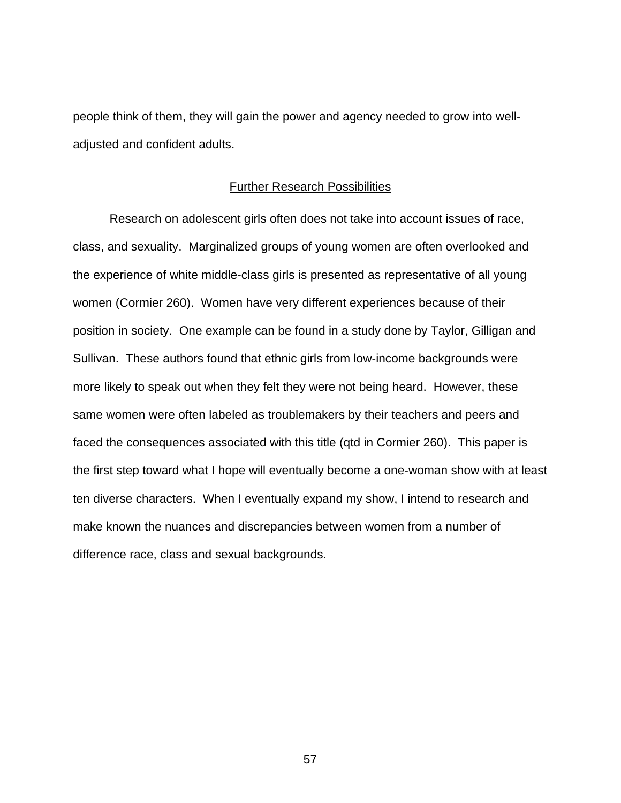people think of them, they will gain the power and agency needed to grow into welladjusted and confident adults.

#### Further Research Possibilities

 Research on adolescent girls often does not take into account issues of race, class, and sexuality. Marginalized groups of young women are often overlooked and the experience of white middle-class girls is presented as representative of all young women (Cormier 260). Women have very different experiences because of their position in society. One example can be found in a study done by Taylor, Gilligan and Sullivan. These authors found that ethnic girls from low-income backgrounds were more likely to speak out when they felt they were not being heard. However, these same women were often labeled as troublemakers by their teachers and peers and faced the consequences associated with this title (qtd in Cormier 260). This paper is the first step toward what I hope will eventually become a one-woman show with at least ten diverse characters. When I eventually expand my show, I intend to research and make known the nuances and discrepancies between women from a number of difference race, class and sexual backgrounds.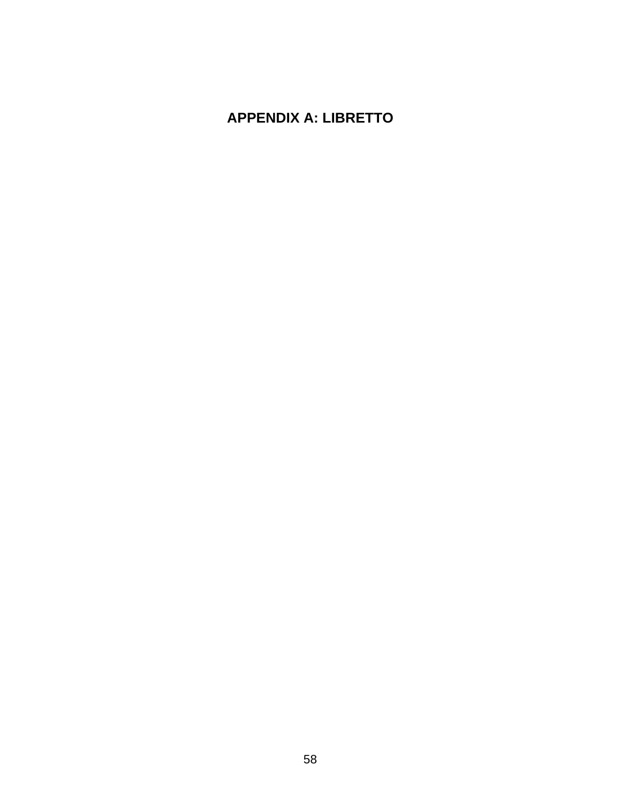# **APPENDIX A: LIBRETTO**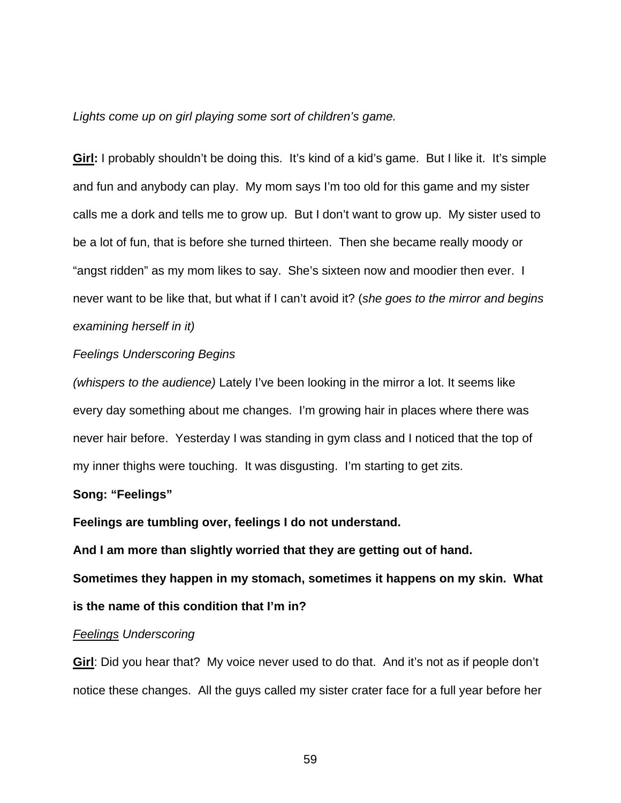*Lights come up on girl playing some sort of children's game.*

**Girl:** I probably shouldn't be doing this. It's kind of a kid's game. But I like it. It's simple and fun and anybody can play. My mom says I'm too old for this game and my sister calls me a dork and tells me to grow up. But I don't want to grow up. My sister used to be a lot of fun, that is before she turned thirteen. Then she became really moody or "angst ridden" as my mom likes to say. She's sixteen now and moodier then ever. I never want to be like that, but what if I can't avoid it? (*she goes to the mirror and begins examining herself in it)* 

#### *Feelings Underscoring Begins*

*(whispers to the audience)* Lately I've been looking in the mirror a lot. It seems like every day something about me changes. I'm growing hair in places where there was never hair before. Yesterday I was standing in gym class and I noticed that the top of my inner thighs were touching. It was disgusting. I'm starting to get zits.

### **Song: "Feelings"**

**Feelings are tumbling over, feelings I do not understand.** 

**And I am more than slightly worried that they are getting out of hand.** 

**Sometimes they happen in my stomach, sometimes it happens on my skin. What is the name of this condition that I'm in?** 

#### *Feelings Underscoring*

**Girl**: Did you hear that? My voice never used to do that. And it's not as if people don't notice these changes. All the guys called my sister crater face for a full year before her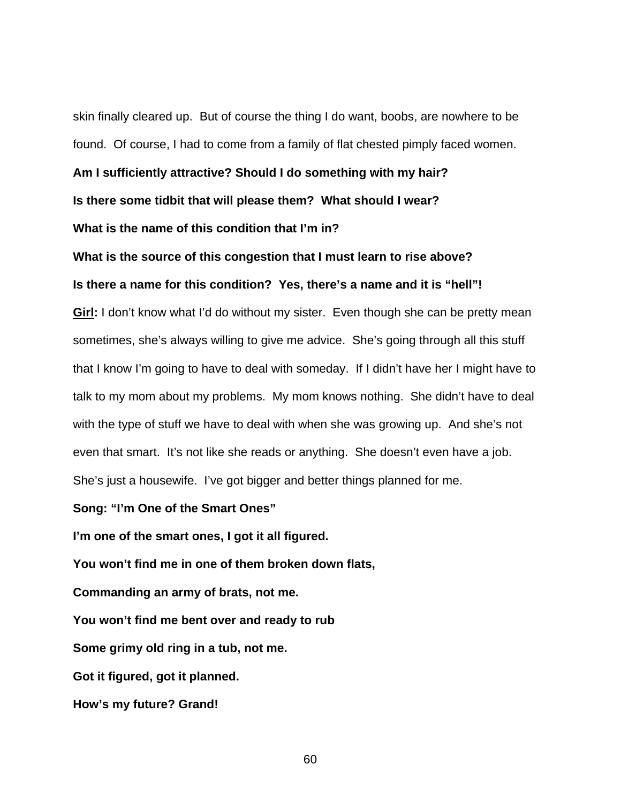skin finally cleared up. But of course the thing I do want, boobs, are nowhere to be found. Of course, I had to come from a family of flat chested pimply faced women.

**Am I sufficiently attractive? Should I do something with my hair?** 

**Is there some tidbit that will please them? What should I wear?** 

**What is the name of this condition that I'm in?** 

**What is the source of this congestion that I must learn to rise above?** 

**Is there a name for this condition? Yes, there's a name and it is "hell"!** 

**Girl:** I don't know what I'd do without my sister. Even though she can be pretty mean sometimes, she's always willing to give me advice. She's going through all this stuff that I know I'm going to have to deal with someday. If I didn't have her I might have to talk to my mom about my problems. My mom knows nothing. She didn't have to deal with the type of stuff we have to deal with when she was growing up. And she's not even that smart. It's not like she reads or anything. She doesn't even have a job. She's just a housewife. I've got bigger and better things planned for me.

**Song: "I'm One of the Smart Ones"** 

**I'm one of the smart ones, I got it all figured.** 

**You won't find me in one of them broken down flats,** 

**Commanding an army of brats, not me.** 

**You won't find me bent over and ready to rub** 

**Some grimy old ring in a tub, not me.** 

**Got it figured, got it planned.** 

**How's my future? Grand!**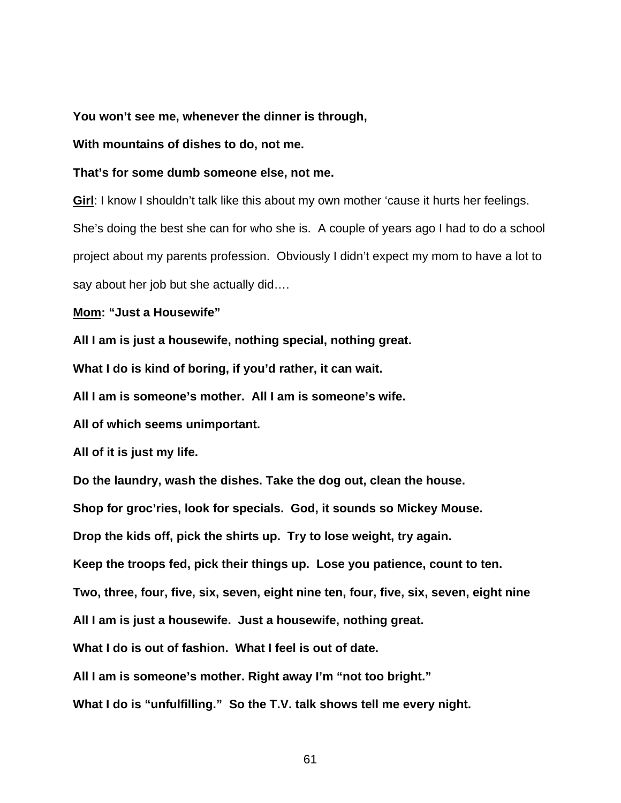**You won't see me, whenever the dinner is through,** 

**With mountains of dishes to do, not me.** 

**That's for some dumb someone else, not me.** 

**Girl**: I know I shouldn't talk like this about my own mother 'cause it hurts her feelings. She's doing the best she can for who she is. A couple of years ago I had to do a school project about my parents profession. Obviously I didn't expect my mom to have a lot to say about her job but she actually did….

**Mom: "Just a Housewife"**

**All I am is just a housewife, nothing special, nothing great.** 

**What I do is kind of boring, if you'd rather, it can wait.** 

**All I am is someone's mother. All I am is someone's wife.** 

**All of which seems unimportant.** 

**All of it is just my life.** 

**Do the laundry, wash the dishes. Take the dog out, clean the house.** 

**Shop for groc'ries, look for specials. God, it sounds so Mickey Mouse.** 

**Drop the kids off, pick the shirts up. Try to lose weight, try again.** 

**Keep the troops fed, pick their things up. Lose you patience, count to ten.** 

**Two, three, four, five, six, seven, eight nine ten, four, five, six, seven, eight nine** 

**All I am is just a housewife. Just a housewife, nothing great.** 

**What I do is out of fashion. What I feel is out of date.** 

**All I am is someone's mother. Right away I'm "not too bright."** 

**What I do is "unfulfilling." So the T.V. talk shows tell me every night.**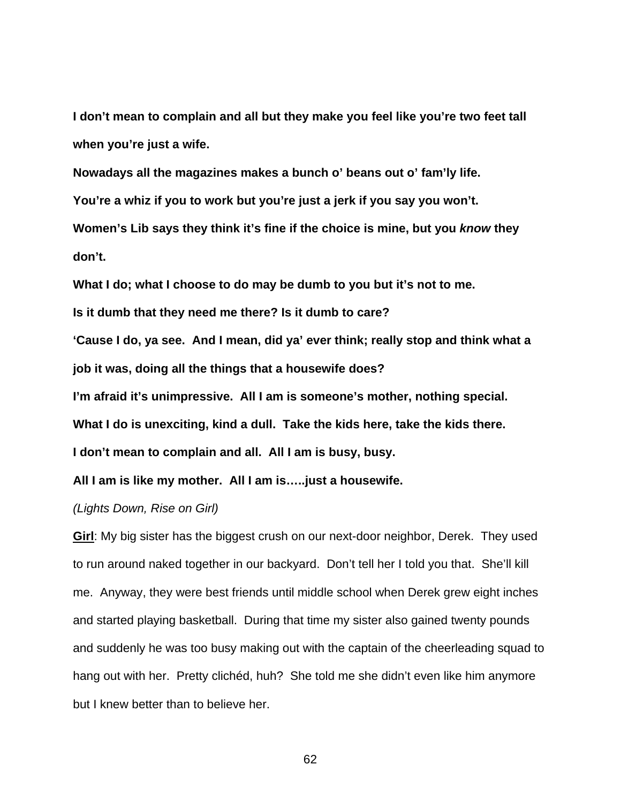**I don't mean to complain and all but they make you feel like you're two feet tall when you're just a wife.** 

**Nowadays all the magazines makes a bunch o' beans out o' fam'ly life.** 

**You're a whiz if you to work but you're just a jerk if you say you won't.** 

**Women's Lib says they think it's fine if the choice is mine, but you** *know* **they don't.** 

**What I do; what I choose to do may be dumb to you but it's not to me.** 

**Is it dumb that they need me there? Is it dumb to care?** 

**'Cause I do, ya see. And I mean, did ya' ever think; really stop and think what a job it was, doing all the things that a housewife does?** 

**I'm afraid it's unimpressive. All I am is someone's mother, nothing special.** 

**What I do is unexciting, kind a dull. Take the kids here, take the kids there.** 

**I don't mean to complain and all. All I am is busy, busy.** 

**All I am is like my mother. All I am is…..just a housewife.** 

*(Lights Down, Rise on Girl)*

**Girl**: My big sister has the biggest crush on our next-door neighbor, Derek. They used to run around naked together in our backyard. Don't tell her I told you that. She'll kill me. Anyway, they were best friends until middle school when Derek grew eight inches and started playing basketball. During that time my sister also gained twenty pounds and suddenly he was too busy making out with the captain of the cheerleading squad to hang out with her. Pretty clichéd, huh? She told me she didn't even like him anymore but I knew better than to believe her.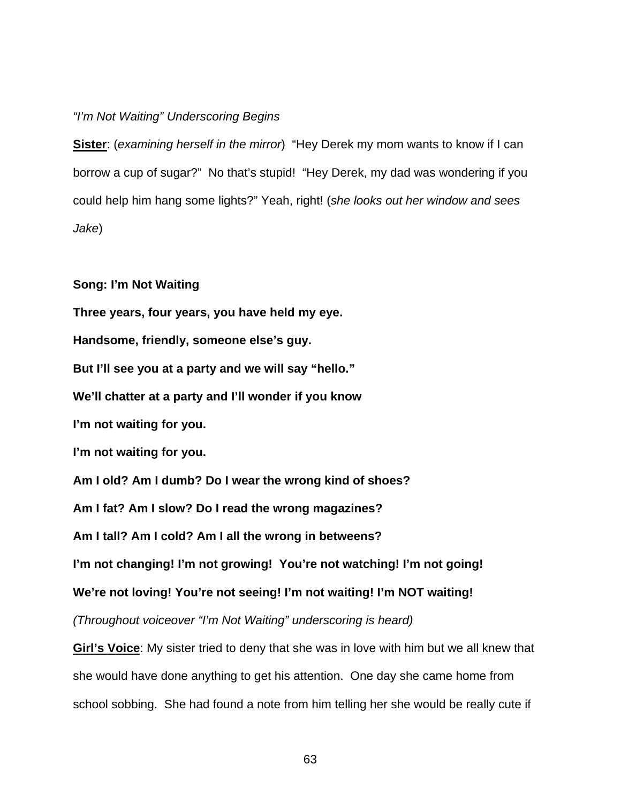## *"I'm Not Waiting" Underscoring Begins*

**Sister**: (*examining herself in the mirror*) "Hey Derek my mom wants to know if I can borrow a cup of sugar?" No that's stupid! "Hey Derek, my dad was wondering if you could help him hang some lights?" Yeah, right! (*she looks out her window and sees Jake*)

#### **Song: I'm Not Waiting**

**Three years, four years, you have held my eye.** 

**Handsome, friendly, someone else's guy.** 

**But I'll see you at a party and we will say "hello."** 

**We'll chatter at a party and I'll wonder if you know** 

**I'm not waiting for you.** 

**I'm not waiting for you.** 

**Am I old? Am I dumb? Do I wear the wrong kind of shoes?** 

**Am I fat? Am I slow? Do I read the wrong magazines?** 

**Am I tall? Am I cold? Am I all the wrong in betweens?** 

**I'm not changing! I'm not growing! You're not watching! I'm not going!** 

**We're not loving! You're not seeing! I'm not waiting! I'm NOT waiting!** 

*(Throughout voiceover "I'm Not Waiting" underscoring is heard)* 

**Girl's Voice**: My sister tried to deny that she was in love with him but we all knew that she would have done anything to get his attention. One day she came home from school sobbing. She had found a note from him telling her she would be really cute if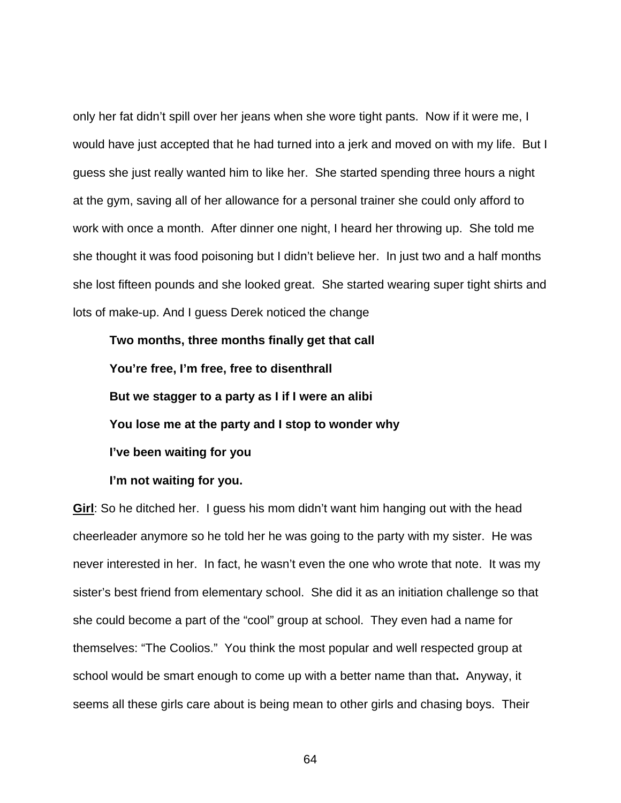only her fat didn't spill over her jeans when she wore tight pants. Now if it were me, I would have just accepted that he had turned into a jerk and moved on with my life. But I guess she just really wanted him to like her. She started spending three hours a night at the gym, saving all of her allowance for a personal trainer she could only afford to work with once a month. After dinner one night, I heard her throwing up. She told me she thought it was food poisoning but I didn't believe her. In just two and a half months she lost fifteen pounds and she looked great. She started wearing super tight shirts and lots of make-up. And I guess Derek noticed the change

**Two months, three months finally get that call You're free, I'm free, free to disenthrall But we stagger to a party as I if I were an alibi You lose me at the party and I stop to wonder why I've been waiting for you I'm not waiting for you.** 

**Girl**: So he ditched her. I guess his mom didn't want him hanging out with the head cheerleader anymore so he told her he was going to the party with my sister. He was never interested in her. In fact, he wasn't even the one who wrote that note. It was my sister's best friend from elementary school. She did it as an initiation challenge so that she could become a part of the "cool" group at school. They even had a name for themselves: "The Coolios." You think the most popular and well respected group at school would be smart enough to come up with a better name than that**.** Anyway, it seems all these girls care about is being mean to other girls and chasing boys. Their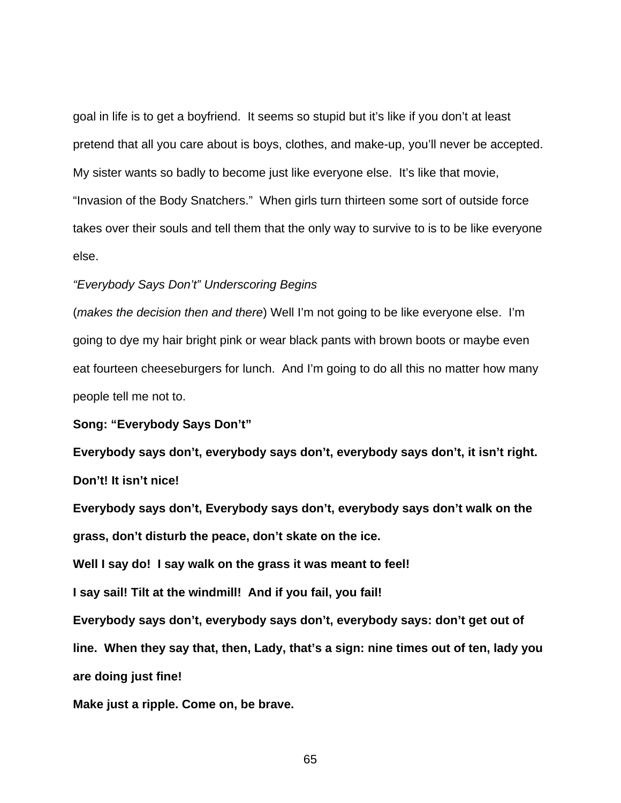goal in life is to get a boyfriend. It seems so stupid but it's like if you don't at least pretend that all you care about is boys, clothes, and make-up, you'll never be accepted. My sister wants so badly to become just like everyone else. It's like that movie, "Invasion of the Body Snatchers." When girls turn thirteen some sort of outside force takes over their souls and tell them that the only way to survive to is to be like everyone else.

### *"Everybody Says Don't" Underscoring Begins*

(*makes the decision then and there*) Well I'm not going to be like everyone else. I'm going to dye my hair bright pink or wear black pants with brown boots or maybe even eat fourteen cheeseburgers for lunch. And I'm going to do all this no matter how many people tell me not to.

**Song: "Everybody Says Don't"** 

**Everybody says don't, everybody says don't, everybody says don't, it isn't right. Don't! It isn't nice!** 

**Everybody says don't, Everybody says don't, everybody says don't walk on the grass, don't disturb the peace, don't skate on the ice.** 

**Well I say do! I say walk on the grass it was meant to feel!** 

**I say sail! Tilt at the windmill! And if you fail, you fail!** 

**Everybody says don't, everybody says don't, everybody says: don't get out of line. When they say that, then, Lady, that's a sign: nine times out of ten, lady you are doing just fine!** 

**Make just a ripple. Come on, be brave.**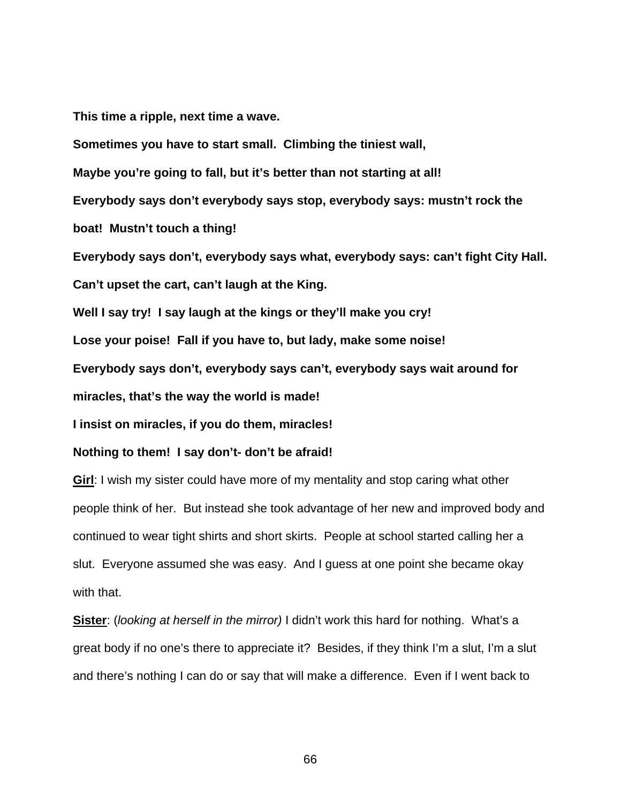**This time a ripple, next time a wave.** 

**Sometimes you have to start small. Climbing the tiniest wall,** 

**Maybe you're going to fall, but it's better than not starting at all!** 

**Everybody says don't everybody says stop, everybody says: mustn't rock the** 

**boat! Mustn't touch a thing!** 

**Everybody says don't, everybody says what, everybody says: can't fight City Hall.** 

**Can't upset the cart, can't laugh at the King.** 

**Well I say try! I say laugh at the kings or they'll make you cry!** 

**Lose your poise! Fall if you have to, but lady, make some noise!** 

**Everybody says don't, everybody says can't, everybody says wait around for** 

**miracles, that's the way the world is made!** 

**I insist on miracles, if you do them, miracles!** 

**Nothing to them! I say don't- don't be afraid!** 

**Girl**: I wish my sister could have more of my mentality and stop caring what other people think of her. But instead she took advantage of her new and improved body and continued to wear tight shirts and short skirts. People at school started calling her a slut. Everyone assumed she was easy. And I guess at one point she became okay with that.

**Sister**: (*looking at herself in the mirror)* I didn't work this hard for nothing. What's a great body if no one's there to appreciate it? Besides, if they think I'm a slut, I'm a slut and there's nothing I can do or say that will make a difference. Even if I went back to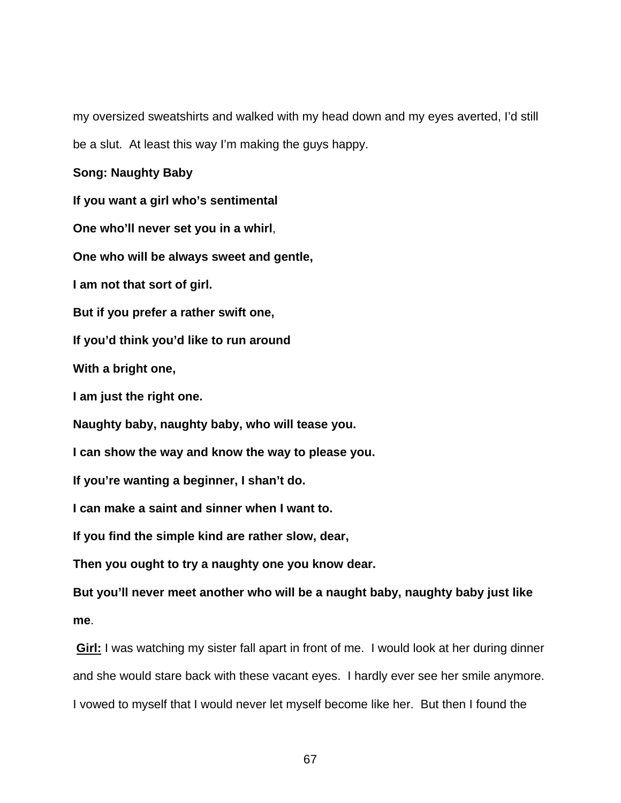my oversized sweatshirts and walked with my head down and my eyes averted, I'd still be a slut. At least this way I'm making the guys happy.

**Song: Naughty Baby** 

**If you want a girl who's sentimental** 

**One who'll never set you in a whirl**,

**One who will be always sweet and gentle,** 

**I am not that sort of girl.** 

**But if you prefer a rather swift one,** 

**If you'd think you'd like to run around** 

**With a bright one,** 

**I am just the right one.** 

**Naughty baby, naughty baby, who will tease you.** 

**I can show the way and know the way to please you.** 

**If you're wanting a beginner, I shan't do.** 

**I can make a saint and sinner when I want to.** 

**If you find the simple kind are rather slow, dear,** 

**Then you ought to try a naughty one you know dear.** 

**But you'll never meet another who will be a naught baby, naughty baby just like me**.

**Girl:** I was watching my sister fall apart in front of me. I would look at her during dinner and she would stare back with these vacant eyes. I hardly ever see her smile anymore. I vowed to myself that I would never let myself become like her. But then I found the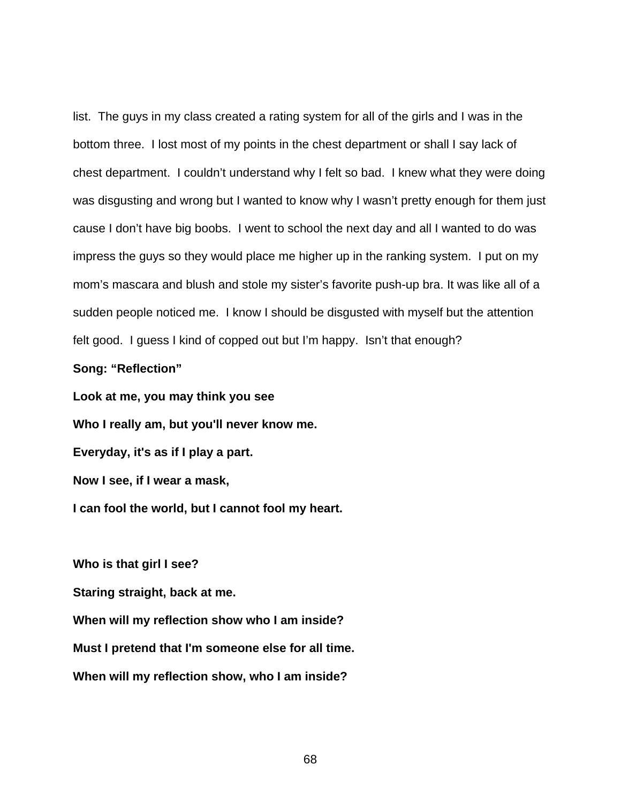list. The guys in my class created a rating system for all of the girls and I was in the bottom three. I lost most of my points in the chest department or shall I say lack of chest department. I couldn't understand why I felt so bad. I knew what they were doing was disgusting and wrong but I wanted to know why I wasn't pretty enough for them just cause I don't have big boobs. I went to school the next day and all I wanted to do was impress the guys so they would place me higher up in the ranking system. I put on my mom's mascara and blush and stole my sister's favorite push-up bra. It was like all of a sudden people noticed me. I know I should be disgusted with myself but the attention felt good. I guess I kind of copped out but I'm happy. Isn't that enough?

**Song: "Reflection"** 

**Look at me, you may think you see Who I really am, but you'll never know me. Everyday, it's as if I play a part. Now I see, if I wear a mask, I can fool the world, but I cannot fool my heart.** 

**Who is that girl I see?** 

**Staring straight, back at me.** 

**When will my reflection show who I am inside?** 

**Must I pretend that I'm someone else for all time.** 

**When will my reflection show, who I am inside?**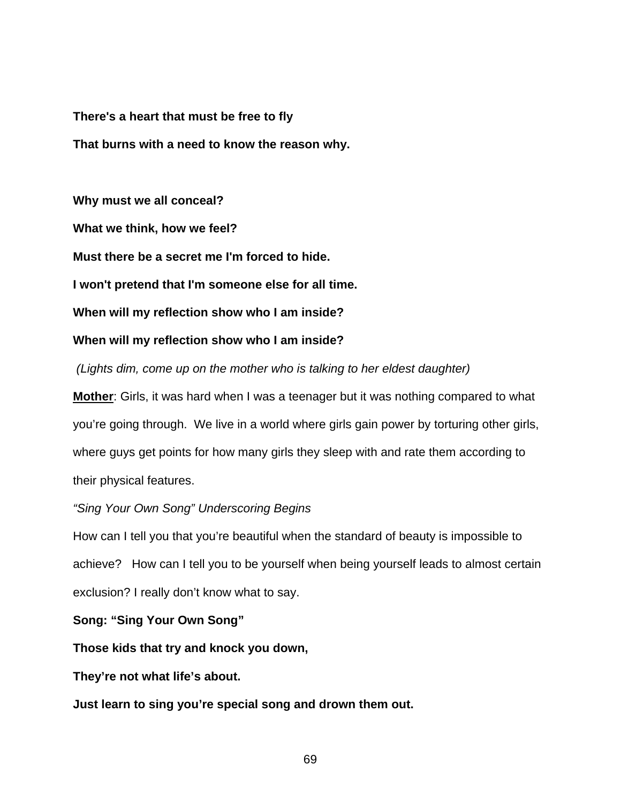**There's a heart that must be free to fly** 

**That burns with a need to know the reason why.** 

**Why must we all conceal?** 

**What we think, how we feel?** 

**Must there be a secret me I'm forced to hide.** 

**I won't pretend that I'm someone else for all time.** 

**When will my reflection show who I am inside?** 

**When will my reflection show who I am inside?** 

 *(Lights dim, come up on the mother who is talking to her eldest daughter)* 

**Mother**: Girls, it was hard when I was a teenager but it was nothing compared to what you're going through. We live in a world where girls gain power by torturing other girls, where guys get points for how many girls they sleep with and rate them according to their physical features.

# *"Sing Your Own Song" Underscoring Begins*

How can I tell you that you're beautiful when the standard of beauty is impossible to achieve? How can I tell you to be yourself when being yourself leads to almost certain exclusion? I really don't know what to say.

**Song: "Sing Your Own Song"** 

**Those kids that try and knock you down,** 

**They're not what life's about.** 

**Just learn to sing you're special song and drown them out.**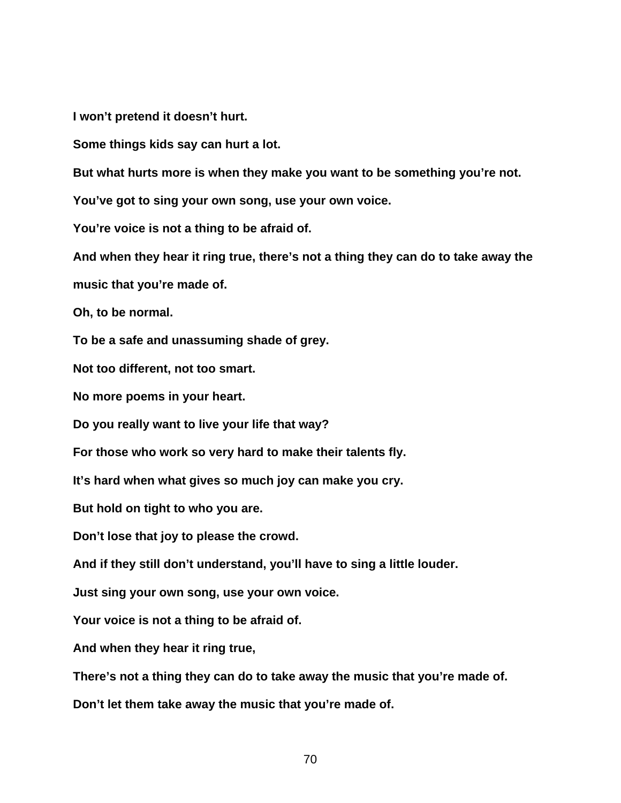**I won't pretend it doesn't hurt.** 

**Some things kids say can hurt a lot.** 

**But what hurts more is when they make you want to be something you're not.** 

**You've got to sing your own song, use your own voice.** 

**You're voice is not a thing to be afraid of.** 

**And when they hear it ring true, there's not a thing they can do to take away the** 

**music that you're made of.** 

**Oh, to be normal.** 

**To be a safe and unassuming shade of grey.** 

**Not too different, not too smart.** 

**No more poems in your heart.** 

**Do you really want to live your life that way?** 

**For those who work so very hard to make their talents fly.** 

**It's hard when what gives so much joy can make you cry.** 

**But hold on tight to who you are.** 

**Don't lose that joy to please the crowd.** 

**And if they still don't understand, you'll have to sing a little louder.** 

**Just sing your own song, use your own voice.** 

**Your voice is not a thing to be afraid of.** 

**And when they hear it ring true,** 

**There's not a thing they can do to take away the music that you're made of.** 

**Don't let them take away the music that you're made of.**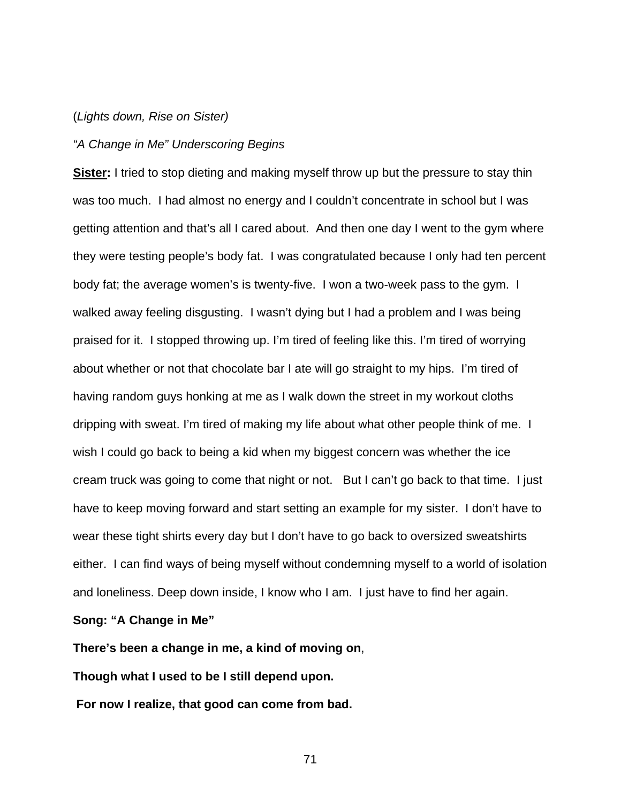## (*Lights down, Rise on Sister)*

## *"A Change in Me" Underscoring Begins*

**Sister:** I tried to stop dieting and making myself throw up but the pressure to stay thin was too much. I had almost no energy and I couldn't concentrate in school but I was getting attention and that's all I cared about. And then one day I went to the gym where they were testing people's body fat. I was congratulated because I only had ten percent body fat; the average women's is twenty-five. I won a two-week pass to the gym. I walked away feeling disgusting. I wasn't dying but I had a problem and I was being praised for it. I stopped throwing up. I'm tired of feeling like this. I'm tired of worrying about whether or not that chocolate bar I ate will go straight to my hips. I'm tired of having random guys honking at me as I walk down the street in my workout cloths dripping with sweat. I'm tired of making my life about what other people think of me. I wish I could go back to being a kid when my biggest concern was whether the ice cream truck was going to come that night or not. But I can't go back to that time. I just have to keep moving forward and start setting an example for my sister. I don't have to wear these tight shirts every day but I don't have to go back to oversized sweatshirts either. I can find ways of being myself without condemning myself to a world of isolation and loneliness. Deep down inside, I know who I am. I just have to find her again.

#### **Song: "A Change in Me"**

**There's been a change in me, a kind of moving on**,

**Though what I used to be I still depend upon.** 

**For now I realize, that good can come from bad.**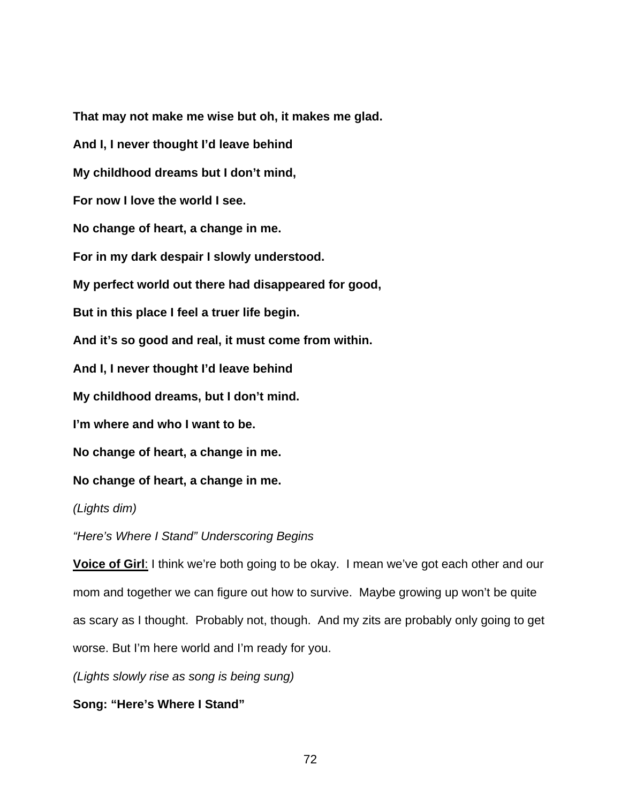**That may not make me wise but oh, it makes me glad. And I, I never thought I'd leave behind My childhood dreams but I don't mind, For now I love the world I see. No change of heart, a change in me. For in my dark despair I slowly understood. My perfect world out there had disappeared for good, But in this place I feel a truer life begin. And it's so good and real, it must come from within. And I, I never thought I'd leave behind My childhood dreams, but I don't mind. I'm where and who I want to be. No change of heart, a change in me. No change of heart, a change in me.**  *(Lights dim)* 

*"Here's Where I Stand" Underscoring Begins* 

**Voice of Girl**: I think we're both going to be okay. I mean we've got each other and our mom and together we can figure out how to survive. Maybe growing up won't be quite as scary as I thought. Probably not, though. And my zits are probably only going to get worse. But I'm here world and I'm ready for you.

*(Lights slowly rise as song is being sung)*

**Song: "Here's Where I Stand"**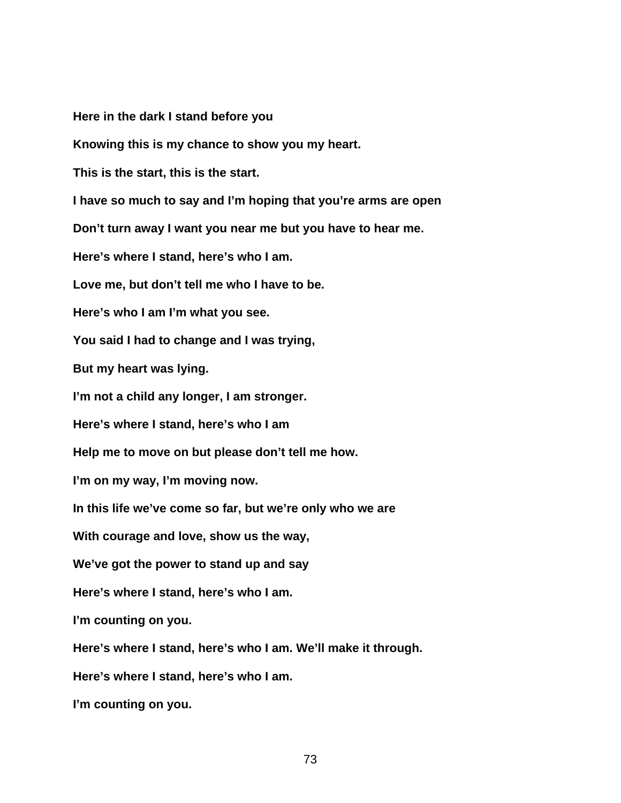**Here in the dark I stand before you** 

**Knowing this is my chance to show you my heart.** 

**This is the start, this is the start.** 

**I have so much to say and I'm hoping that you're arms are open** 

**Don't turn away I want you near me but you have to hear me.** 

**Here's where I stand, here's who I am.** 

**Love me, but don't tell me who I have to be.** 

**Here's who I am I'm what you see.** 

**You said I had to change and I was trying,** 

**But my heart was lying.** 

**I'm not a child any longer, I am stronger.** 

**Here's where I stand, here's who I am** 

**Help me to move on but please don't tell me how.** 

**I'm on my way, I'm moving now.** 

**In this life we've come so far, but we're only who we are** 

**With courage and love, show us the way,** 

**We've got the power to stand up and say** 

**Here's where I stand, here's who I am.** 

**I'm counting on you.** 

**Here's where I stand, here's who I am. We'll make it through.** 

**Here's where I stand, here's who I am.** 

**I'm counting on you.**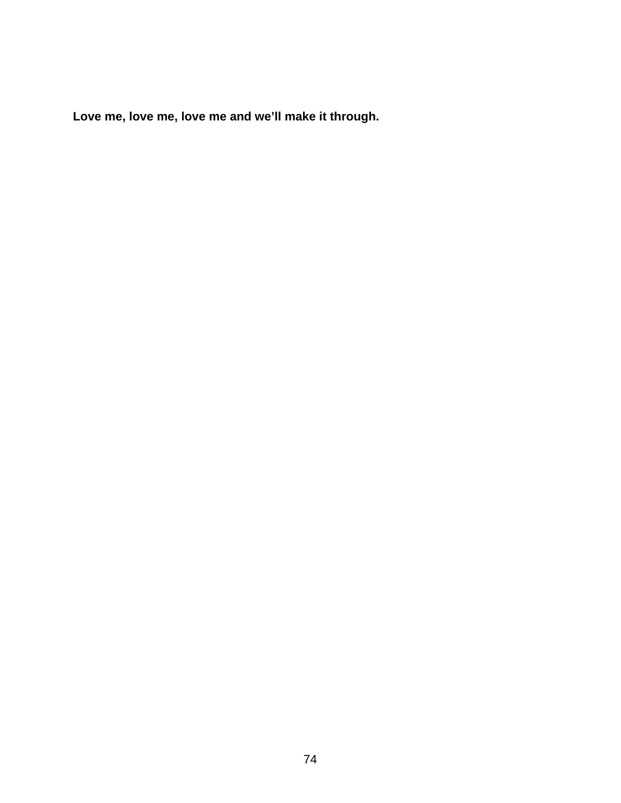**Love me, love me, love me and we'll make it through.**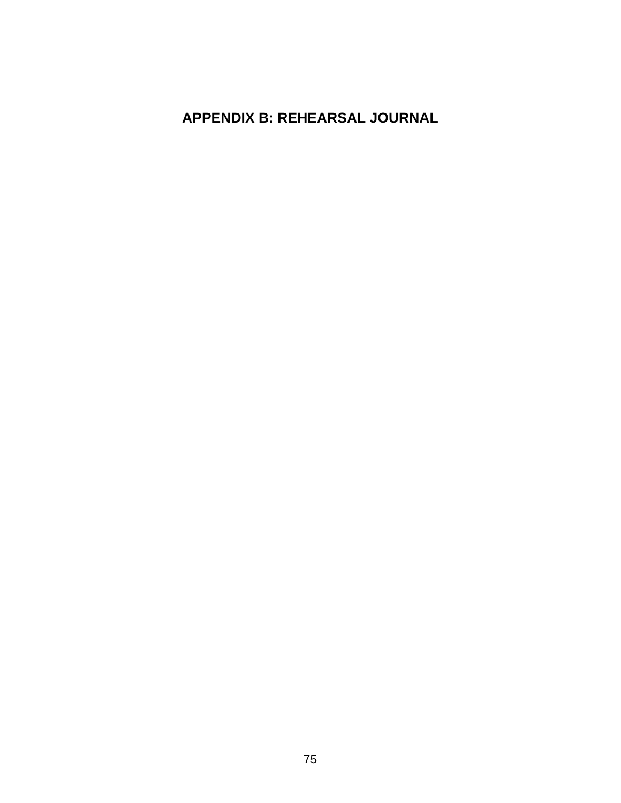# **APPENDIX B: REHEARSAL JOURNAL**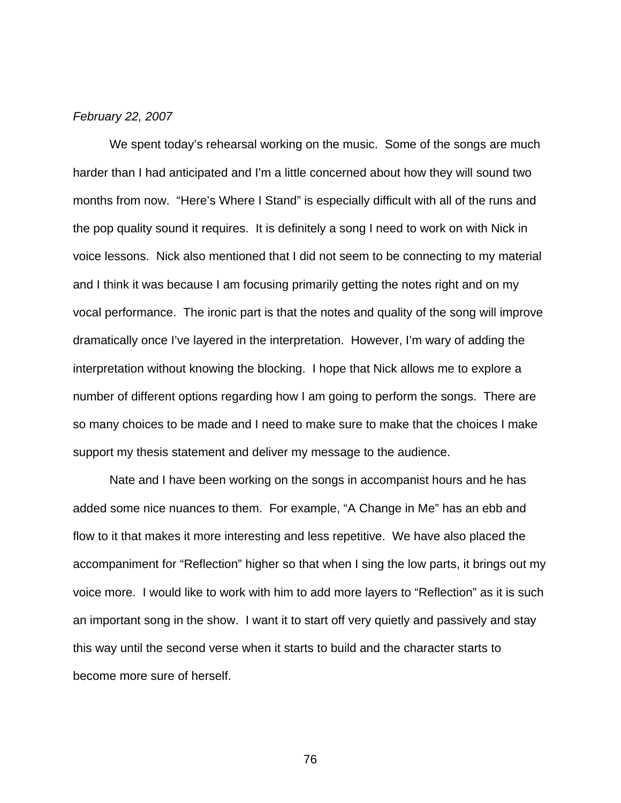## *February 22, 2007*

 We spent today's rehearsal working on the music. Some of the songs are much harder than I had anticipated and I'm a little concerned about how they will sound two months from now. "Here's Where I Stand" is especially difficult with all of the runs and the pop quality sound it requires. It is definitely a song I need to work on with Nick in voice lessons. Nick also mentioned that I did not seem to be connecting to my material and I think it was because I am focusing primarily getting the notes right and on my vocal performance. The ironic part is that the notes and quality of the song will improve dramatically once I've layered in the interpretation. However, I'm wary of adding the interpretation without knowing the blocking. I hope that Nick allows me to explore a number of different options regarding how I am going to perform the songs. There are so many choices to be made and I need to make sure to make that the choices I make support my thesis statement and deliver my message to the audience.

 Nate and I have been working on the songs in accompanist hours and he has added some nice nuances to them. For example, "A Change in Me" has an ebb and flow to it that makes it more interesting and less repetitive. We have also placed the accompaniment for "Reflection" higher so that when I sing the low parts, it brings out my voice more. I would like to work with him to add more layers to "Reflection" as it is such an important song in the show. I want it to start off very quietly and passively and stay this way until the second verse when it starts to build and the character starts to become more sure of herself.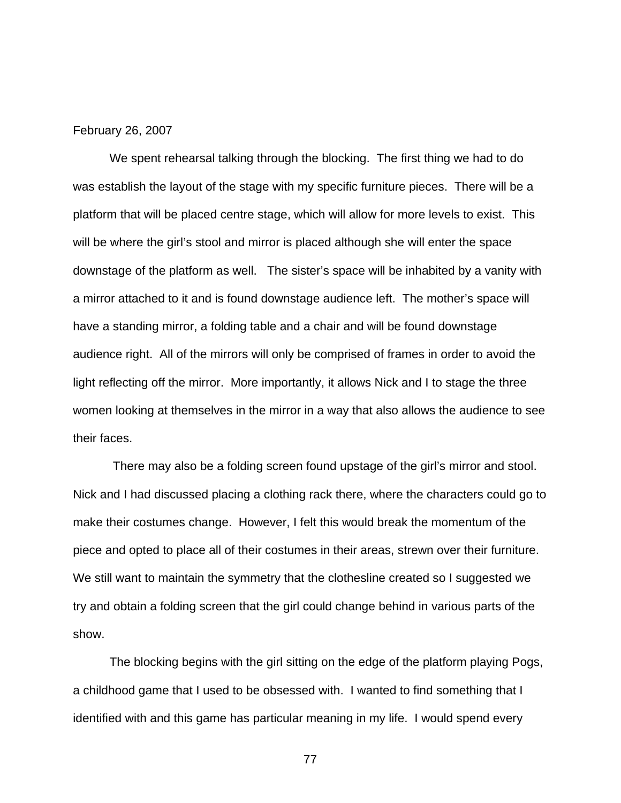#### February 26, 2007

 We spent rehearsal talking through the blocking. The first thing we had to do was establish the layout of the stage with my specific furniture pieces. There will be a platform that will be placed centre stage, which will allow for more levels to exist. This will be where the girl's stool and mirror is placed although she will enter the space downstage of the platform as well. The sister's space will be inhabited by a vanity with a mirror attached to it and is found downstage audience left. The mother's space will have a standing mirror, a folding table and a chair and will be found downstage audience right. All of the mirrors will only be comprised of frames in order to avoid the light reflecting off the mirror. More importantly, it allows Nick and I to stage the three women looking at themselves in the mirror in a way that also allows the audience to see their faces.

 There may also be a folding screen found upstage of the girl's mirror and stool. Nick and I had discussed placing a clothing rack there, where the characters could go to make their costumes change. However, I felt this would break the momentum of the piece and opted to place all of their costumes in their areas, strewn over their furniture. We still want to maintain the symmetry that the clothesline created so I suggested we try and obtain a folding screen that the girl could change behind in various parts of the show.

 The blocking begins with the girl sitting on the edge of the platform playing Pogs, a childhood game that I used to be obsessed with. I wanted to find something that I identified with and this game has particular meaning in my life. I would spend every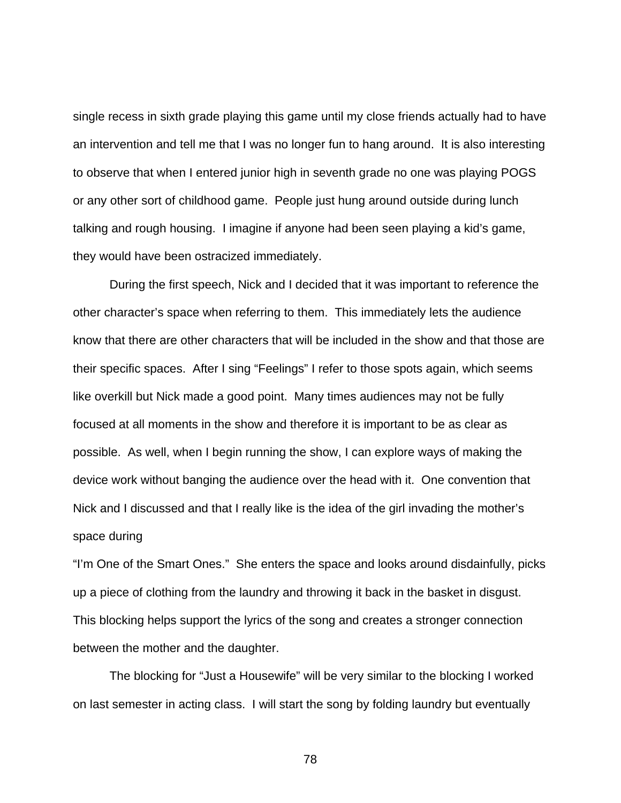single recess in sixth grade playing this game until my close friends actually had to have an intervention and tell me that I was no longer fun to hang around. It is also interesting to observe that when I entered junior high in seventh grade no one was playing POGS or any other sort of childhood game. People just hung around outside during lunch talking and rough housing. I imagine if anyone had been seen playing a kid's game, they would have been ostracized immediately.

 During the first speech, Nick and I decided that it was important to reference the other character's space when referring to them. This immediately lets the audience know that there are other characters that will be included in the show and that those are their specific spaces. After I sing "Feelings" I refer to those spots again, which seems like overkill but Nick made a good point. Many times audiences may not be fully focused at all moments in the show and therefore it is important to be as clear as possible. As well, when I begin running the show, I can explore ways of making the device work without banging the audience over the head with it. One convention that Nick and I discussed and that I really like is the idea of the girl invading the mother's space during

"I'm One of the Smart Ones." She enters the space and looks around disdainfully, picks up a piece of clothing from the laundry and throwing it back in the basket in disgust. This blocking helps support the lyrics of the song and creates a stronger connection between the mother and the daughter.

 The blocking for "Just a Housewife" will be very similar to the blocking I worked on last semester in acting class. I will start the song by folding laundry but eventually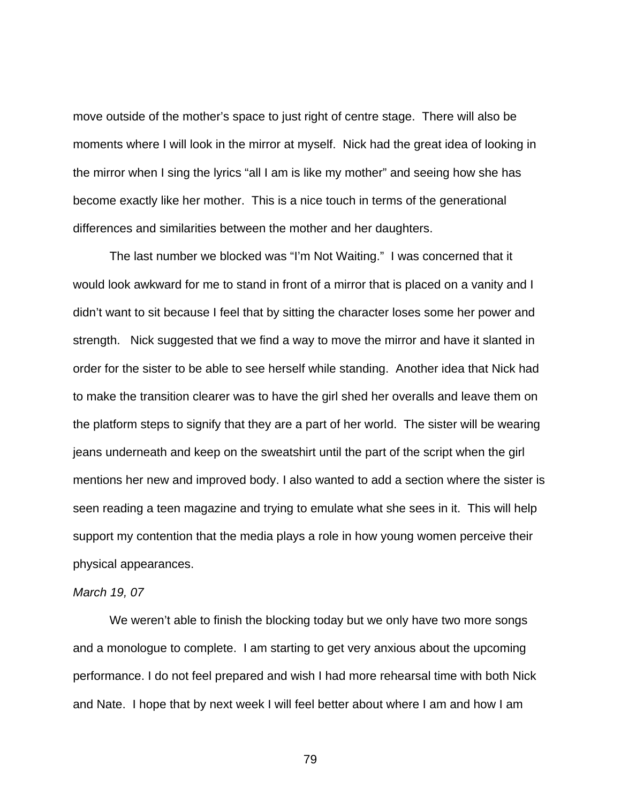move outside of the mother's space to just right of centre stage. There will also be moments where I will look in the mirror at myself. Nick had the great idea of looking in the mirror when I sing the lyrics "all I am is like my mother" and seeing how she has become exactly like her mother. This is a nice touch in terms of the generational differences and similarities between the mother and her daughters.

 The last number we blocked was "I'm Not Waiting." I was concerned that it would look awkward for me to stand in front of a mirror that is placed on a vanity and I didn't want to sit because I feel that by sitting the character loses some her power and strength. Nick suggested that we find a way to move the mirror and have it slanted in order for the sister to be able to see herself while standing. Another idea that Nick had to make the transition clearer was to have the girl shed her overalls and leave them on the platform steps to signify that they are a part of her world. The sister will be wearing jeans underneath and keep on the sweatshirt until the part of the script when the girl mentions her new and improved body. I also wanted to add a section where the sister is seen reading a teen magazine and trying to emulate what she sees in it. This will help support my contention that the media plays a role in how young women perceive their physical appearances.

#### *March 19, 07*

 We weren't able to finish the blocking today but we only have two more songs and a monologue to complete. I am starting to get very anxious about the upcoming performance. I do not feel prepared and wish I had more rehearsal time with both Nick and Nate. I hope that by next week I will feel better about where I am and how I am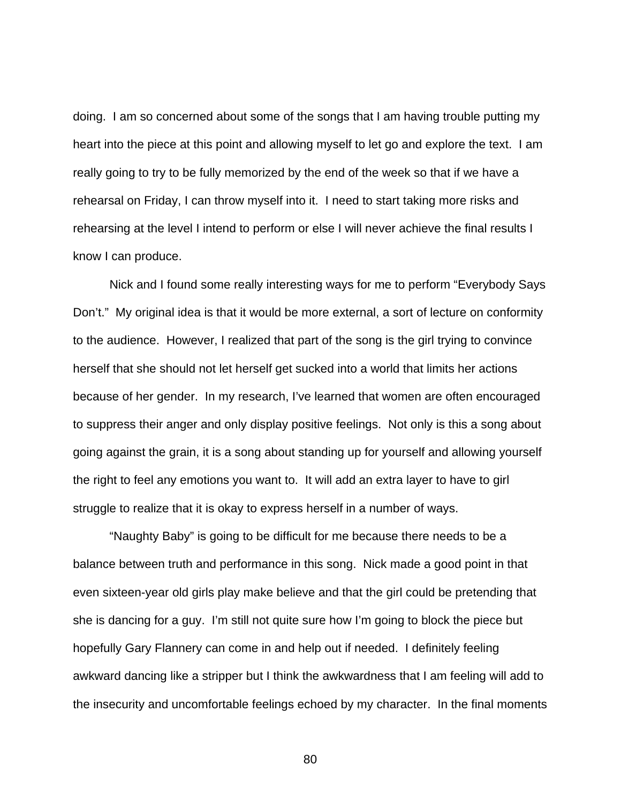doing. I am so concerned about some of the songs that I am having trouble putting my heart into the piece at this point and allowing myself to let go and explore the text. I am really going to try to be fully memorized by the end of the week so that if we have a rehearsal on Friday, I can throw myself into it. I need to start taking more risks and rehearsing at the level I intend to perform or else I will never achieve the final results I know I can produce.

 Nick and I found some really interesting ways for me to perform "Everybody Says Don't." My original idea is that it would be more external, a sort of lecture on conformity to the audience. However, I realized that part of the song is the girl trying to convince herself that she should not let herself get sucked into a world that limits her actions because of her gender. In my research, I've learned that women are often encouraged to suppress their anger and only display positive feelings. Not only is this a song about going against the grain, it is a song about standing up for yourself and allowing yourself the right to feel any emotions you want to. It will add an extra layer to have to girl struggle to realize that it is okay to express herself in a number of ways.

 "Naughty Baby" is going to be difficult for me because there needs to be a balance between truth and performance in this song. Nick made a good point in that even sixteen-year old girls play make believe and that the girl could be pretending that she is dancing for a guy. I'm still not quite sure how I'm going to block the piece but hopefully Gary Flannery can come in and help out if needed. I definitely feeling awkward dancing like a stripper but I think the awkwardness that I am feeling will add to the insecurity and uncomfortable feelings echoed by my character. In the final moments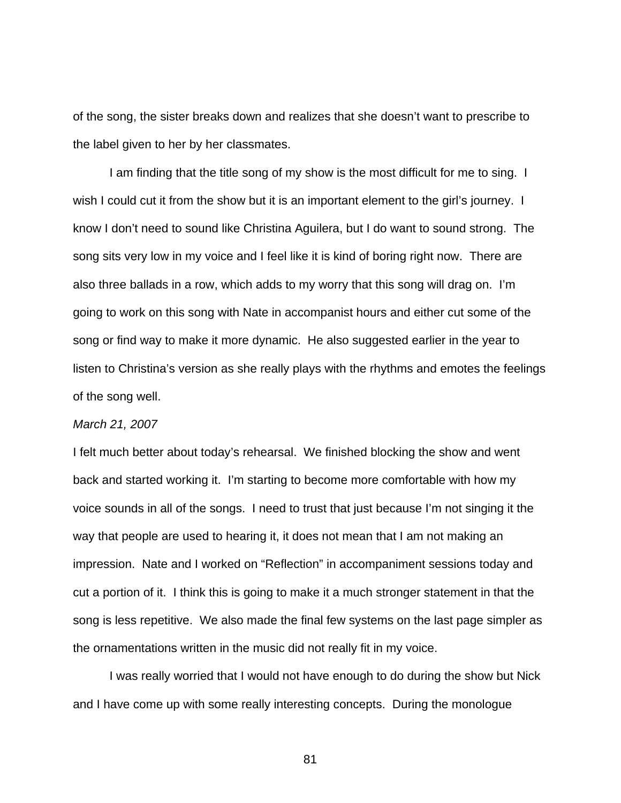of the song, the sister breaks down and realizes that she doesn't want to prescribe to the label given to her by her classmates.

I am finding that the title song of my show is the most difficult for me to sing. I wish I could cut it from the show but it is an important element to the girl's journey. I know I don't need to sound like Christina Aguilera, but I do want to sound strong. The song sits very low in my voice and I feel like it is kind of boring right now. There are also three ballads in a row, which adds to my worry that this song will drag on. I'm going to work on this song with Nate in accompanist hours and either cut some of the song or find way to make it more dynamic. He also suggested earlier in the year to listen to Christina's version as she really plays with the rhythms and emotes the feelings of the song well.

## *March 21, 2007*

I felt much better about today's rehearsal. We finished blocking the show and went back and started working it. I'm starting to become more comfortable with how my voice sounds in all of the songs. I need to trust that just because I'm not singing it the way that people are used to hearing it, it does not mean that I am not making an impression. Nate and I worked on "Reflection" in accompaniment sessions today and cut a portion of it. I think this is going to make it a much stronger statement in that the song is less repetitive. We also made the final few systems on the last page simpler as the ornamentations written in the music did not really fit in my voice.

 I was really worried that I would not have enough to do during the show but Nick and I have come up with some really interesting concepts. During the monologue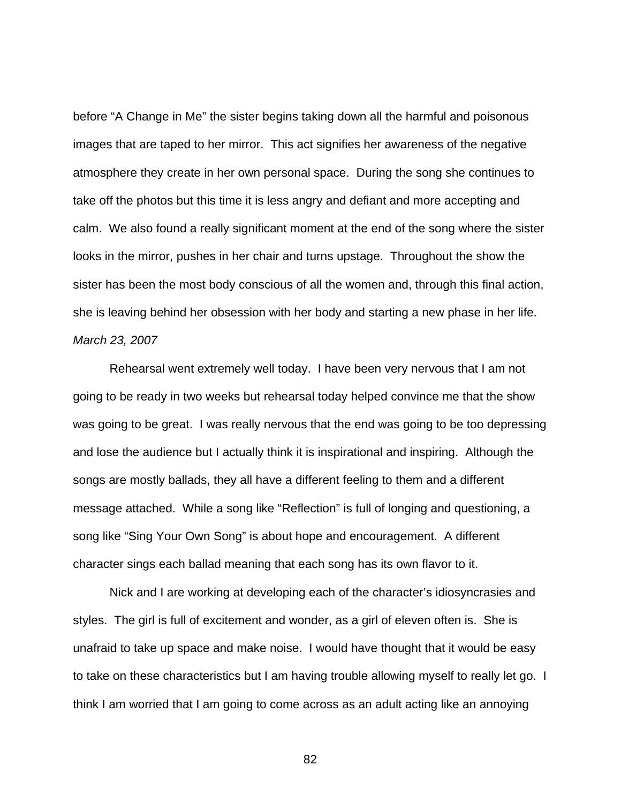before "A Change in Me" the sister begins taking down all the harmful and poisonous images that are taped to her mirror. This act signifies her awareness of the negative atmosphere they create in her own personal space. During the song she continues to take off the photos but this time it is less angry and defiant and more accepting and calm. We also found a really significant moment at the end of the song where the sister looks in the mirror, pushes in her chair and turns upstage. Throughout the show the sister has been the most body conscious of all the women and, through this final action, she is leaving behind her obsession with her body and starting a new phase in her life. *March 23, 2007* 

 Rehearsal went extremely well today. I have been very nervous that I am not going to be ready in two weeks but rehearsal today helped convince me that the show was going to be great. I was really nervous that the end was going to be too depressing and lose the audience but I actually think it is inspirational and inspiring. Although the songs are mostly ballads, they all have a different feeling to them and a different message attached. While a song like "Reflection" is full of longing and questioning, a song like "Sing Your Own Song" is about hope and encouragement. A different character sings each ballad meaning that each song has its own flavor to it.

 Nick and I are working at developing each of the character's idiosyncrasies and styles. The girl is full of excitement and wonder, as a girl of eleven often is. She is unafraid to take up space and make noise. I would have thought that it would be easy to take on these characteristics but I am having trouble allowing myself to really let go. I think I am worried that I am going to come across as an adult acting like an annoying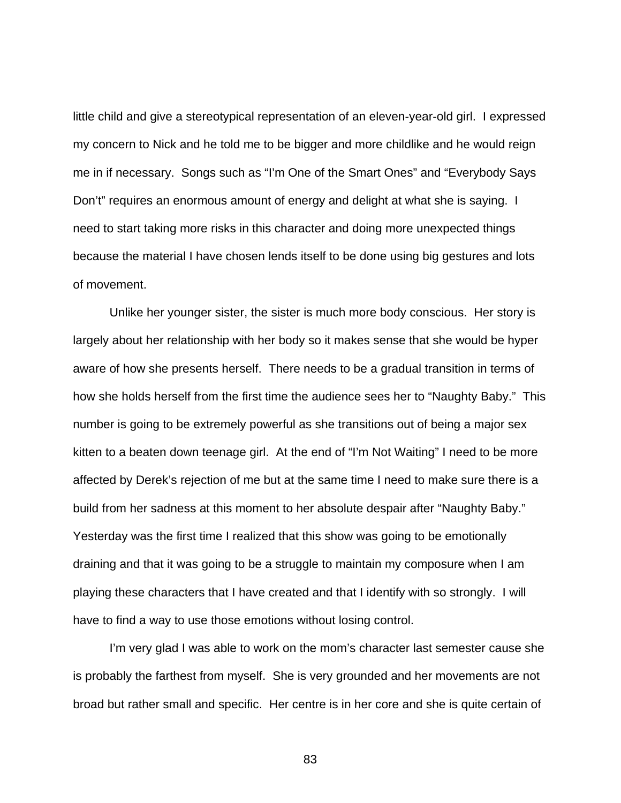little child and give a stereotypical representation of an eleven-year-old girl. I expressed my concern to Nick and he told me to be bigger and more childlike and he would reign me in if necessary. Songs such as "I'm One of the Smart Ones" and "Everybody Says Don't" requires an enormous amount of energy and delight at what she is saying. I need to start taking more risks in this character and doing more unexpected things because the material I have chosen lends itself to be done using big gestures and lots of movement.

 Unlike her younger sister, the sister is much more body conscious. Her story is largely about her relationship with her body so it makes sense that she would be hyper aware of how she presents herself. There needs to be a gradual transition in terms of how she holds herself from the first time the audience sees her to "Naughty Baby." This number is going to be extremely powerful as she transitions out of being a major sex kitten to a beaten down teenage girl. At the end of "I'm Not Waiting" I need to be more affected by Derek's rejection of me but at the same time I need to make sure there is a build from her sadness at this moment to her absolute despair after "Naughty Baby." Yesterday was the first time I realized that this show was going to be emotionally draining and that it was going to be a struggle to maintain my composure when I am playing these characters that I have created and that I identify with so strongly. I will have to find a way to use those emotions without losing control.

 I'm very glad I was able to work on the mom's character last semester cause she is probably the farthest from myself. She is very grounded and her movements are not broad but rather small and specific. Her centre is in her core and she is quite certain of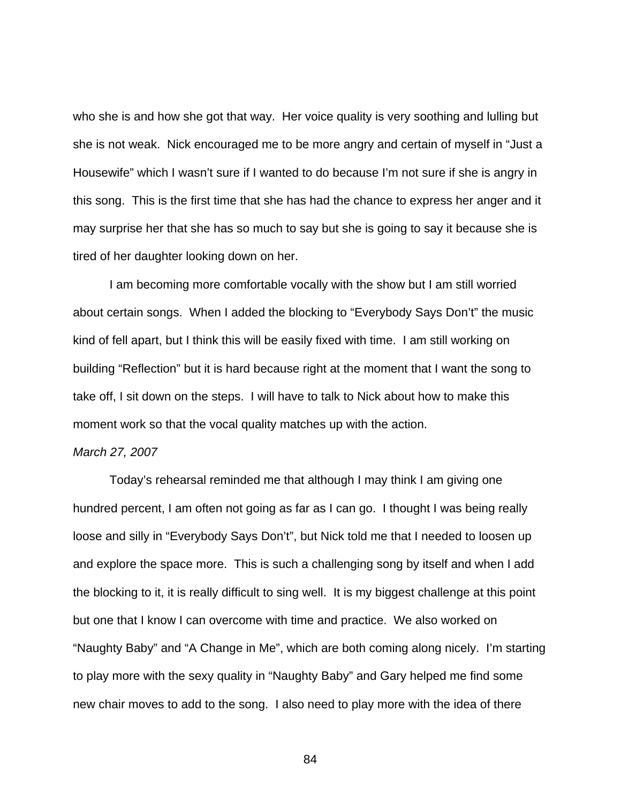who she is and how she got that way. Her voice quality is very soothing and lulling but she is not weak. Nick encouraged me to be more angry and certain of myself in "Just a Housewife" which I wasn't sure if I wanted to do because I'm not sure if she is angry in this song. This is the first time that she has had the chance to express her anger and it may surprise her that she has so much to say but she is going to say it because she is tired of her daughter looking down on her.

 I am becoming more comfortable vocally with the show but I am still worried about certain songs. When I added the blocking to "Everybody Says Don't" the music kind of fell apart, but I think this will be easily fixed with time. I am still working on building "Reflection" but it is hard because right at the moment that I want the song to take off, I sit down on the steps. I will have to talk to Nick about how to make this moment work so that the vocal quality matches up with the action.

#### *March 27, 2007*

 Today's rehearsal reminded me that although I may think I am giving one hundred percent, I am often not going as far as I can go. I thought I was being really loose and silly in "Everybody Says Don't", but Nick told me that I needed to loosen up and explore the space more. This is such a challenging song by itself and when I add the blocking to it, it is really difficult to sing well. It is my biggest challenge at this point but one that I know I can overcome with time and practice. We also worked on "Naughty Baby" and "A Change in Me", which are both coming along nicely. I'm starting to play more with the sexy quality in "Naughty Baby" and Gary helped me find some new chair moves to add to the song. I also need to play more with the idea of there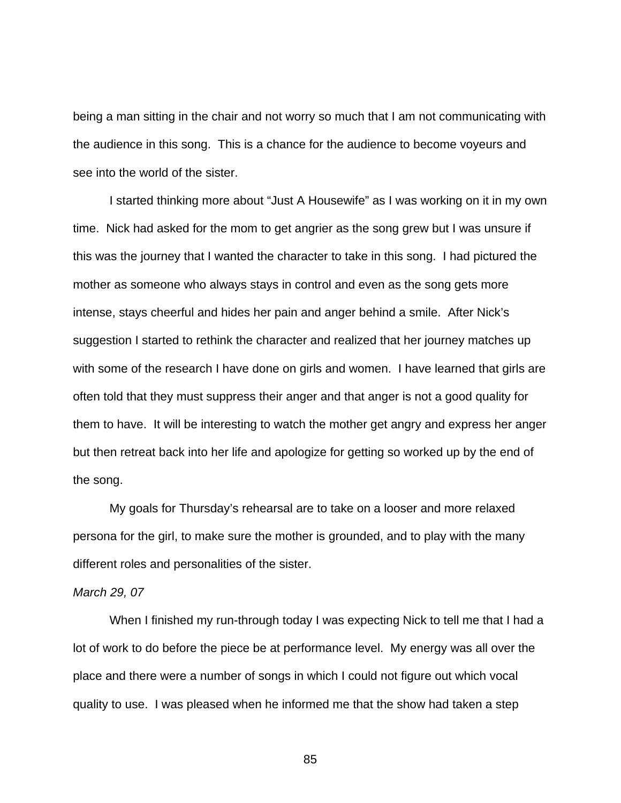being a man sitting in the chair and not worry so much that I am not communicating with the audience in this song. This is a chance for the audience to become voyeurs and see into the world of the sister.

 I started thinking more about "Just A Housewife" as I was working on it in my own time. Nick had asked for the mom to get angrier as the song grew but I was unsure if this was the journey that I wanted the character to take in this song. I had pictured the mother as someone who always stays in control and even as the song gets more intense, stays cheerful and hides her pain and anger behind a smile. After Nick's suggestion I started to rethink the character and realized that her journey matches up with some of the research I have done on girls and women. I have learned that girls are often told that they must suppress their anger and that anger is not a good quality for them to have. It will be interesting to watch the mother get angry and express her anger but then retreat back into her life and apologize for getting so worked up by the end of the song.

 My goals for Thursday's rehearsal are to take on a looser and more relaxed persona for the girl, to make sure the mother is grounded, and to play with the many different roles and personalities of the sister.

#### *March 29, 07*

When I finished my run-through today I was expecting Nick to tell me that I had a lot of work to do before the piece be at performance level. My energy was all over the place and there were a number of songs in which I could not figure out which vocal quality to use. I was pleased when he informed me that the show had taken a step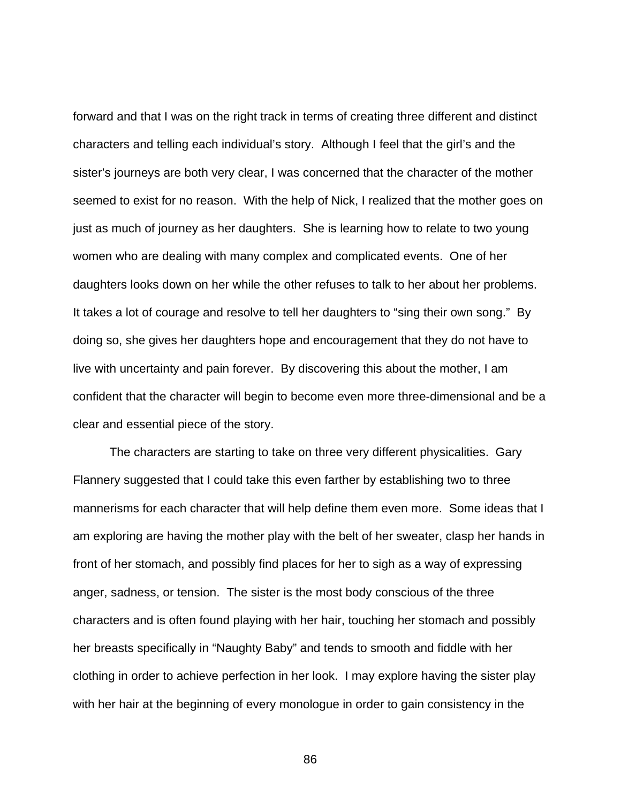forward and that I was on the right track in terms of creating three different and distinct characters and telling each individual's story. Although I feel that the girl's and the sister's journeys are both very clear, I was concerned that the character of the mother seemed to exist for no reason. With the help of Nick, I realized that the mother goes on just as much of journey as her daughters. She is learning how to relate to two young women who are dealing with many complex and complicated events. One of her daughters looks down on her while the other refuses to talk to her about her problems. It takes a lot of courage and resolve to tell her daughters to "sing their own song." By doing so, she gives her daughters hope and encouragement that they do not have to live with uncertainty and pain forever. By discovering this about the mother, I am confident that the character will begin to become even more three-dimensional and be a clear and essential piece of the story.

 The characters are starting to take on three very different physicalities. Gary Flannery suggested that I could take this even farther by establishing two to three mannerisms for each character that will help define them even more. Some ideas that I am exploring are having the mother play with the belt of her sweater, clasp her hands in front of her stomach, and possibly find places for her to sigh as a way of expressing anger, sadness, or tension. The sister is the most body conscious of the three characters and is often found playing with her hair, touching her stomach and possibly her breasts specifically in "Naughty Baby" and tends to smooth and fiddle with her clothing in order to achieve perfection in her look. I may explore having the sister play with her hair at the beginning of every monologue in order to gain consistency in the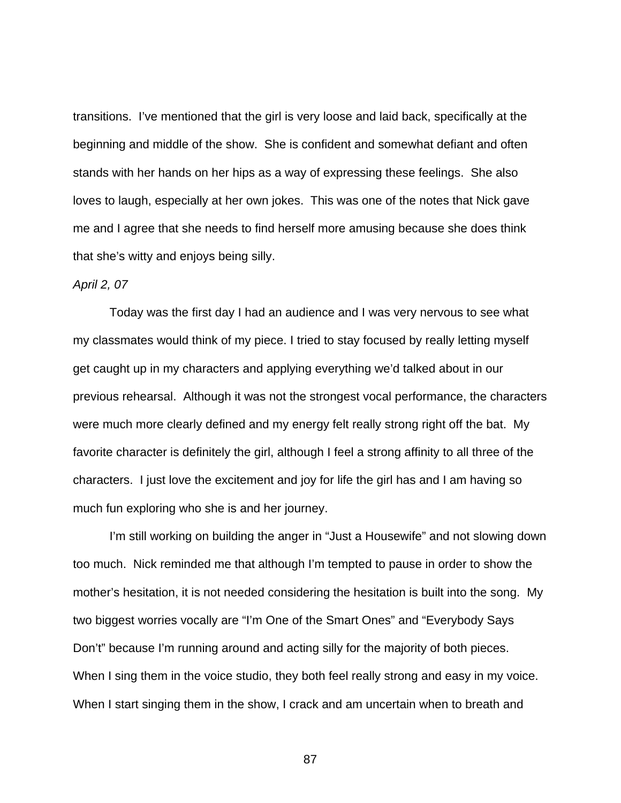transitions. I've mentioned that the girl is very loose and laid back, specifically at the beginning and middle of the show. She is confident and somewhat defiant and often stands with her hands on her hips as a way of expressing these feelings. She also loves to laugh, especially at her own jokes. This was one of the notes that Nick gave me and I agree that she needs to find herself more amusing because she does think that she's witty and enjoys being silly.

## *April 2, 07*

 Today was the first day I had an audience and I was very nervous to see what my classmates would think of my piece. I tried to stay focused by really letting myself get caught up in my characters and applying everything we'd talked about in our previous rehearsal. Although it was not the strongest vocal performance, the characters were much more clearly defined and my energy felt really strong right off the bat. My favorite character is definitely the girl, although I feel a strong affinity to all three of the characters. I just love the excitement and joy for life the girl has and I am having so much fun exploring who she is and her journey.

 I'm still working on building the anger in "Just a Housewife" and not slowing down too much. Nick reminded me that although I'm tempted to pause in order to show the mother's hesitation, it is not needed considering the hesitation is built into the song. My two biggest worries vocally are "I'm One of the Smart Ones" and "Everybody Says Don't" because I'm running around and acting silly for the majority of both pieces. When I sing them in the voice studio, they both feel really strong and easy in my voice. When I start singing them in the show, I crack and am uncertain when to breath and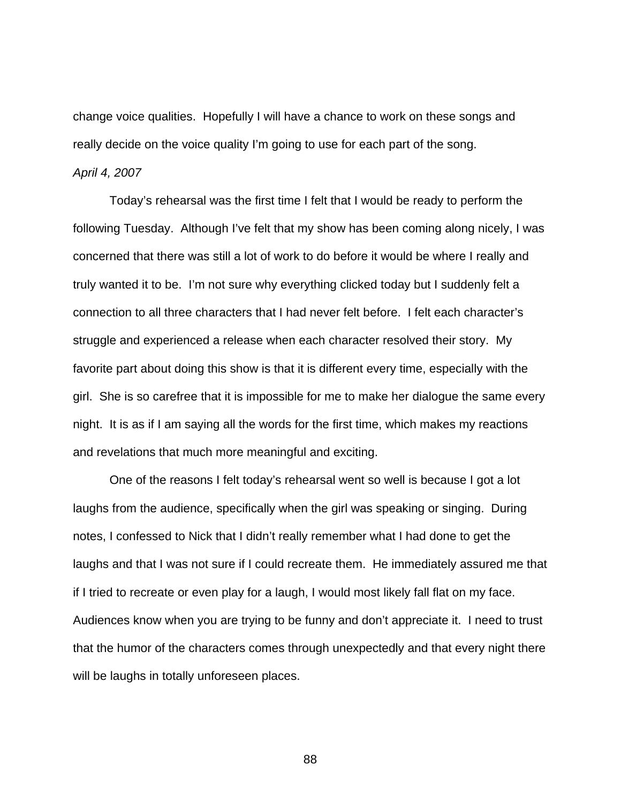change voice qualities. Hopefully I will have a chance to work on these songs and really decide on the voice quality I'm going to use for each part of the song. *April 4, 2007* 

 Today's rehearsal was the first time I felt that I would be ready to perform the following Tuesday. Although I've felt that my show has been coming along nicely, I was concerned that there was still a lot of work to do before it would be where I really and truly wanted it to be. I'm not sure why everything clicked today but I suddenly felt a connection to all three characters that I had never felt before. I felt each character's struggle and experienced a release when each character resolved their story. My favorite part about doing this show is that it is different every time, especially with the girl. She is so carefree that it is impossible for me to make her dialogue the same every night. It is as if I am saying all the words for the first time, which makes my reactions and revelations that much more meaningful and exciting.

 One of the reasons I felt today's rehearsal went so well is because I got a lot laughs from the audience, specifically when the girl was speaking or singing. During notes, I confessed to Nick that I didn't really remember what I had done to get the laughs and that I was not sure if I could recreate them. He immediately assured me that if I tried to recreate or even play for a laugh, I would most likely fall flat on my face. Audiences know when you are trying to be funny and don't appreciate it. I need to trust that the humor of the characters comes through unexpectedly and that every night there will be laughs in totally unforeseen places.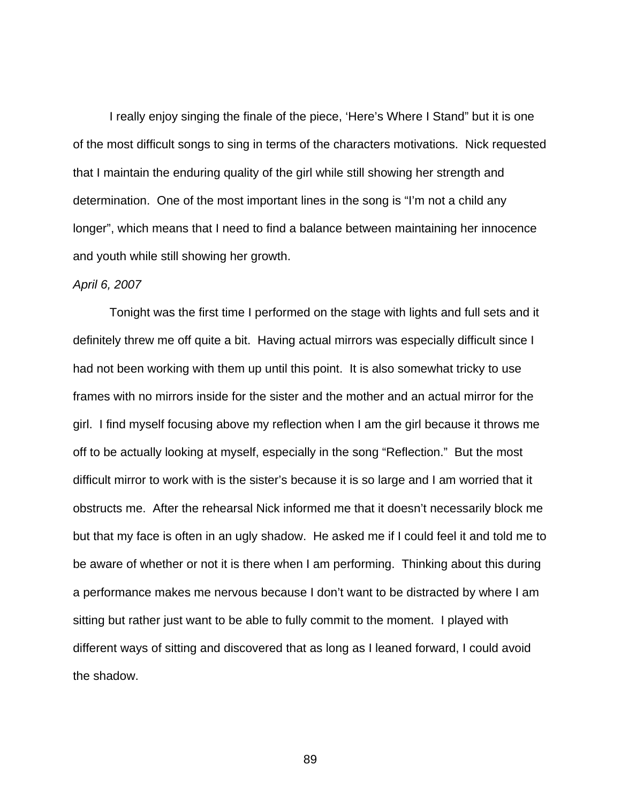I really enjoy singing the finale of the piece, 'Here's Where I Stand" but it is one of the most difficult songs to sing in terms of the characters motivations. Nick requested that I maintain the enduring quality of the girl while still showing her strength and determination. One of the most important lines in the song is "I'm not a child any longer", which means that I need to find a balance between maintaining her innocence and youth while still showing her growth.

## *April 6, 2007*

Tonight was the first time I performed on the stage with lights and full sets and it definitely threw me off quite a bit. Having actual mirrors was especially difficult since I had not been working with them up until this point. It is also somewhat tricky to use frames with no mirrors inside for the sister and the mother and an actual mirror for the girl. I find myself focusing above my reflection when I am the girl because it throws me off to be actually looking at myself, especially in the song "Reflection." But the most difficult mirror to work with is the sister's because it is so large and I am worried that it obstructs me. After the rehearsal Nick informed me that it doesn't necessarily block me but that my face is often in an ugly shadow. He asked me if I could feel it and told me to be aware of whether or not it is there when I am performing. Thinking about this during a performance makes me nervous because I don't want to be distracted by where I am sitting but rather just want to be able to fully commit to the moment. I played with different ways of sitting and discovered that as long as I leaned forward, I could avoid the shadow.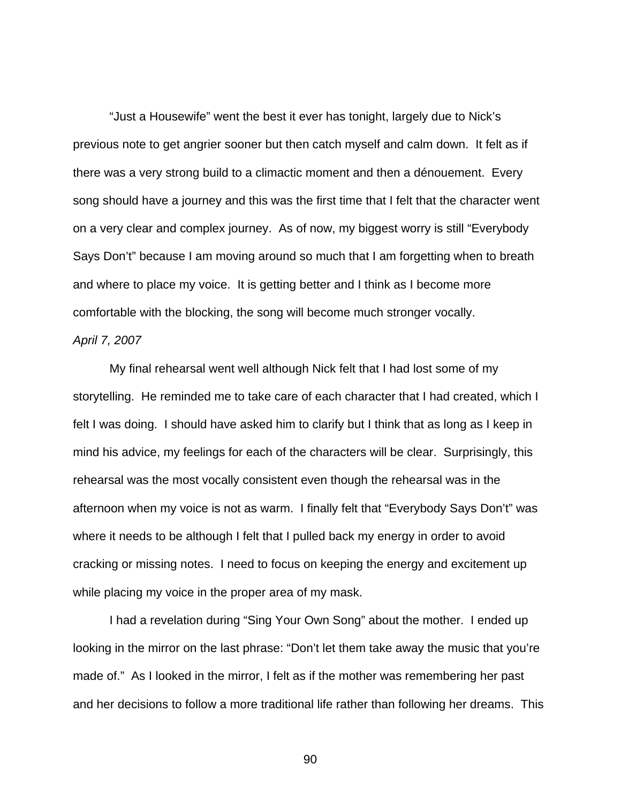"Just a Housewife" went the best it ever has tonight, largely due to Nick's previous note to get angrier sooner but then catch myself and calm down. It felt as if there was a very strong build to a climactic moment and then a dénouement. Every song should have a journey and this was the first time that I felt that the character went on a very clear and complex journey. As of now, my biggest worry is still "Everybody Says Don't" because I am moving around so much that I am forgetting when to breath and where to place my voice. It is getting better and I think as I become more comfortable with the blocking, the song will become much stronger vocally. *April 7, 2007* 

 My final rehearsal went well although Nick felt that I had lost some of my storytelling. He reminded me to take care of each character that I had created, which I felt I was doing. I should have asked him to clarify but I think that as long as I keep in mind his advice, my feelings for each of the characters will be clear. Surprisingly, this rehearsal was the most vocally consistent even though the rehearsal was in the afternoon when my voice is not as warm. I finally felt that "Everybody Says Don't" was where it needs to be although I felt that I pulled back my energy in order to avoid cracking or missing notes. I need to focus on keeping the energy and excitement up while placing my voice in the proper area of my mask.

 I had a revelation during "Sing Your Own Song" about the mother. I ended up looking in the mirror on the last phrase: "Don't let them take away the music that you're made of." As I looked in the mirror, I felt as if the mother was remembering her past and her decisions to follow a more traditional life rather than following her dreams. This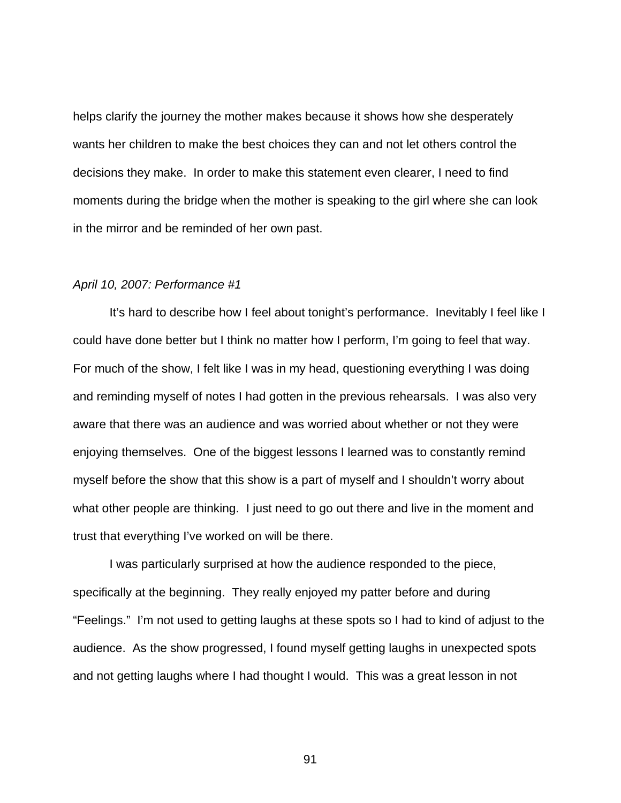helps clarify the journey the mother makes because it shows how she desperately wants her children to make the best choices they can and not let others control the decisions they make. In order to make this statement even clearer, I need to find moments during the bridge when the mother is speaking to the girl where she can look in the mirror and be reminded of her own past.

## *April 10, 2007: Performance #1*

 It's hard to describe how I feel about tonight's performance. Inevitably I feel like I could have done better but I think no matter how I perform, I'm going to feel that way. For much of the show, I felt like I was in my head, questioning everything I was doing and reminding myself of notes I had gotten in the previous rehearsals. I was also very aware that there was an audience and was worried about whether or not they were enjoying themselves. One of the biggest lessons I learned was to constantly remind myself before the show that this show is a part of myself and I shouldn't worry about what other people are thinking. I just need to go out there and live in the moment and trust that everything I've worked on will be there.

 I was particularly surprised at how the audience responded to the piece, specifically at the beginning. They really enjoyed my patter before and during "Feelings." I'm not used to getting laughs at these spots so I had to kind of adjust to the audience. As the show progressed, I found myself getting laughs in unexpected spots and not getting laughs where I had thought I would. This was a great lesson in not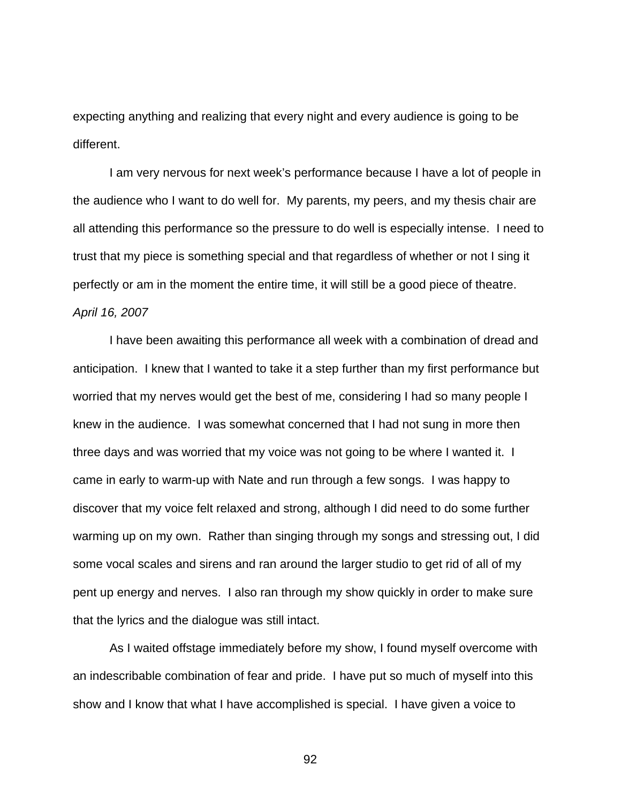expecting anything and realizing that every night and every audience is going to be different.

 I am very nervous for next week's performance because I have a lot of people in the audience who I want to do well for. My parents, my peers, and my thesis chair are all attending this performance so the pressure to do well is especially intense. I need to trust that my piece is something special and that regardless of whether or not I sing it perfectly or am in the moment the entire time, it will still be a good piece of theatre. *April 16, 2007* 

I have been awaiting this performance all week with a combination of dread and anticipation. I knew that I wanted to take it a step further than my first performance but worried that my nerves would get the best of me, considering I had so many people I knew in the audience. I was somewhat concerned that I had not sung in more then three days and was worried that my voice was not going to be where I wanted it. I came in early to warm-up with Nate and run through a few songs. I was happy to discover that my voice felt relaxed and strong, although I did need to do some further warming up on my own. Rather than singing through my songs and stressing out, I did some vocal scales and sirens and ran around the larger studio to get rid of all of my pent up energy and nerves. I also ran through my show quickly in order to make sure that the lyrics and the dialogue was still intact.

As I waited offstage immediately before my show, I found myself overcome with an indescribable combination of fear and pride. I have put so much of myself into this show and I know that what I have accomplished is special. I have given a voice to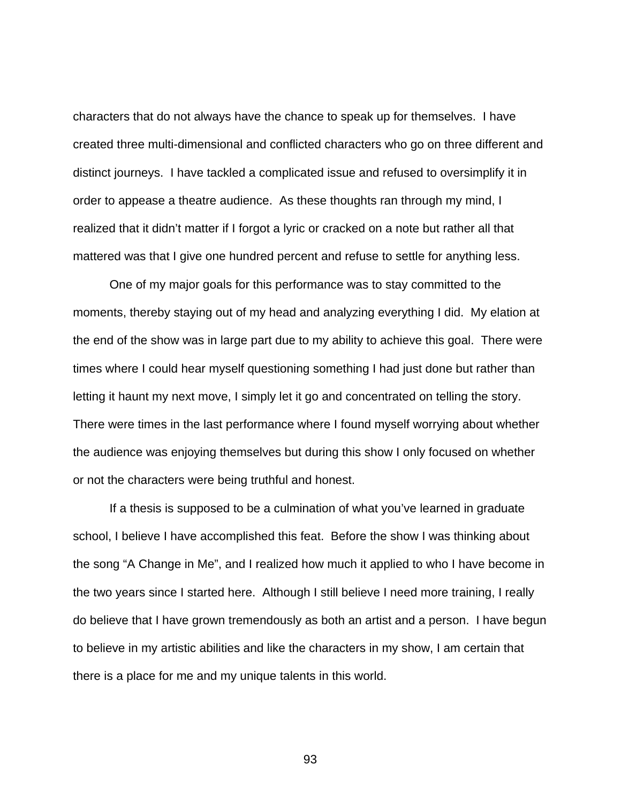characters that do not always have the chance to speak up for themselves. I have created three multi-dimensional and conflicted characters who go on three different and distinct journeys. I have tackled a complicated issue and refused to oversimplify it in order to appease a theatre audience. As these thoughts ran through my mind, I realized that it didn't matter if I forgot a lyric or cracked on a note but rather all that mattered was that I give one hundred percent and refuse to settle for anything less.

One of my major goals for this performance was to stay committed to the moments, thereby staying out of my head and analyzing everything I did. My elation at the end of the show was in large part due to my ability to achieve this goal. There were times where I could hear myself questioning something I had just done but rather than letting it haunt my next move, I simply let it go and concentrated on telling the story. There were times in the last performance where I found myself worrying about whether the audience was enjoying themselves but during this show I only focused on whether or not the characters were being truthful and honest.

If a thesis is supposed to be a culmination of what you've learned in graduate school, I believe I have accomplished this feat. Before the show I was thinking about the song "A Change in Me", and I realized how much it applied to who I have become in the two years since I started here. Although I still believe I need more training, I really do believe that I have grown tremendously as both an artist and a person. I have begun to believe in my artistic abilities and like the characters in my show, I am certain that there is a place for me and my unique talents in this world.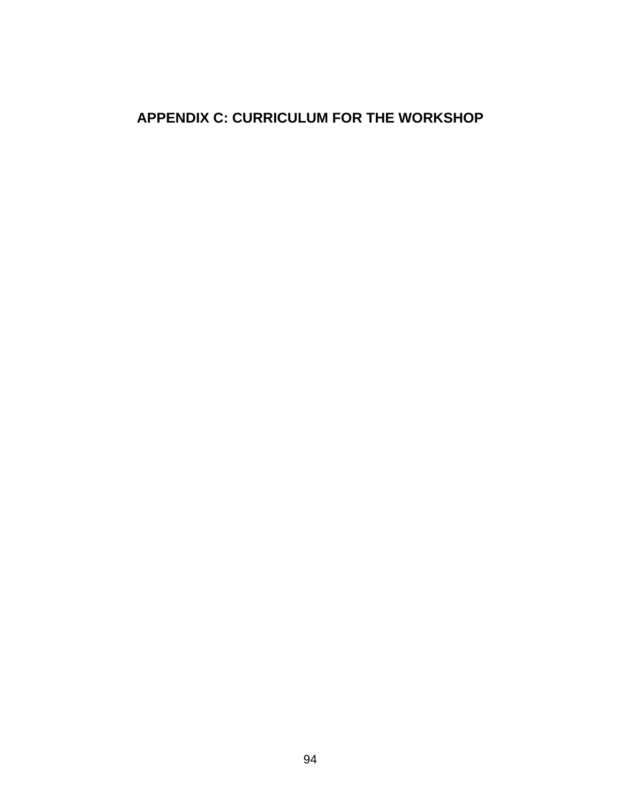# **APPENDIX C: CURRICULUM FOR THE WORKSHOP**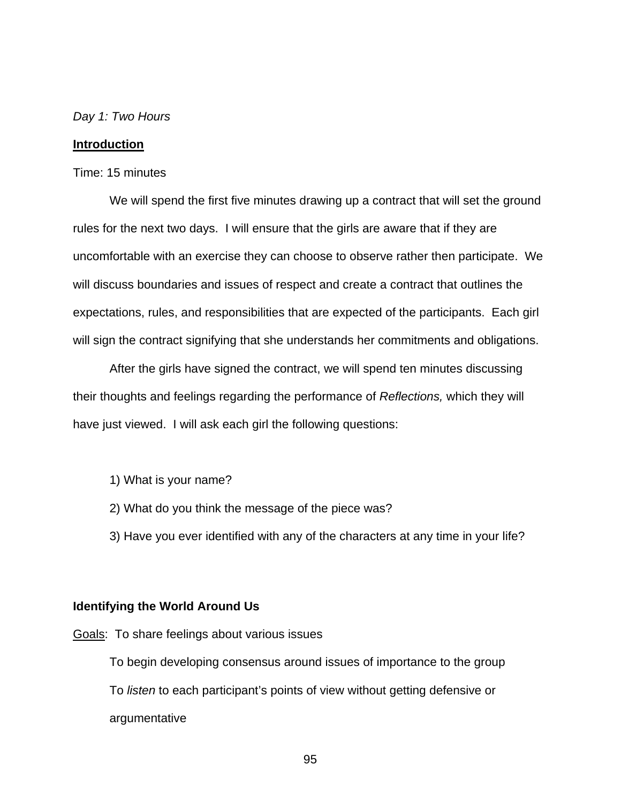## *Day 1: Two Hours*

#### **Introduction**

Time: 15 minutes

We will spend the first five minutes drawing up a contract that will set the ground rules for the next two days. I will ensure that the girls are aware that if they are uncomfortable with an exercise they can choose to observe rather then participate. We will discuss boundaries and issues of respect and create a contract that outlines the expectations, rules, and responsibilities that are expected of the participants. Each girl will sign the contract signifying that she understands her commitments and obligations.

After the girls have signed the contract, we will spend ten minutes discussing their thoughts and feelings regarding the performance of *Reflections,* which they will have just viewed. I will ask each girl the following questions:

1) What is your name?

- 2) What do you think the message of the piece was?
- 3) Have you ever identified with any of the characters at any time in your life?

### **Identifying the World Around Us**

Goals: To share feelings about various issues

 To begin developing consensus around issues of importance to the group To *listen* to each participant's points of view without getting defensive or argumentative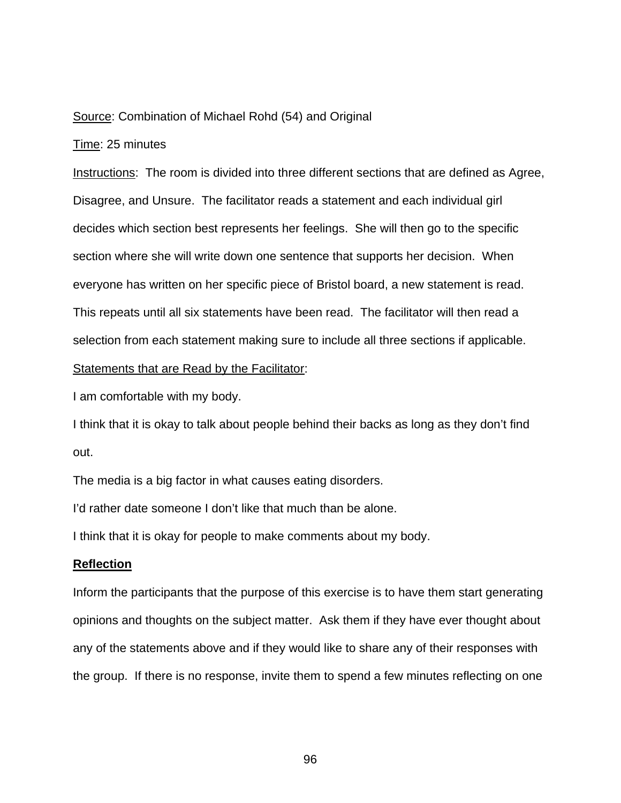#### Source: Combination of Michael Rohd (54) and Original

#### Time: 25 minutes

Instructions: The room is divided into three different sections that are defined as Agree, Disagree, and Unsure. The facilitator reads a statement and each individual girl decides which section best represents her feelings. She will then go to the specific section where she will write down one sentence that supports her decision. When everyone has written on her specific piece of Bristol board, a new statement is read. This repeats until all six statements have been read. The facilitator will then read a selection from each statement making sure to include all three sections if applicable. Statements that are Read by the Facilitator:

I am comfortable with my body.

I think that it is okay to talk about people behind their backs as long as they don't find out.

The media is a big factor in what causes eating disorders.

I'd rather date someone I don't like that much than be alone.

I think that it is okay for people to make comments about my body.

## **Reflection**

Inform the participants that the purpose of this exercise is to have them start generating opinions and thoughts on the subject matter. Ask them if they have ever thought about any of the statements above and if they would like to share any of their responses with the group. If there is no response, invite them to spend a few minutes reflecting on one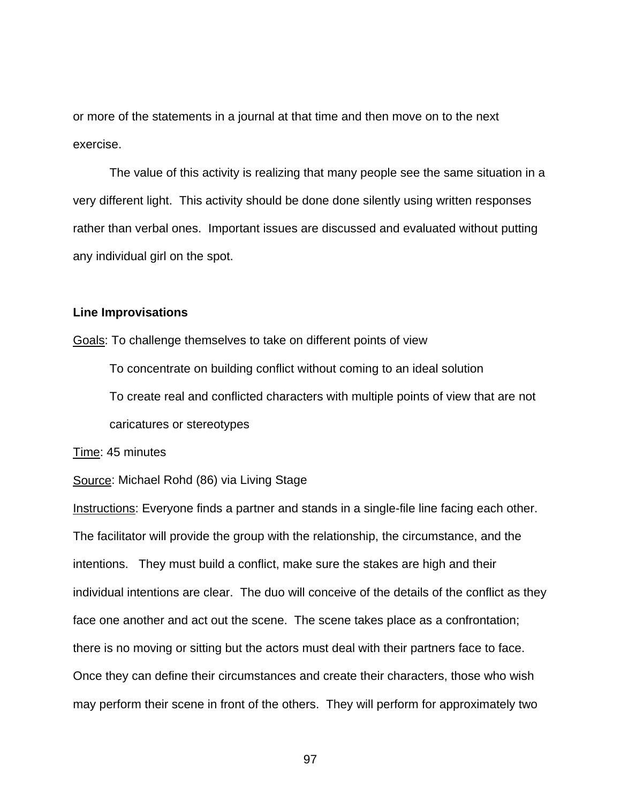or more of the statements in a journal at that time and then move on to the next exercise.

The value of this activity is realizing that many people see the same situation in a very different light. This activity should be done done silently using written responses rather than verbal ones. Important issues are discussed and evaluated without putting any individual girl on the spot.

## **Line Improvisations**

Goals: To challenge themselves to take on different points of view

 To concentrate on building conflict without coming to an ideal solution To create real and conflicted characters with multiple points of view that are not caricatures or stereotypes

Time: 45 minutes

Source: Michael Rohd (86) via Living Stage

Instructions: Everyone finds a partner and stands in a single-file line facing each other. The facilitator will provide the group with the relationship, the circumstance, and the intentions. They must build a conflict, make sure the stakes are high and their individual intentions are clear. The duo will conceive of the details of the conflict as they face one another and act out the scene. The scene takes place as a confrontation; there is no moving or sitting but the actors must deal with their partners face to face. Once they can define their circumstances and create their characters, those who wish may perform their scene in front of the others. They will perform for approximately two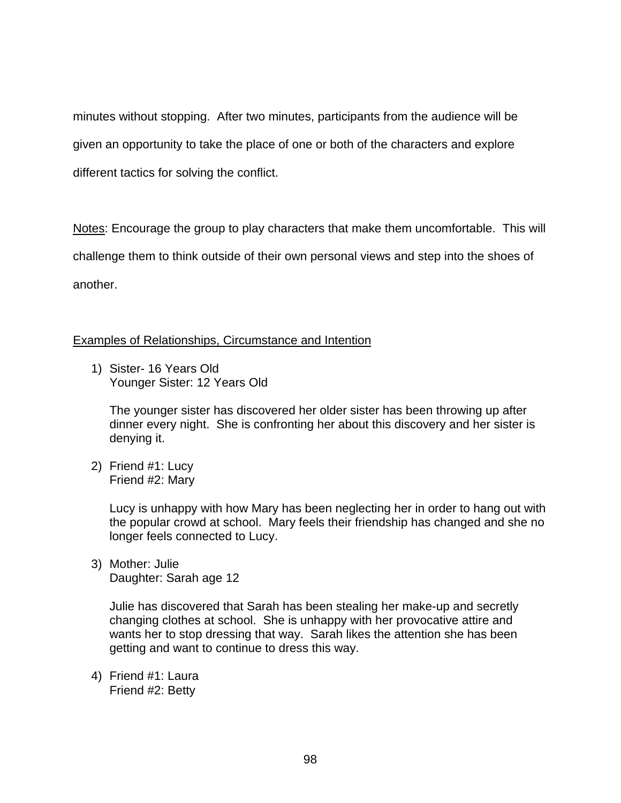minutes without stopping. After two minutes, participants from the audience will be given an opportunity to take the place of one or both of the characters and explore different tactics for solving the conflict.

Notes: Encourage the group to play characters that make them uncomfortable. This will

challenge them to think outside of their own personal views and step into the shoes of

another.

# Examples of Relationships, Circumstance and Intention

1) Sister- 16 Years Old Younger Sister: 12 Years Old

The younger sister has discovered her older sister has been throwing up after dinner every night. She is confronting her about this discovery and her sister is denying it.

2) Friend #1: Lucy Friend #2: Mary

> Lucy is unhappy with how Mary has been neglecting her in order to hang out with the popular crowd at school. Mary feels their friendship has changed and she no longer feels connected to Lucy.

3) Mother: Julie Daughter: Sarah age 12

> Julie has discovered that Sarah has been stealing her make-up and secretly changing clothes at school. She is unhappy with her provocative attire and wants her to stop dressing that way. Sarah likes the attention she has been getting and want to continue to dress this way.

4) Friend #1: Laura Friend #2: Betty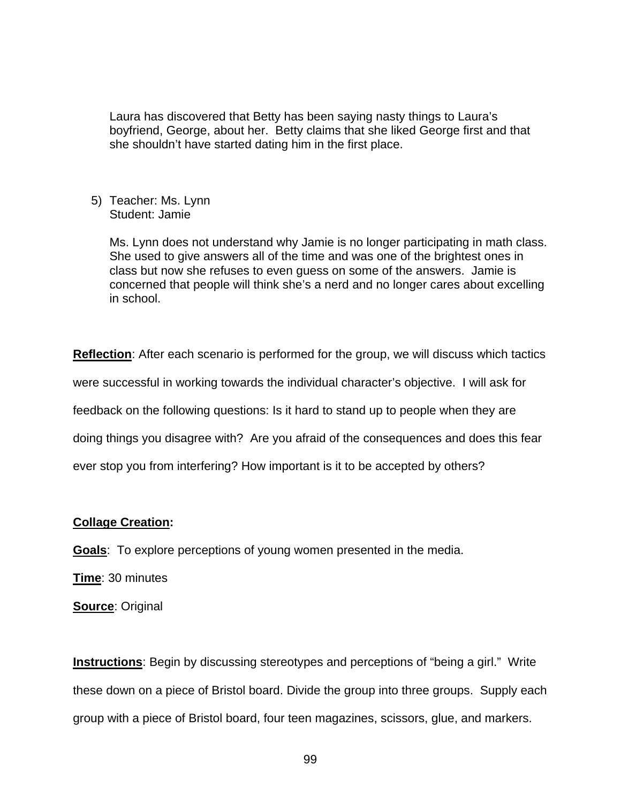Laura has discovered that Betty has been saying nasty things to Laura's boyfriend, George, about her. Betty claims that she liked George first and that she shouldn't have started dating him in the first place.

5) Teacher: Ms. Lynn Student: Jamie

> Ms. Lynn does not understand why Jamie is no longer participating in math class. She used to give answers all of the time and was one of the brightest ones in class but now she refuses to even guess on some of the answers. Jamie is concerned that people will think she's a nerd and no longer cares about excelling in school.

**Reflection**: After each scenario is performed for the group, we will discuss which tactics were successful in working towards the individual character's objective. I will ask for feedback on the following questions: Is it hard to stand up to people when they are doing things you disagree with? Are you afraid of the consequences and does this fear ever stop you from interfering? How important is it to be accepted by others?

# **Collage Creation:**

**Goals**: To explore perceptions of young women presented in the media.

**Time**: 30 minutes

**Source**: Original

**Instructions**: Begin by discussing stereotypes and perceptions of "being a girl." Write these down on a piece of Bristol board. Divide the group into three groups. Supply each group with a piece of Bristol board, four teen magazines, scissors, glue, and markers.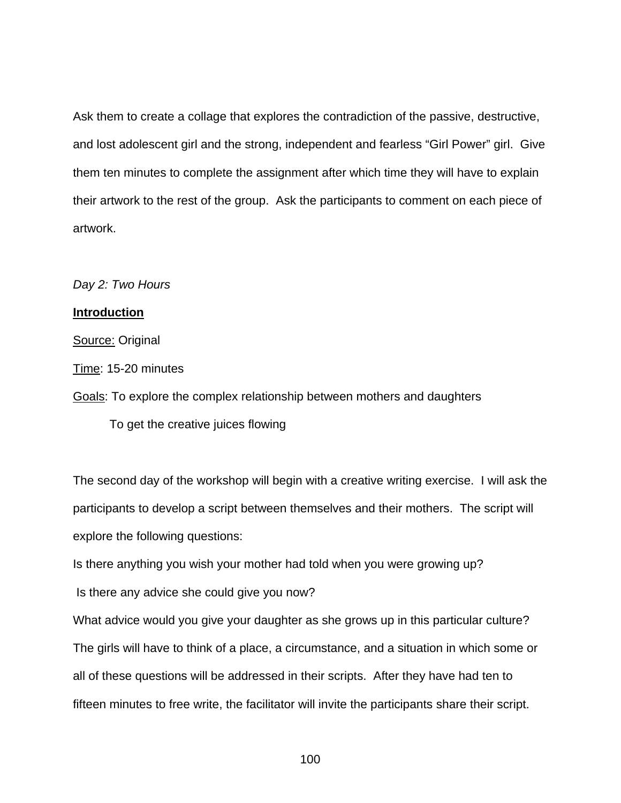Ask them to create a collage that explores the contradiction of the passive, destructive, and lost adolescent girl and the strong, independent and fearless "Girl Power" girl. Give them ten minutes to complete the assignment after which time they will have to explain their artwork to the rest of the group. Ask the participants to comment on each piece of artwork.

## *Day 2: Two Hours*

## **Introduction**

Source: Original

Time: 15-20 minutes

Goals: To explore the complex relationship between mothers and daughters

To get the creative juices flowing

The second day of the workshop will begin with a creative writing exercise. I will ask the participants to develop a script between themselves and their mothers. The script will explore the following questions:

Is there anything you wish your mother had told when you were growing up?

Is there any advice she could give you now?

What advice would you give your daughter as she grows up in this particular culture? The girls will have to think of a place, a circumstance, and a situation in which some or all of these questions will be addressed in their scripts. After they have had ten to fifteen minutes to free write, the facilitator will invite the participants share their script.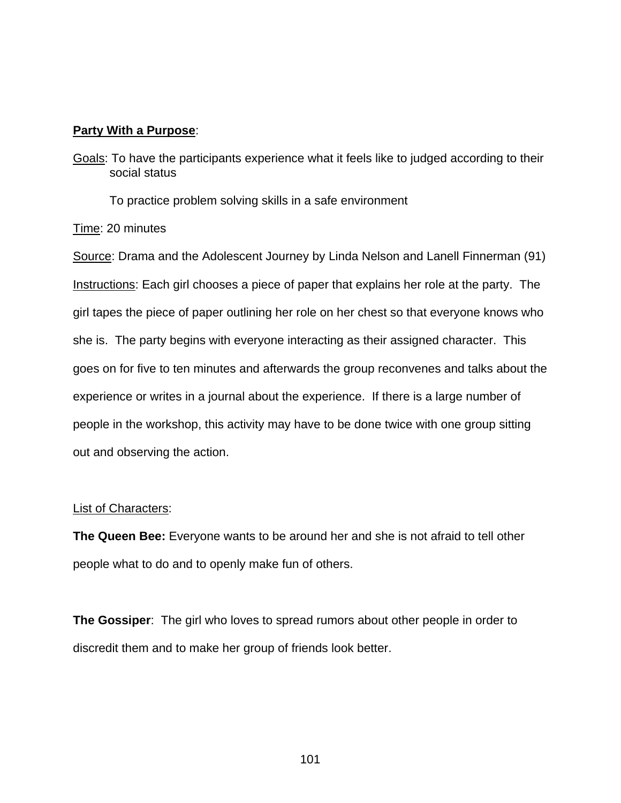## **Party With a Purpose**:

Goals: To have the participants experience what it feels like to judged according to their social status

To practice problem solving skills in a safe environment

Time: 20 minutes

Source: Drama and the Adolescent Journey by Linda Nelson and Lanell Finnerman (91) Instructions: Each girl chooses a piece of paper that explains her role at the party. The girl tapes the piece of paper outlining her role on her chest so that everyone knows who she is. The party begins with everyone interacting as their assigned character. This goes on for five to ten minutes and afterwards the group reconvenes and talks about the experience or writes in a journal about the experience. If there is a large number of people in the workshop, this activity may have to be done twice with one group sitting out and observing the action.

# List of Characters:

**The Queen Bee:** Everyone wants to be around her and she is not afraid to tell other people what to do and to openly make fun of others.

**The Gossiper**: The girl who loves to spread rumors about other people in order to discredit them and to make her group of friends look better.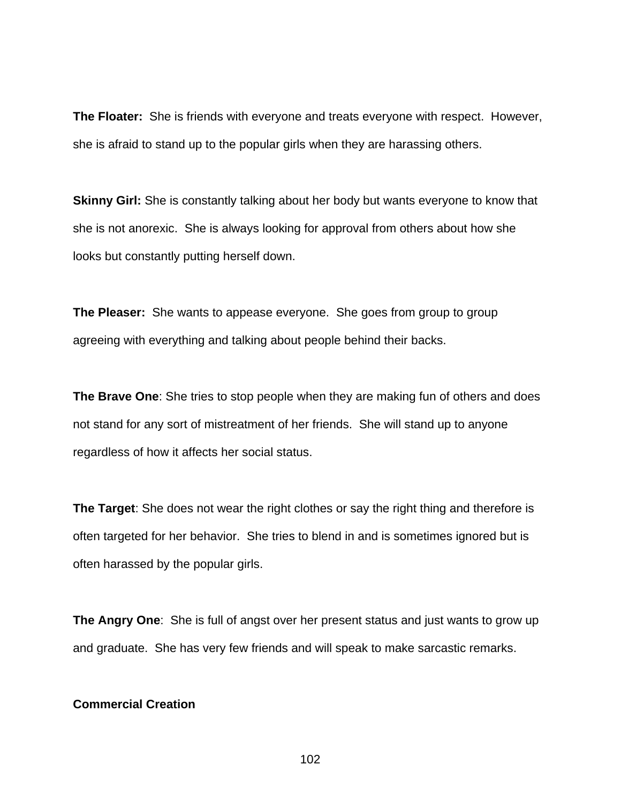**The Floater:** She is friends with everyone and treats everyone with respect. However, she is afraid to stand up to the popular girls when they are harassing others.

**Skinny Girl:** She is constantly talking about her body but wants everyone to know that she is not anorexic. She is always looking for approval from others about how she looks but constantly putting herself down.

**The Pleaser:** She wants to appease everyone. She goes from group to group agreeing with everything and talking about people behind their backs.

**The Brave One**: She tries to stop people when they are making fun of others and does not stand for any sort of mistreatment of her friends. She will stand up to anyone regardless of how it affects her social status.

**The Target**: She does not wear the right clothes or say the right thing and therefore is often targeted for her behavior. She tries to blend in and is sometimes ignored but is often harassed by the popular girls.

**The Angry One**: She is full of angst over her present status and just wants to grow up and graduate. She has very few friends and will speak to make sarcastic remarks.

## **Commercial Creation**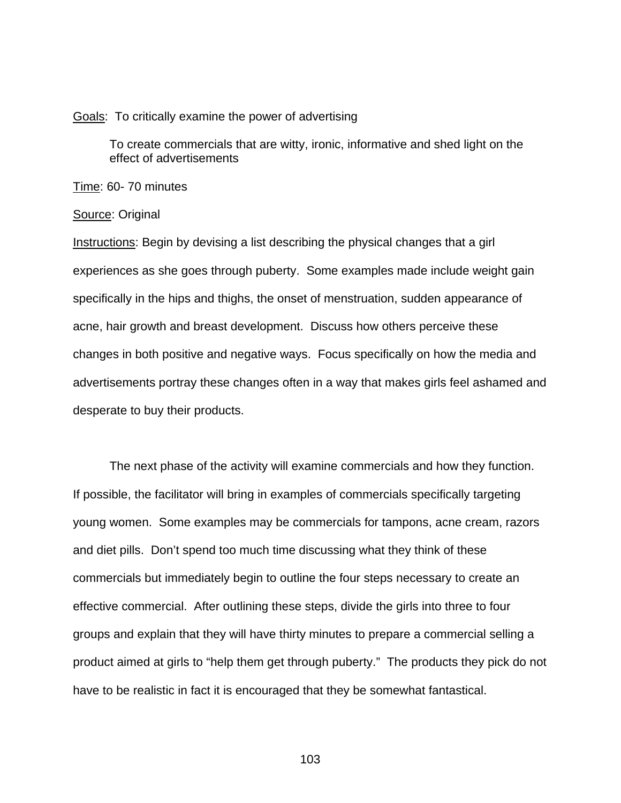Goals: To critically examine the power of advertising

To create commercials that are witty, ironic, informative and shed light on the effect of advertisements

Time: 60- 70 minutes

## Source: Original

Instructions: Begin by devising a list describing the physical changes that a girl experiences as she goes through puberty. Some examples made include weight gain specifically in the hips and thighs, the onset of menstruation, sudden appearance of acne, hair growth and breast development. Discuss how others perceive these changes in both positive and negative ways. Focus specifically on how the media and advertisements portray these changes often in a way that makes girls feel ashamed and desperate to buy their products.

 The next phase of the activity will examine commercials and how they function. If possible, the facilitator will bring in examples of commercials specifically targeting young women. Some examples may be commercials for tampons, acne cream, razors and diet pills. Don't spend too much time discussing what they think of these commercials but immediately begin to outline the four steps necessary to create an effective commercial. After outlining these steps, divide the girls into three to four groups and explain that they will have thirty minutes to prepare a commercial selling a product aimed at girls to "help them get through puberty." The products they pick do not have to be realistic in fact it is encouraged that they be somewhat fantastical.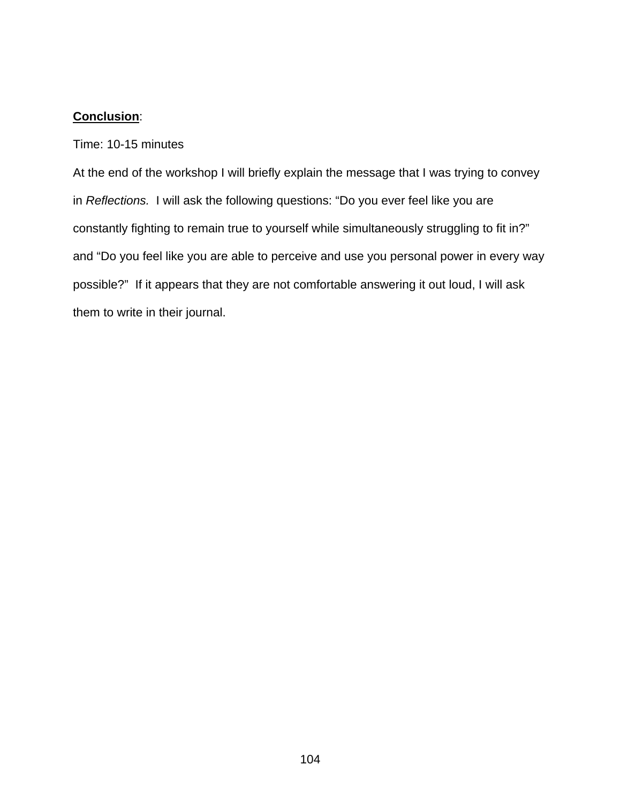## **Conclusion**:

Time: 10-15 minutes

At the end of the workshop I will briefly explain the message that I was trying to convey in *Reflections.* I will ask the following questions: "Do you ever feel like you are constantly fighting to remain true to yourself while simultaneously struggling to fit in?" and "Do you feel like you are able to perceive and use you personal power in every way possible?" If it appears that they are not comfortable answering it out loud, I will ask them to write in their journal.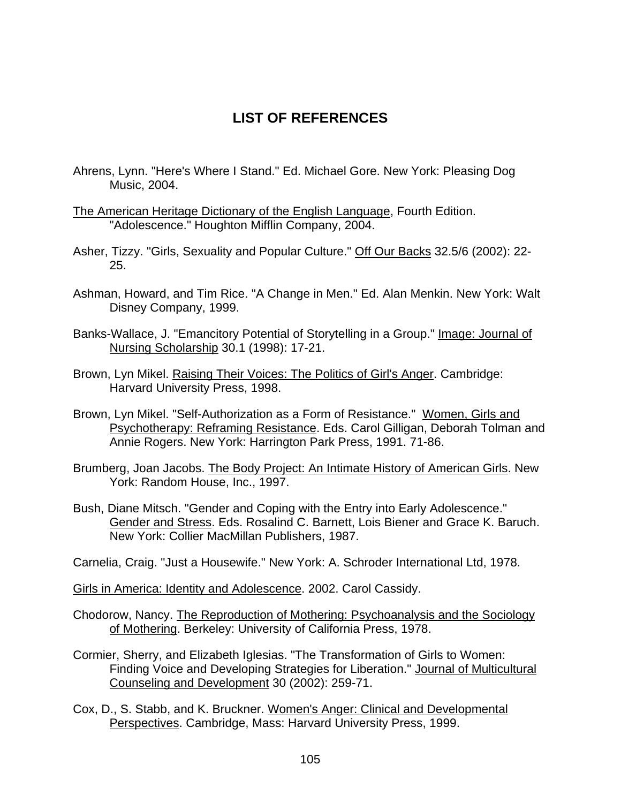## **LIST OF REFERENCES**

- Ahrens, Lynn. "Here's Where I Stand." Ed. Michael Gore. New York: Pleasing Dog Music, 2004.
- The American Heritage Dictionary of the English Language, Fourth Edition. "Adolescence." Houghton Mifflin Company, 2004.
- Asher, Tizzy. "Girls, Sexuality and Popular Culture." Off Our Backs 32.5/6 (2002): 22- 25.
- Ashman, Howard, and Tim Rice. "A Change in Men." Ed. Alan Menkin. New York: Walt Disney Company, 1999.
- Banks-Wallace, J. "Emancitory Potential of Storytelling in a Group." Image: Journal of Nursing Scholarship 30.1 (1998): 17-21.
- Brown, Lyn Mikel. Raising Their Voices: The Politics of Girl's Anger. Cambridge: Harvard University Press, 1998.
- Brown, Lyn Mikel. "Self-Authorization as a Form of Resistance." Women, Girls and Psychotherapy: Reframing Resistance. Eds. Carol Gilligan, Deborah Tolman and Annie Rogers. New York: Harrington Park Press, 1991. 71-86.
- Brumberg, Joan Jacobs. The Body Project: An Intimate History of American Girls. New York: Random House, Inc., 1997.
- Bush, Diane Mitsch. "Gender and Coping with the Entry into Early Adolescence." Gender and Stress. Eds. Rosalind C. Barnett, Lois Biener and Grace K. Baruch. New York: Collier MacMillan Publishers, 1987.

Carnelia, Craig. "Just a Housewife." New York: A. Schroder International Ltd, 1978.

Girls in America: Identity and Adolescence. 2002. Carol Cassidy.

Chodorow, Nancy. The Reproduction of Mothering: Psychoanalysis and the Sociology of Mothering. Berkeley: University of California Press, 1978.

- Cormier, Sherry, and Elizabeth Iglesias. "The Transformation of Girls to Women: Finding Voice and Developing Strategies for Liberation." Journal of Multicultural Counseling and Development 30 (2002): 259-71.
- Cox, D., S. Stabb, and K. Bruckner. Women's Anger: Clinical and Developmental Perspectives. Cambridge, Mass: Harvard University Press, 1999.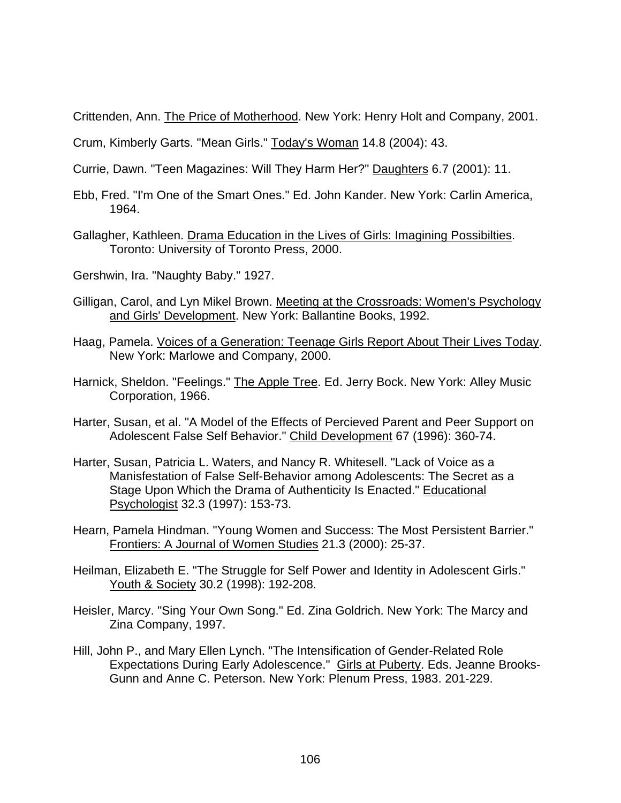Crittenden, Ann. The Price of Motherhood. New York: Henry Holt and Company, 2001.

Crum, Kimberly Garts. "Mean Girls." Today's Woman 14.8 (2004): 43.

- Currie, Dawn. "Teen Magazines: Will They Harm Her?" Daughters 6.7 (2001): 11.
- Ebb, Fred. "I'm One of the Smart Ones." Ed. John Kander. New York: Carlin America, 1964.
- Gallagher, Kathleen. Drama Education in the Lives of Girls: Imagining Possibilties. Toronto: University of Toronto Press, 2000.
- Gershwin, Ira. "Naughty Baby." 1927.
- Gilligan, Carol, and Lyn Mikel Brown. Meeting at the Crossroads: Women's Psychology and Girls' Development. New York: Ballantine Books, 1992.
- Haag, Pamela. Voices of a Generation: Teenage Girls Report About Their Lives Today. New York: Marlowe and Company, 2000.
- Harnick, Sheldon. "Feelings." The Apple Tree. Ed. Jerry Bock. New York: Alley Music Corporation, 1966.
- Harter, Susan, et al. "A Model of the Effects of Percieved Parent and Peer Support on Adolescent False Self Behavior." Child Development 67 (1996): 360-74.
- Harter, Susan, Patricia L. Waters, and Nancy R. Whitesell. "Lack of Voice as a Manisfestation of False Self-Behavior among Adolescents: The Secret as a Stage Upon Which the Drama of Authenticity Is Enacted." Educational Psychologist 32.3 (1997): 153-73.
- Hearn, Pamela Hindman. "Young Women and Success: The Most Persistent Barrier." Frontiers: A Journal of Women Studies 21.3 (2000): 25-37.
- Heilman, Elizabeth E. "The Struggle for Self Power and Identity in Adolescent Girls." Youth & Society 30.2 (1998): 192-208.
- Heisler, Marcy. "Sing Your Own Song." Ed. Zina Goldrich. New York: The Marcy and Zina Company, 1997.
- Hill, John P., and Mary Ellen Lynch. "The Intensification of Gender-Related Role Expectations During Early Adolescence." Girls at Puberty. Eds. Jeanne Brooks-Gunn and Anne C. Peterson. New York: Plenum Press, 1983. 201-229.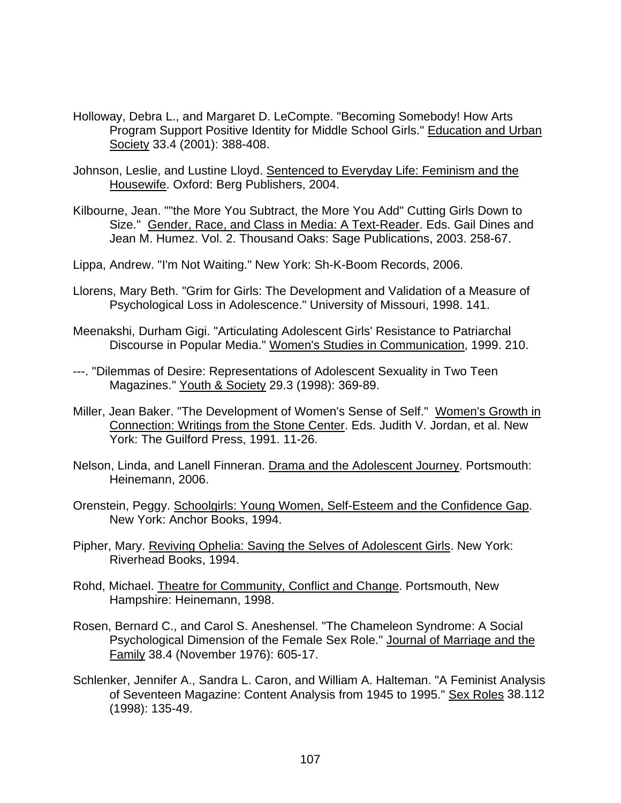- Holloway, Debra L., and Margaret D. LeCompte. "Becoming Somebody! How Arts Program Support Positive Identity for Middle School Girls." Education and Urban Society 33.4 (2001): 388-408.
- Johnson, Leslie, and Lustine Lloyd. Sentenced to Everyday Life: Feminism and the Housewife. Oxford: Berg Publishers, 2004.
- Kilbourne, Jean. ""the More You Subtract, the More You Add" Cutting Girls Down to Size." Gender, Race, and Class in Media: A Text-Reader. Eds. Gail Dines and Jean M. Humez. Vol. 2. Thousand Oaks: Sage Publications, 2003. 258-67.
- Lippa, Andrew. "I'm Not Waiting." New York: Sh-K-Boom Records, 2006.
- Llorens, Mary Beth. "Grim for Girls: The Development and Validation of a Measure of Psychological Loss in Adolescence." University of Missouri, 1998. 141.
- Meenakshi, Durham Gigi. "Articulating Adolescent Girls' Resistance to Patriarchal Discourse in Popular Media." Women's Studies in Communication, 1999. 210.
- ---. "Dilemmas of Desire: Representations of Adolescent Sexuality in Two Teen Magazines." Youth & Society 29.3 (1998): 369-89.
- Miller, Jean Baker. "The Development of Women's Sense of Self." Women's Growth in Connection: Writings from the Stone Center. Eds. Judith V. Jordan, et al. New York: The Guilford Press, 1991. 11-26.
- Nelson, Linda, and Lanell Finneran. Drama and the Adolescent Journey. Portsmouth: Heinemann, 2006.
- Orenstein, Peggy. Schoolgirls: Young Women, Self-Esteem and the Confidence Gap. New York: Anchor Books, 1994.
- Pipher, Mary. Reviving Ophelia: Saving the Selves of Adolescent Girls. New York: Riverhead Books, 1994.
- Rohd, Michael. Theatre for Community, Conflict and Change. Portsmouth, New Hampshire: Heinemann, 1998.
- Rosen, Bernard C., and Carol S. Aneshensel. "The Chameleon Syndrome: A Social Psychological Dimension of the Female Sex Role." Journal of Marriage and the Family 38.4 (November 1976): 605-17.
- Schlenker, Jennifer A., Sandra L. Caron, and William A. Halteman. "A Feminist Analysis of Seventeen Magazine: Content Analysis from 1945 to 1995." Sex Roles 38.112 (1998): 135-49.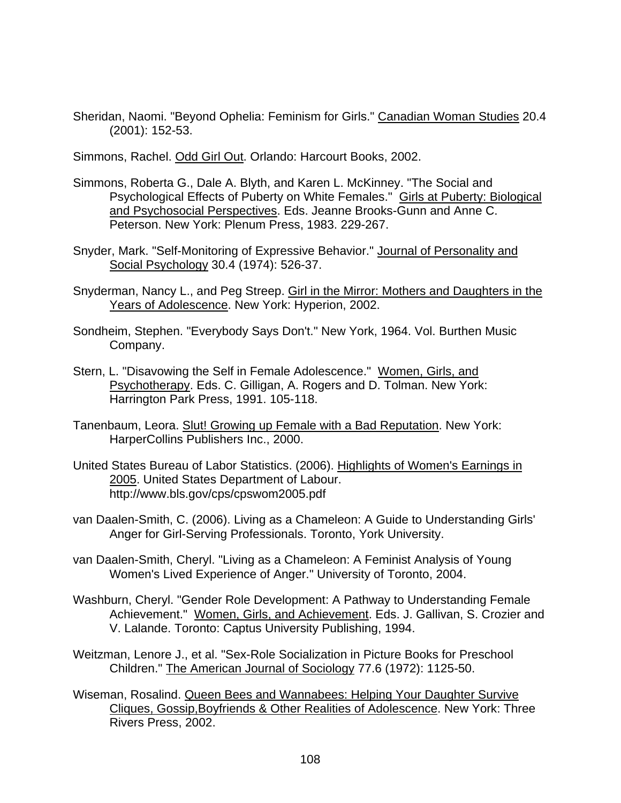Sheridan, Naomi. "Beyond Ophelia: Feminism for Girls." Canadian Woman Studies 20.4 (2001): 152-53.

Simmons, Rachel. Odd Girl Out. Orlando: Harcourt Books, 2002.

- Simmons, Roberta G., Dale A. Blyth, and Karen L. McKinney. "The Social and Psychological Effects of Puberty on White Females." Girls at Puberty: Biological and Psychosocial Perspectives. Eds. Jeanne Brooks-Gunn and Anne C. Peterson. New York: Plenum Press, 1983. 229-267.
- Snyder, Mark. "Self-Monitoring of Expressive Behavior." Journal of Personality and Social Psychology 30.4 (1974): 526-37.
- Snyderman, Nancy L., and Peg Streep. Girl in the Mirror: Mothers and Daughters in the Years of Adolescence. New York: Hyperion, 2002.
- Sondheim, Stephen. "Everybody Says Don't." New York, 1964. Vol. Burthen Music Company.
- Stern, L. "Disavowing the Self in Female Adolescence." Women, Girls, and Psychotherapy. Eds. C. Gilligan, A. Rogers and D. Tolman. New York: Harrington Park Press, 1991. 105-118.
- Tanenbaum, Leora. Slut! Growing up Female with a Bad Reputation. New York: HarperCollins Publishers Inc., 2000.
- United States Bureau of Labor Statistics. (2006). Highlights of Women's Earnings in 2005. United States Department of Labour. http://www.bls.gov/cps/cpswom2005.pdf
- van Daalen-Smith, C. (2006). Living as a Chameleon: A Guide to Understanding Girls' Anger for Girl-Serving Professionals. Toronto, York University.
- van Daalen-Smith, Cheryl. "Living as a Chameleon: A Feminist Analysis of Young Women's Lived Experience of Anger." University of Toronto, 2004.
- Washburn, Cheryl. "Gender Role Development: A Pathway to Understanding Female Achievement." Women, Girls, and Achievement. Eds. J. Gallivan, S. Crozier and V. Lalande. Toronto: Captus University Publishing, 1994.
- Weitzman, Lenore J., et al. "Sex-Role Socialization in Picture Books for Preschool Children." The American Journal of Sociology 77.6 (1972): 1125-50.
- Wiseman, Rosalind. Queen Bees and Wannabees: Helping Your Daughter Survive Cliques, Gossip,Boyfriends & Other Realities of Adolescence. New York: Three Rivers Press, 2002.